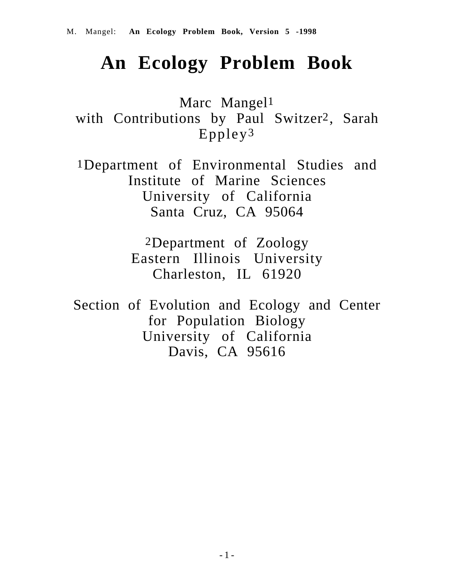# **An Ecology Problem Book**

Marc Mangel1 with Contributions by Paul Switzer2, Sarah Eppley3

1Department of Environmental Studies and Institute of Marine Sciences University of California Santa Cruz, CA 95064

> 2Department of Zoology Eastern Illinois University Charleston, IL 61920

Section of Evolution and Ecology and Center for Population Biology University of California Davis, CA 95616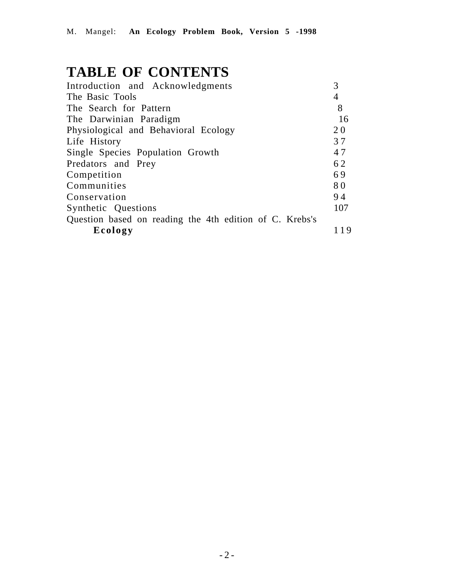# **TABLE OF CONTENTS**

| Introduction and Acknowledgments                        |     |
|---------------------------------------------------------|-----|
| The Basic Tools                                         | 4   |
| The Search for Pattern                                  | 8   |
| The Darwinian Paradigm                                  | 16  |
| Physiological and Behavioral Ecology                    | 20  |
| Life History                                            | 37  |
| Single Species Population Growth                        | 47  |
| Predators and Prey                                      | 62  |
| Competition                                             | 69  |
| Communities                                             | 80  |
| Conservation                                            | 94  |
| Synthetic Questions                                     | 107 |
| Question based on reading the 4th edition of C. Krebs's |     |
| Ecology                                                 | 19  |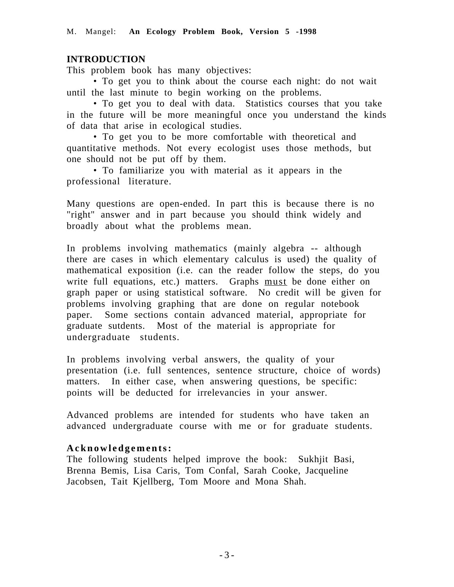# **INTRODUCTION**

This problem book has many objectives:

• To get you to think about the course each night: do not wait until the last minute to begin working on the problems.

• To get you to deal with data. Statistics courses that you take in the future will be more meaningful once you understand the kinds of data that arise in ecological studies.

• To get you to be more comfortable with theoretical and quantitative methods. Not every ecologist uses those methods, but one should not be put off by them.

• To familiarize you with material as it appears in the professional literature.

Many questions are open-ended. In part this is because there is no "right" answer and in part because you should think widely and broadly about what the problems mean.

In problems involving mathematics (mainly algebra -- although there are cases in which elementary calculus is used) the quality of mathematical exposition (i.e. can the reader follow the steps, do you write full equations, etc.) matters. Graphs must be done either on graph paper or using statistical software. No credit will be given for problems involving graphing that are done on regular notebook paper. Some sections contain advanced material, appropriate for graduate sutdents. Most of the material is appropriate for undergraduate students.

In problems involving verbal answers, the quality of your presentation (i.e. full sentences, sentence structure, choice of words) matters. In either case, when answering questions, be specific: points will be deducted for irrelevancies in your answer.

Advanced problems are intended for students who have taken an advanced undergraduate course with me or for graduate students.

#### **Acknowledgements:**

The following students helped improve the book: Sukhjit Basi, Brenna Bemis, Lisa Caris, Tom Confal, Sarah Cooke, Jacqueline Jacobsen, Tait Kjellberg, Tom Moore and Mona Shah.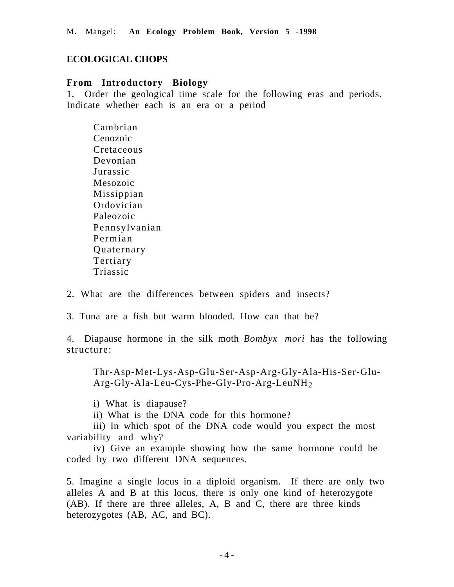### **ECOLOGICAL CHOPS**

#### **From Introductory Biology**

1. Order the geological time scale for the following eras and periods. Indicate whether each is an era or a period

Cambrian Cenozoic Cretaceous Devonian Jurassic Mesozoic Missippian Ordovician Paleozoic Pennsylvanian Permian Quaternary Tertiary Triassic

2. What are the differences between spiders and insects?

3. Tuna are a fish but warm blooded. How can that be?

4. Diapause hormone in the silk moth *Bombyx mori* has the following structure:

Thr-Asp-Met-Lys-Asp-Glu-Ser-Asp-Arg-Gly-Ala-His-Ser-Glu-Arg-Gly-Ala-Leu-Cys-Phe-Gly-Pro-Arg-LeuNH2

i) What is diapause?

ii) What is the DNA code for this hormone?

iii) In which spot of the DNA code would you expect the most variability and why?

iv) Give an example showing how the same hormone could be coded by two different DNA sequences.

5. Imagine a single locus in a diploid organism. If there are only two alleles A and B at this locus, there is only one kind of heterozygote (AB). If there are three alleles, A, B and C, there are three kinds heterozygotes (AB, AC, and BC).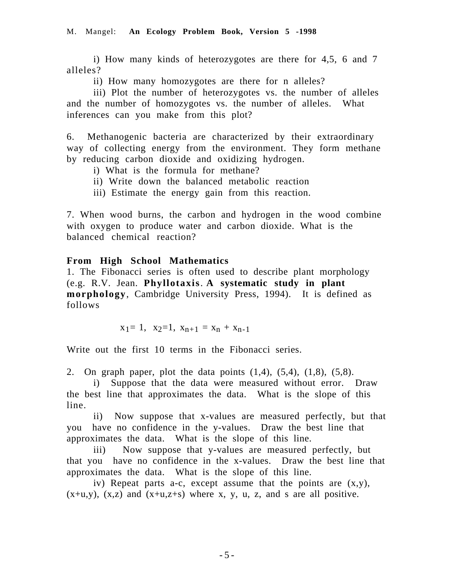i) How many kinds of heterozygotes are there for 4,5, 6 and 7 alleles?

ii) How many homozygotes are there for n alleles?

iii) Plot the number of heterozygotes vs. the number of alleles and the number of homozygotes vs. the number of alleles. What inferences can you make from this plot?

6. Methanogenic bacteria are characterized by their extraordinary way of collecting energy from the environment. They form methane by reducing carbon dioxide and oxidizing hydrogen.

- i) What is the formula for methane?
- ii) Write down the balanced metabolic reaction
- iii) Estimate the energy gain from this reaction.

7. When wood burns, the carbon and hydrogen in the wood combine with oxygen to produce water and carbon dioxide. What is the balanced chemical reaction?

#### **From High School Mathematics**

1. The Fibonacci series is often used to describe plant morphology (e.g. R.V. Jean. **Phyllotaxis**. **A systematic study in plant morphology**, Cambridge University Press, 1994). It is defined as follows

 $x_1= 1$ ,  $x_2=1$ ,  $x_{n+1} = x_n + x_{n-1}$ 

Write out the first 10 terms in the Fibonacci series.

2. On graph paper, plot the data points  $(1,4)$ ,  $(5,4)$ ,  $(1,8)$ ,  $(5,8)$ .

i) Suppose that the data were measured without error. Draw the best line that approximates the data. What is the slope of this line.

ii) Now suppose that x-values are measured perfectly, but that you have no confidence in the y-values. Draw the best line that approximates the data. What is the slope of this line.

iii) Now suppose that y-values are measured perfectly, but that you have no confidence in the x-values. Draw the best line that approximates the data. What is the slope of this line.

iv) Repeat parts a-c, except assume that the points are (x,y),  $(x+u,y)$ ,  $(x,z)$  and  $(x+u,z+s)$  where x, y, u, z, and s are all positive.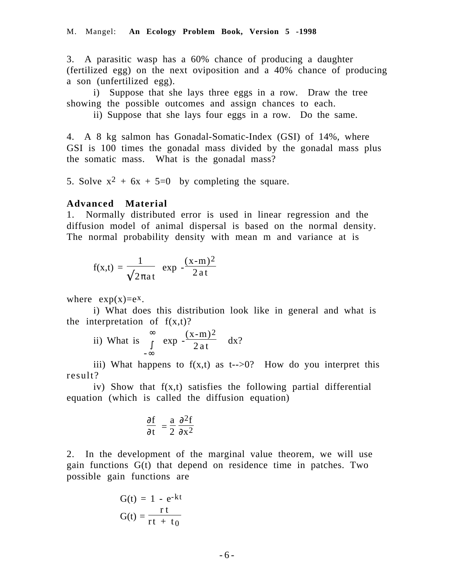3. A parasitic wasp has a 60% chance of producing a daughter (fertilized egg) on the next oviposition and a 40% chance of producing a son (unfertilized egg).

i) Suppose that she lays three eggs in a row. Draw the tree showing the possible outcomes and assign chances to each.

ii) Suppose that she lays four eggs in a row. Do the same.

4. A 8 kg salmon has Gonadal-Somatic-Index (GSI) of 14%, where GSI is 100 times the gonadal mass divided by the gonadal mass plus the somatic mass. What is the gonadal mass?

5. Solve  $x^2 + 6x + 5=0$  by completing the square.

#### **Advanced Material**

1. Normally distributed error is used in linear regression and the diffusion model of animal dispersal is based on the normal density. The normal probability density with mean m and variance at is

$$
f(x,t) = \frac{1}{\sqrt{2\pi a t}} \exp\left(-\frac{(x-m)^2}{2at}\right)
$$

where  $exp(x)=e^x$ .

i) What does this distribution look like in general and what is the interpretation of  $f(x,t)$ ?

ii) What is 
$$
\int_{-\infty}^{\infty} \exp\left(-\frac{(x-m)^2}{2at}\right) dx?
$$

iii) What happens to  $f(x,t)$  as t-->0? How do you interpret this result?

iv) Show that f(x,t) satisfies the following partial differential equation (which is called the diffusion equation)

$$
\frac{\partial f}{\partial t} = \frac{a}{2} \frac{\partial^2 f}{\partial x^2}
$$

2. In the development of the marginal value theorem, we will use gain functions G(t) that depend on residence time in patches. Two possible gain functions are

$$
G(t) = 1 - e^{-kt}
$$

$$
G(t) = \frac{rt}{rt + t_0}
$$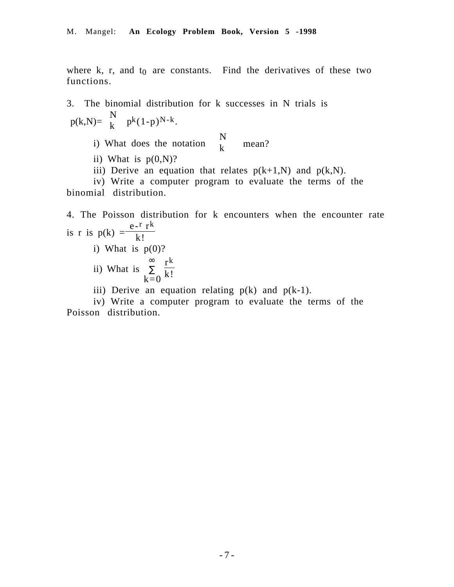where k, r, and  $t_0$  are constants. Find the derivatives of these two functions.

3. The binomial distribution for k successes in N trials is  $p(k,N) = {N \choose k} p^{k}(1-p)^{N-k}.$ i) What does the notation  $\binom{N}{k}$  $\begin{pmatrix} x \\ k \end{pmatrix}$  mean? ii) What is  $p(0,N)$ ? iii) Derive an equation that relates  $p(k+1,N)$  and  $p(k,N)$ . iv) Write a computer program to evaluate the terms of the binomial distribution.

4. The Poisson distribution for k encounters when the encounter rate is r is  $p(k) = \frac{e^{-r} r^k}{k!}$ 

- i) What is  $p(0)$ ?
- ii) What is ∑  $k=0$  $\sum_{n=0}^{\infty} \frac{r^k}{k!}$
- iii) Derive an equation relating  $p(k)$  and  $p(k-1)$ .

iv) Write a computer program to evaluate the terms of the Poisson distribution.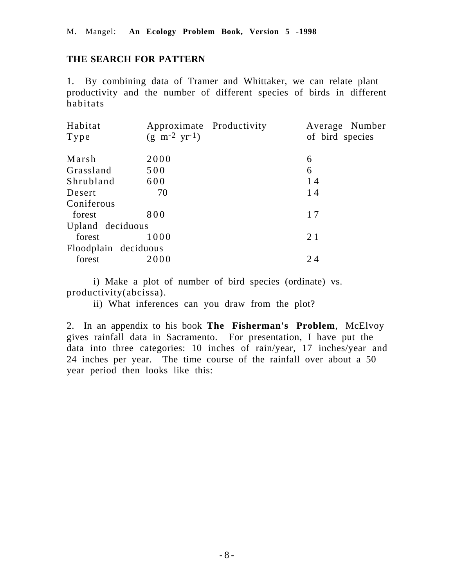### **THE SEARCH FOR PATTERN**

1. By combining data of Tramer and Whittaker, we can relate plant productivity and the number of different species of birds in different habitats

| Habitat              | Approximate Productivity             | Average Number  |
|----------------------|--------------------------------------|-----------------|
| Type                 | $(g \text{ m}^{-2} \text{ yr}^{-1})$ | of bird species |
| Marsh                | 2000                                 | 6               |
| Grassland            | 500                                  | 6               |
| Shrubland            | 600                                  | 14              |
| Desert               | 70                                   | 14              |
| Coniferous           |                                      |                 |
| forest               | 800                                  | 17              |
| Upland deciduous     |                                      |                 |
| forest               | 1000                                 | 21              |
| Floodplain deciduous |                                      |                 |
| forest               | 2000                                 | 24              |

i) Make a plot of number of bird species (ordinate) vs. productivity(abcissa).

ii) What inferences can you draw from the plot?

2. In an appendix to his book **The Fisherman's Problem**, McElvoy gives rainfall data in Sacramento. For presentation, I have put the data into three categories: 10 inches of rain/year, 17 inches/year and 24 inches per year. The time course of the rainfall over about a 50 year period then looks like this: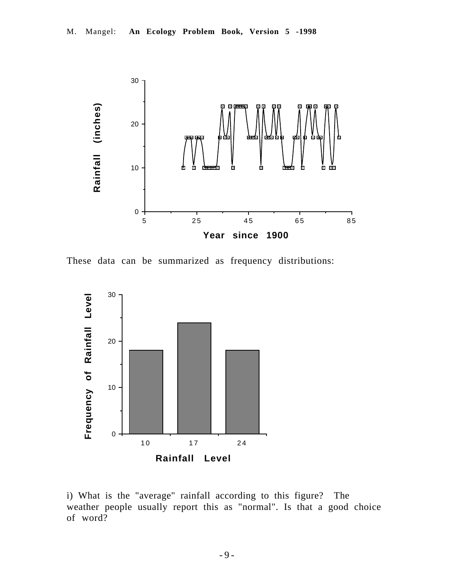

These data can be summarized as frequency distributions:



i) What is the "average" rainfall according to this figure? The weather people usually report this as "normal". Is that a good choice of word?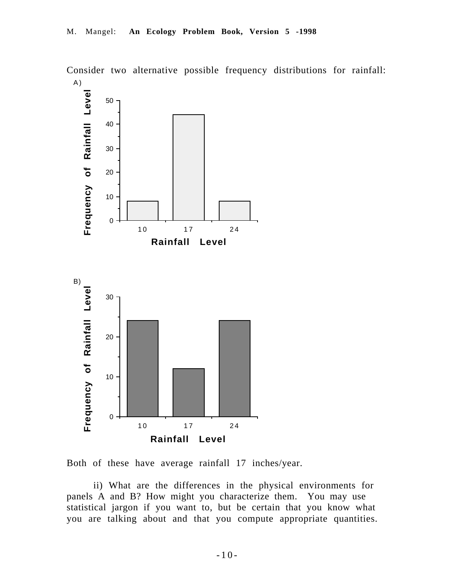

Consider two alternative possible frequency distributions for rainfall:



ii) What are the differences in the physical environments for panels A and B? How might you characterize them. You may use statistical jargon if you want to, but be certain that you know what you are talking about and that you compute appropriate quantities.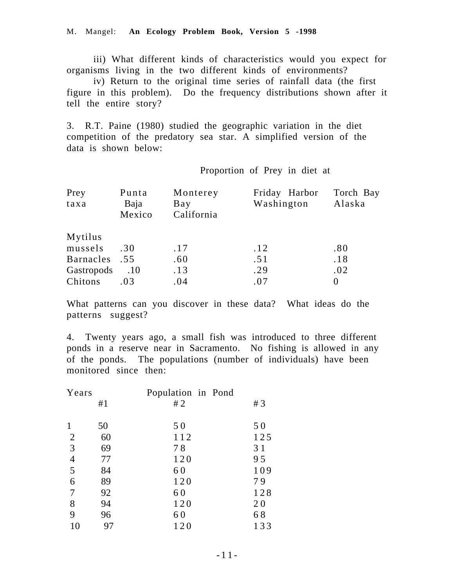iii) What different kinds of characteristics would you expect for organisms living in the two different kinds of environments?

iv) Return to the original time series of rainfall data (the first figure in this problem). Do the frequency distributions shown after it tell the entire story?

3. R.T. Paine (1980) studied the geographic variation in the diet competition of the predatory sea star. A simplified version of the data is shown below:

Proportion of Prey in diet at

| Prey<br>taxa | Punta<br>Baja<br>Mexico | Monterey<br>Bay<br>California | Friday Harbor<br>Washington | Torch Bay<br>Alaska |
|--------------|-------------------------|-------------------------------|-----------------------------|---------------------|
| Mytilus      |                         |                               |                             |                     |
| mussels      | .30                     | .17                           | .12                         | .80                 |
| Barnacles    | .55                     | .60                           | .51                         | .18                 |
| Gastropods   | .10                     | .13                           | .29                         | .02                 |
| Chitons      | .03                     | .04                           | .07                         | $\theta$            |

What patterns can you discover in these data? What ideas do the patterns suggest?

4. Twenty years ago, a small fish was introduced to three different ponds in a reserve near in Sacramento. No fishing is allowed in any of the ponds. The populations (number of individuals) have been monitored since then:

| Years          |    | Population in Pond |     |
|----------------|----|--------------------|-----|
|                | #1 | #2                 | #3  |
| 1              | 50 | 50                 | 50  |
| $\overline{2}$ | 60 | 112                | 125 |
| 3              | 69 | 78                 | 31  |
| $\overline{4}$ | 77 | 120                | 95  |
| 5              | 84 | 60                 | 109 |
| 6              | 89 | 120                | 79  |
| 7              | 92 | 60                 | 128 |
| 8              | 94 | 120                | 20  |
| 9              | 96 | 60                 | 68  |
| 10             | 97 | 120                | 133 |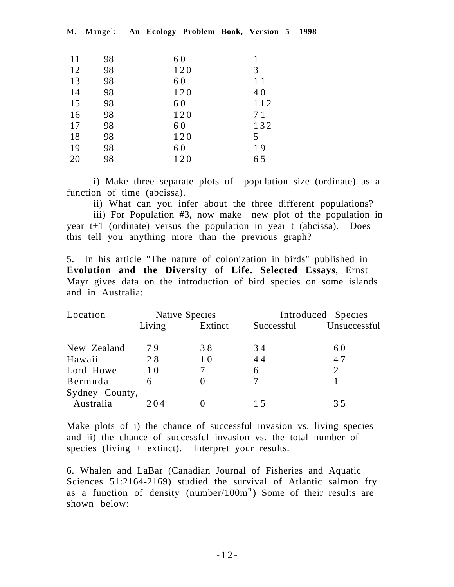|  | M. Mangel: An Ecology Problem Book, Version 5 -1998 |  |  |  |  |  |  |  |
|--|-----------------------------------------------------|--|--|--|--|--|--|--|
|--|-----------------------------------------------------|--|--|--|--|--|--|--|

| 11 | 98 | 60  |     |
|----|----|-----|-----|
| 12 | 98 | 120 | 3   |
| 13 | 98 | 60  | 11  |
| 14 | 98 | 120 | 40  |
| 15 | 98 | 60  | 112 |
| 16 | 98 | 120 | 71  |
| 17 | 98 | 60  | 132 |
| 18 | 98 | 120 | 5   |
| 19 | 98 | 60  | 19  |
| 20 | 98 | 120 | 65  |

i) Make three separate plots of population size (ordinate) as a function of time (abcissa).

ii) What can you infer about the three different populations?

iii) For Population #3, now make new plot of the population in year t+1 (ordinate) versus the population in year t (abcissa). Does this tell you anything more than the previous graph?

5. In his article "The nature of colonization in birds" published in **Evolution and the Diversity of Life. Selected Essays**, Ernst Mayr gives data on the introduction of bird species on some islands and in Australia:

| Location       |        | Native Species    |            | Introduced Species |
|----------------|--------|-------------------|------------|--------------------|
|                | Living | Extinct           | Successful | Unsuccessful       |
| New Zealand    | 79     | 38                | 34         | 60                 |
| Hawaii         | 28     | 10                | 44         | 47                 |
| Lord Howe      | 10     |                   | 6          | $\overline{2}$     |
| Bermuda        | 6      | $\mathbf{\Omega}$ |            |                    |
| Sydney County, |        |                   |            |                    |
| Australia      | 204    |                   | 15         | 35                 |

Make plots of i) the chance of successful invasion vs. living species and ii) the chance of successful invasion vs. the total number of species (living  $+$  extinct). Interpret your results.

6. Whalen and LaBar (Canadian Journal of Fisheries and Aquatic Sciences 51:2164-2169) studied the survival of Atlantic salmon fry as a function of density (number/100m2) Some of their results are shown below: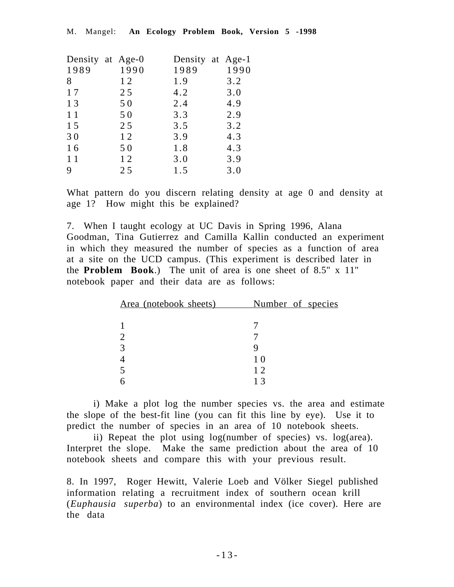|      | Density at Age-0 |      | Density at Age-1 |
|------|------------------|------|------------------|
| 1989 | 1990             | 1989 | 1990             |
| 8    | 12               | 1.9  | 3.2              |
| 17   | 25               | 4.2  | 3.0              |
| 13   | 50               | 2.4  | 4.9              |
| 11   | 50               | 3.3  | 2.9              |
| 15   | 25               | 3.5  | 3.2              |
| 30   | 12               | 3.9  | 4.3              |
| 16   | 50               | 1.8  | 4.3              |
| 11   | 12               | 3.0  | 3.9              |
| 9    | 25               | 1.5  | 3.0              |
|      |                  |      |                  |

What pattern do you discern relating density at age 0 and density at age 1? How might this be explained?

7. When I taught ecology at UC Davis in Spring 1996, Alana Goodman, Tina Gutierrez and Camilla Kallin conducted an experiment in which they measured the number of species as a function of area at a site on the UCD campus. (This experiment is described later in the **Problem Book**.) The unit of area is one sheet of 8.5" x 11" notebook paper and their data are as follows:

| Area (notebook sheets) | Number of species |
|------------------------|-------------------|
|                        |                   |
|                        |                   |
|                        |                   |
|                        |                   |
|                        | 10                |
|                        | 12                |
|                        |                   |

i) Make a plot log the number species vs. the area and estimate the slope of the best-fit line (you can fit this line by eye). Use it to predict the number of species in an area of 10 notebook sheets.

ii) Repeat the plot using log(number of species) vs. log(area). Interpret the slope. Make the same prediction about the area of 10 notebook sheets and compare this with your previous result.

8. In 1997, Roger Hewitt, Valerie Loeb and Völker Siegel published information relating a recruitment index of southern ocean krill (*Euphausia superba*) to an environmental index (ice cover). Here are the data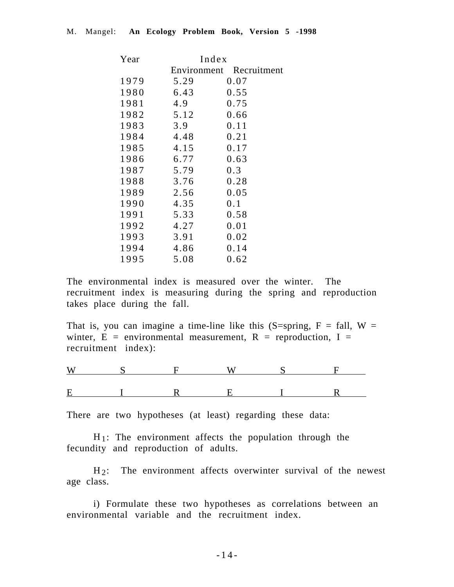| Index |                         |  |  |
|-------|-------------------------|--|--|
|       | Environment Recruitment |  |  |
| 5.29  | 0.07                    |  |  |
| 6.43  | 0.55                    |  |  |
| 4.9   | 0.75                    |  |  |
| 5.12  | 0.66                    |  |  |
| 3.9   | 0.11                    |  |  |
| 4.48  | 0.21                    |  |  |
| 4.15  | 0.17                    |  |  |
| 6.77  | 0.63                    |  |  |
| 5.79  | 0.3                     |  |  |
| 3.76  | 0.28                    |  |  |
| 2.56  | 0.05                    |  |  |
| 4.35  | 0.1                     |  |  |
| 5.33  | 0.58                    |  |  |
| 4.27  | 0.01                    |  |  |
| 3.91  | 0.02                    |  |  |
| 4.86  | 0.14                    |  |  |
| 5.08  | 0.62                    |  |  |
|       |                         |  |  |

The environmental index is measured over the winter. The recruitment index is measuring during the spring and reproduction takes place during the fall.

That is, you can imagine a time-line like this  $(S=spring, F = fall, W =$ winter,  $\vec{E}$  = environmental measurement,  $R$  = reproduction, I = recruitment index):

There are two hypotheses (at least) regarding these data:

 $H_1$ : The environment affects the population through the fecundity and reproduction of adults.

H<sub>2</sub>: The environment affects overwinter survival of the newest age class.

i) Formulate these two hypotheses as correlations between an environmental variable and the recruitment index.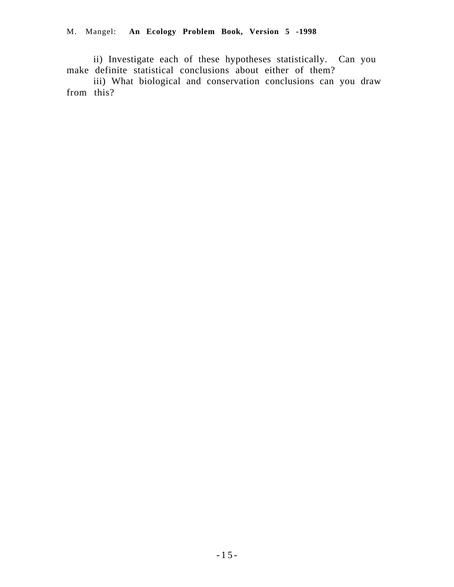ii) Investigate each of these hypotheses statistically. Can you make definite statistical conclusions about either of them?

iii) What biological and conservation conclusions can you draw from this?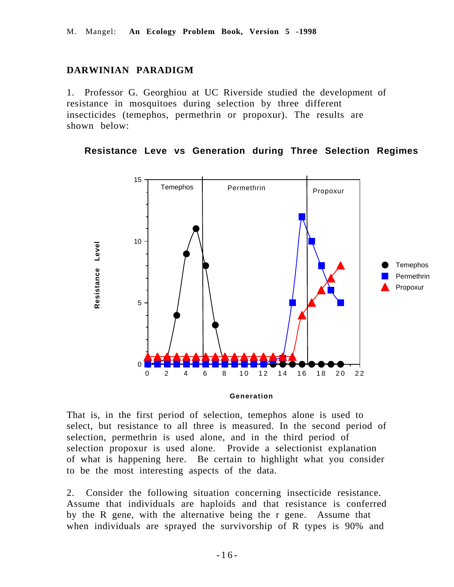## **DARWINIAN PARADIGM**

1. Professor G. Georghiou at UC Riverside studied the development of resistance in mosquitoes during selection by three different insecticides (temephos, permethrin or propoxur). The results are shown below:

#### **Resistance Leve vs Generation during Three Selection Regimes**



That is, in the first period of selection, temephos alone is used to select, but resistance to all three is measured. In the second period of selection, permethrin is used alone, and in the third period of selection propoxur is used alone. Provide a selectionist explanation of what is happening here. Be certain to highlight what you consider

to be the most interesting aspects of the data. 2. Consider the following situation concerning insecticide resistance. Assume that individuals are haploids and that resistance is conferred by the R gene, with the alternative being the r gene. Assume that when individuals are sprayed the survivorship of R types is 90% and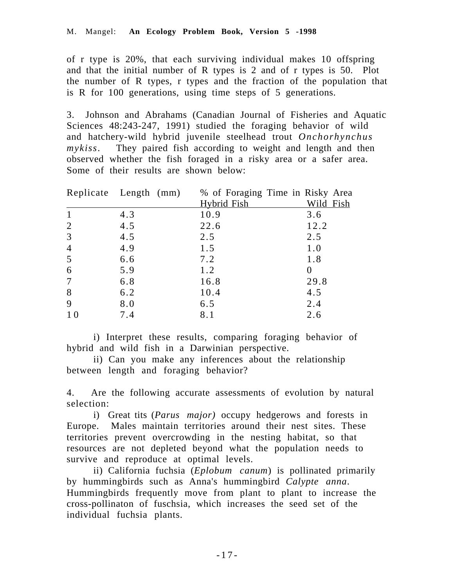of r type is 20%, that each surviving individual makes 10 offspring and that the initial number of R types is 2 and of r types is 50. Plot the number of R types, r types and the fraction of the population that is R for 100 generations, using time steps of 5 generations.

3. Johnson and Abrahams (Canadian Journal of Fisheries and Aquatic Sciences 48:243-247, 1991) studied the foraging behavior of wild and hatchery-wild hybrid juvenile steelhead trout *Onchorhynchus mykiss*. They paired fish according to weight and length and then observed whether the fish foraged in a risky area or a safer area. Some of their results are shown below:

|                | Replicate Length (mm) | % of Foraging Time in Risky Area |           |
|----------------|-----------------------|----------------------------------|-----------|
|                |                       | Hybrid Fish                      | Wild Fish |
| $\mathbf{1}$   | 4.3                   | 10.9                             | 3.6       |
| $\overline{2}$ | 4.5                   | 22.6                             | 12.2      |
| 3              | 4.5                   | 2.5                              | 2.5       |
| $\overline{4}$ | 4.9                   | 1.5                              | 1.0       |
| 5              | 6.6                   | 7.2                              | 1.8       |
| 6              | 5.9                   | 1.2                              | 0         |
| 7              | 6.8                   | 16.8                             | 29.8      |
| 8              | 6.2                   | 10.4                             | 4.5       |
| 9              | 8.0                   | 6.5                              | 2.4       |
| 1 <sub>0</sub> | 7.4                   | 8.1                              | 2.6       |

i) Interpret these results, comparing foraging behavior of hybrid and wild fish in a Darwinian perspective.

ii) Can you make any inferences about the relationship between length and foraging behavior?

4. Are the following accurate assessments of evolution by natural selection:

i) Great tits (*Parus major)* occupy hedgerows and forests in Europe. Males maintain territories around their nest sites. These territories prevent overcrowding in the nesting habitat, so that resources are not depleted beyond what the population needs to survive and reproduce at optimal levels.

ii) California fuchsia (*Eplobum canum*) is pollinated primarily by hummingbirds such as Anna's hummingbird *Calypte anna*. Hummingbirds frequently move from plant to plant to increase the cross-pollinaton of fuschsia, which increases the seed set of the individual fuchsia plants.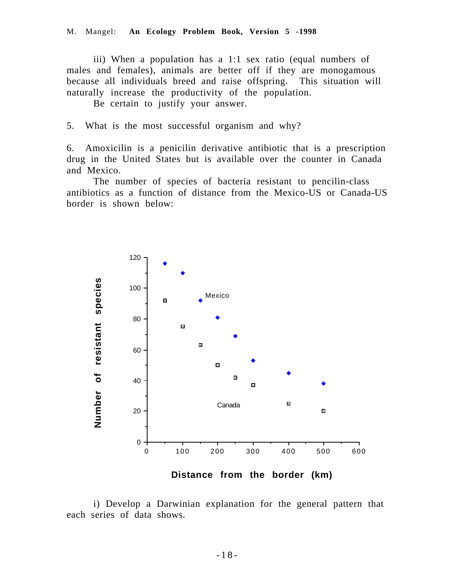iii) When a population has a 1:1 sex ratio (equal numbers of males and females), animals are better off if they are monogamous because all individuals breed and raise offspring. This situation will naturally increase the productivity of the population.

Be certain to justify your answer.

5. What is the most successful organism and why?

6. Amoxicilin is a penicilin derivative antibiotic that is a prescription drug in the United States but is available over the counter in Canada and Mexico.

The number of species of bacteria resistant to pencilin-class antibiotics as a function of distance from the Mexico-US or Canada-US border is shown below:



i) Develop a Darwinian explanation for the general pattern that each series of data shows.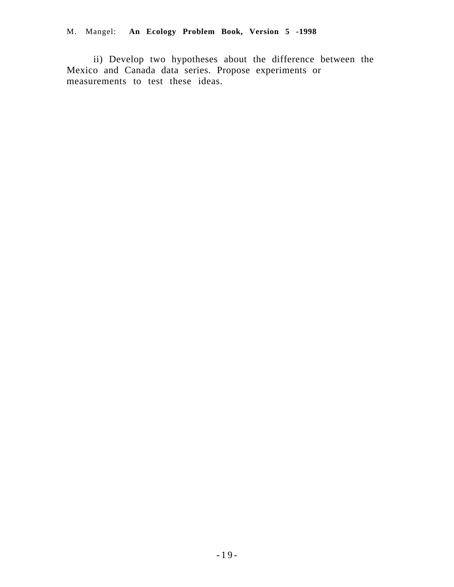## M. Mangel: **An Ecology Problem Book, Version 5 -1998**

ii) Develop two hypotheses about the difference between the Mexico and Canada data series. Propose experiments or measurements to test these ideas.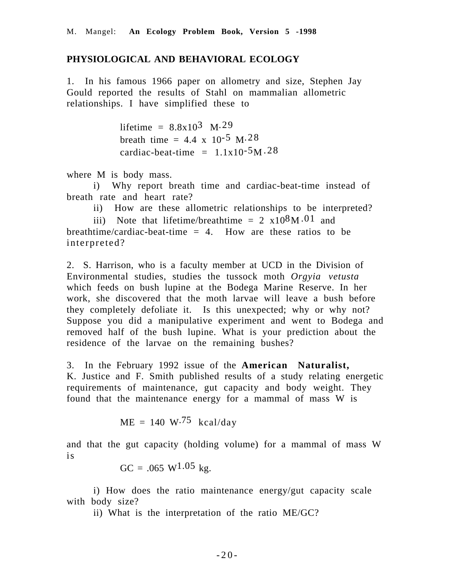#### **PHYSIOLOGICAL AND BEHAVIORAL ECOLOGY**

1. In his famous 1966 paper on allometry and size, Stephen Jay Gould reported the results of Stahl on mammalian allometric relationships. I have simplified these to

> lifetime =  $8.8x10^3$  M.29 breath time =  $4.4 \times 10^{-5}$  M $.28$ cardiac-beat-time =  $1.1x10^{-5}M.28$

where M is body mass.

i) Why report breath time and cardiac-beat-time instead of breath rate and heart rate?

ii) How are these allometric relationships to be interpreted?

iii) Note that lifetime/breathtime =  $2 \times 10^8 M \cdot 01$  and breathtime/cardiac-beat-time  $= 4$ . How are these ratios to be interpreted?

2. S. Harrison, who is a faculty member at UCD in the Division of Environmental studies, studies the tussock moth *Orgyia vetusta* which feeds on bush lupine at the Bodega Marine Reserve. In her work, she discovered that the moth larvae will leave a bush before they completely defoliate it. Is this unexpected; why or why not? Suppose you did a manipulative experiment and went to Bodega and removed half of the bush lupine. What is your prediction about the residence of the larvae on the remaining bushes?

3. In the February 1992 issue of the **American Naturalist,** K. Justice and F. Smith published results of a study relating energetic requirements of maintenance, gut capacity and body weight. They found that the maintenance energy for a mammal of mass W is

 $ME = 140 W<sup>.75</sup> kcal/day$ 

and that the gut capacity (holding volume) for a mammal of mass W is

 $GC = .065 W^{1.05} kg.$ 

i) How does the ratio maintenance energy/gut capacity scale with body size?

ii) What is the interpretation of the ratio ME/GC?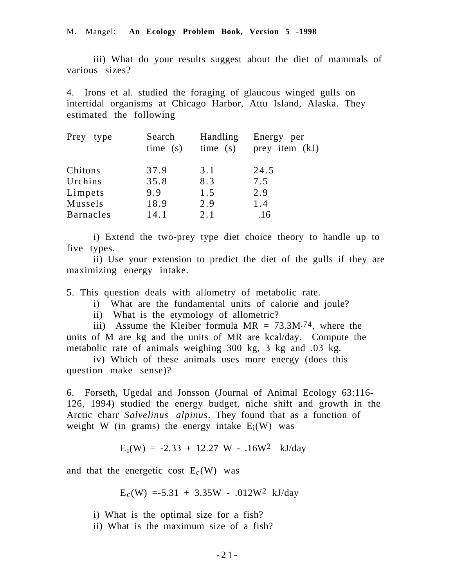#### M. Mangel: **An Ecology Problem Book, Version 5 -1998**

iii) What do your results suggest about the diet of mammals of various sizes?

4. Irons et al. studied the foraging of glaucous winged gulls on intertidal organisms at Chicago Harbor, Attu Island, Alaska. They estimated the following

| Prey type        | Search<br>time(s) | Handling<br>time(s) | Energy per<br>prey item (kJ) |
|------------------|-------------------|---------------------|------------------------------|
| Chitons          | 37.9              | 3.1                 | 24.5                         |
| Urchins          | 35.8              | 8.3                 | 7.5                          |
| Limpets          | 9.9               | 1.5                 | 2.9                          |
| Mussels          | 18.9              | 2.9                 | 1.4                          |
| <b>Barnacles</b> | 14.1              | 2.1                 | .16                          |

i) Extend the two-prey type diet choice theory to handle up to five types.

ii) Use your extension to predict the diet of the gulls if they are maximizing energy intake.

5. This question deals with allometry of metabolic rate.

- i) What are the fundamental units of calorie and joule?
- ii) What is the etymology of allometric?

iii) Assume the Kleiber formula  $MR = 73.3M^{74}$ , where the units of M are kg and the units of MR are kcal/day. Compute the metabolic rate of animals weighing 300 kg, 3 kg and .03 kg.

iv) Which of these animals uses more energy (does this question make sense)?

6. Forseth, Ugedal and Jonsson (Journal of Animal Ecology 63:116- 126, 1994) studied the energy budget, niche shift and growth in the Arctic charr *Salvelinus alpinus*. They found that as a function of weight W (in grams) the energy intake  $E_i(W)$  was

$$
E_i(W) = -2.33 + 12.27 W - .16W^2 \text{ kJ/day}
$$

and that the energetic cost  $E_c(W)$  was

 $E_c(W) = -5.31 + 3.35W - .012W^2$  kJ/day

i) What is the optimal size for a fish?

ii) What is the maximum size of a fish?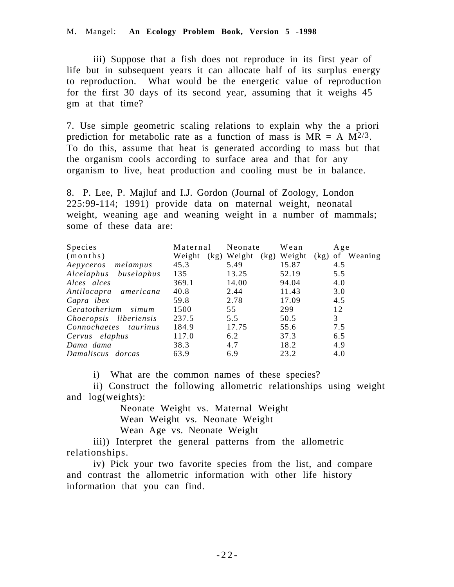#### M. Mangel: **An Ecology Problem Book, Version 5 -1998**

iii) Suppose that a fish does not reproduce in its first year of life but in subsequent years it can allocate half of its surplus energy to reproduction. What would be the energetic value of reproduction for the first 30 days of its second year, assuming that it weighs 45 gm at that time?

7. Use simple geometric scaling relations to explain why the a priori prediction for metabolic rate as a function of mass is  $MR = A M^{2/3}$ . To do this, assume that heat is generated according to mass but that the organism cools according to surface area and that for any organism to live, heat production and cooling must be in balance.

8. P. Lee, P. Majluf and I.J. Gordon (Journal of Zoology, London 225:99-114; 1991) provide data on maternal weight, neonatal weight, weaning age and weaning weight in a number of mammals; some of these data are:

| <b>Species</b>         | Maternal | Neonate             | Wean                | Age     |
|------------------------|----------|---------------------|---------------------|---------|
| (months)               | Weight   | (kg) Weight<br>(kg) | Weight<br>$(kg)$ of | Weaning |
| Aepyceros melampus     | 45.3     | 5.49                | 15.87               | 4.5     |
| Alcelaphus buselaphus  | 135      | 13.25               | 52.19               | 5.5     |
| Alces alces            | 369.1    | 14.00               | 94.04               | 4.0     |
| Antilocapra americana  | 40.8     | 2.44                | 11.43               | 3.0     |
| Capra ibex             | 59.8     | 2.78                | 17.09               | 4.5     |
| Ceratotherium<br>simum | 1500     | 55                  | 299                 | 12      |
| Choeropsis liberiensis | 237.5    | 5.5                 | 50.5                | 3       |
| Connochaetes taurinus  | 184.9    | 17.75               | 55.6                | 7.5     |
| Cervus elaphus         | 117.0    | 6.2                 | 37.3                | 6.5     |
| Dama dama              | 38.3     | 4.7                 | 18.2                | 4.9     |
| Damaliscus dorcas      | 63.9     | 6.9                 | 23.2                | 4.0     |

i) What are the common names of these species?

ii) Construct the following allometric relationships using weight and log(weights):

> Neonate Weight vs. Maternal Weight Wean Weight vs. Neonate Weight Wean Age vs. Neonate Weight

iii)) Interpret the general patterns from the allometric relationships.

iv) Pick your two favorite species from the list, and compare and contrast the allometric information with other life history information that you can find.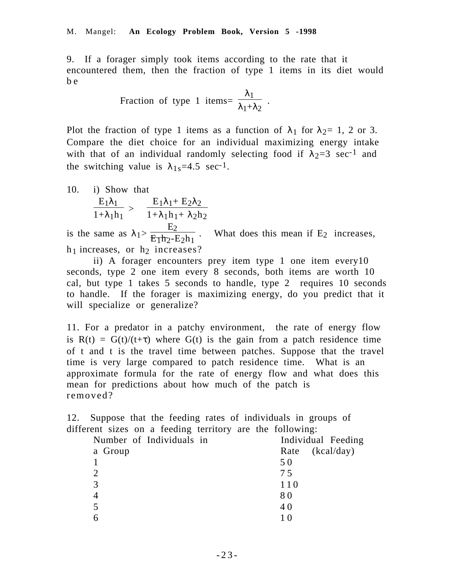9. If a forager simply took items according to the rate that it encountered them, then the fraction of type 1 items in its diet would b e

Fraction of type 1 items = 
$$
\frac{\lambda_1}{\lambda_1 + \lambda_2}
$$
.

Plot the fraction of type 1 items as a function of  $\lambda_1$  for  $\lambda_2 = 1$ , 2 or 3. Compare the diet choice for an individual maximizing energy intake with that of an individual randomly selecting food if  $\lambda_2=3$  sec<sup>-1</sup> and the switching value is  $\lambda_{1s}=4.5$  sec<sup>-1</sup>.

10. i) Show that  
\n
$$
\frac{E_1 \lambda_1}{1 + \lambda_1 h_1} > \frac{E_1 \lambda_1 + E_2 \lambda_2}{1 + \lambda_1 h_1 + \lambda_2 h_2}
$$
\nis the same as  $\lambda_1 > \frac{E_2}{E_1 h_2 - E_2 h_1}$ . What does this mean if E<sub>2</sub> increases,  
\nh<sub>1</sub> increases, or h<sub>2</sub> increases?

ii) A forager encounters prey item type 1 one item every10 seconds, type 2 one item every 8 seconds, both items are worth 10 cal, but type 1 takes 5 seconds to handle, type 2 requires 10 seconds to handle. If the forager is maximizing energy, do you predict that it will specialize or generalize?

11. For a predator in a patchy environment, the rate of energy flow is  $R(t) = G(t)/(t+\tau)$  where  $G(t)$  is the gain from a patch residence time of t and t is the travel time between patches. Suppose that the travel time is very large compared to patch residence time. What is an approximate formula for the rate of energy flow and what does this mean for predictions about how much of the patch is removed?

12. Suppose that the feeding rates of individuals in groups of different sizes on a feeding territory are the following:

| Number of Individuals in | Individual Feeding |
|--------------------------|--------------------|
| a Group                  | (kcal/day)<br>Rate |
|                          | 50                 |
| $\overline{2}$           | 75                 |
| 3                        | 110                |
| $\overline{4}$           | 80                 |
|                          | 40                 |
|                          |                    |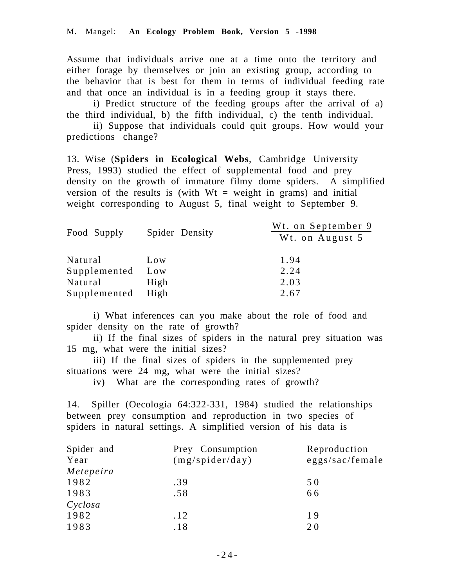Assume that individuals arrive one at a time onto the territory and either forage by themselves or join an existing group, according to the behavior that is best for them in terms of individual feeding rate and that once an individual is in a feeding group it stays there.

i) Predict structure of the feeding groups after the arrival of a) the third individual, b) the fifth individual, c) the tenth individual.

ii) Suppose that individuals could quit groups. How would your predictions change?

13. Wise (**Spiders in Ecological Webs**, Cambridge University Press, 1993) studied the effect of supplemental food and prey density on the growth of immature filmy dome spiders. A simplified version of the results is (with  $Wt = weight$  in grams) and initial weight corresponding to August 5, final weight to September 9.

| Food Supply  | Spider Density | Wt. on September 9<br>Wt. on August 5 |
|--------------|----------------|---------------------------------------|
| Natural      | Low            | 1.94                                  |
| Supplemented | Low            | 2.24                                  |
| Natural      | High           | 2.03                                  |
| Supplemented | High           | 2.67                                  |

i) What inferences can you make about the role of food and spider density on the rate of growth?

ii) If the final sizes of spiders in the natural prey situation was 15 mg, what were the initial sizes?

iii) If the final sizes of spiders in the supplemented prey situations were 24 mg, what were the initial sizes?

iv) What are the corresponding rates of growth?

14. Spiller (Oecologia 64:322-331, 1984) studied the relationships between prey consumption and reproduction in two species of spiders in natural settings. A simplified version of his data is

| Spider and | Prey Consumption | Reproduction    |
|------------|------------------|-----------------|
| Year       | (mg/spider/day)  | eggs/sac/female |
| Metepeira  |                  |                 |
| 1982       | .39              | 50              |
| 1983       | .58              | 66              |
| Cyclosa    |                  |                 |
| 1982       | .12              | 19              |
| 1983       | .18              | 20              |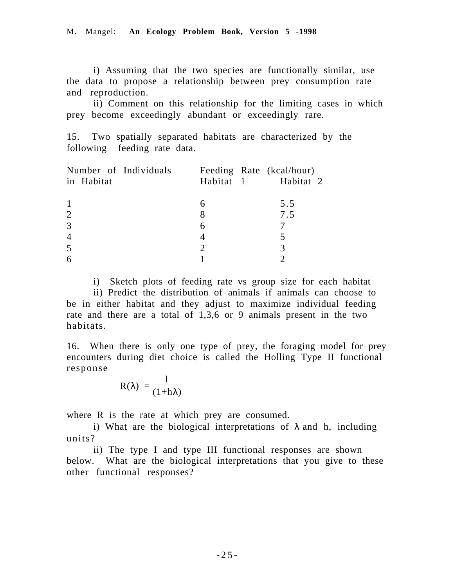i) Assuming that the two species are functionally similar, use the data to propose a relationship between prey consumption rate and reproduction.

ii) Comment on this relationship for the limiting cases in which prey become exceedingly abundant or exceedingly rare.

15. Two spatially separated habitats are characterized by the following feeding rate data.

| Number of Individuals | Feeding Rate (kcal/hour) |     |
|-----------------------|--------------------------|-----|
| in Habitat            | Habitat 1 Habitat 2      |     |
|                       |                          |     |
|                       |                          | 5.5 |
| 2                     | 8                        | 7.5 |
| 3                     | 6                        |     |
|                       |                          |     |
| 5                     |                          |     |
|                       |                          |     |

i) Sketch plots of feeding rate vs group size for each habitat

ii) Predict the distribution of animals if animals can choose to be in either habitat and they adjust to maximize individual feeding rate and there are a total of 1,3,6 or 9 animals present in the two habitats.

16. When there is only one type of prey, the foraging model for prey encounters during diet choice is called the Holling Type II functional response

$$
R(\lambda) = \frac{1}{(1+h\lambda)}
$$

where R is the rate at which prey are consumed.

i) What are the biological interpretations of  $\lambda$  and h, including units?

ii) The type I and type III functional responses are shown below. What are the biological interpretations that you give to these other functional responses?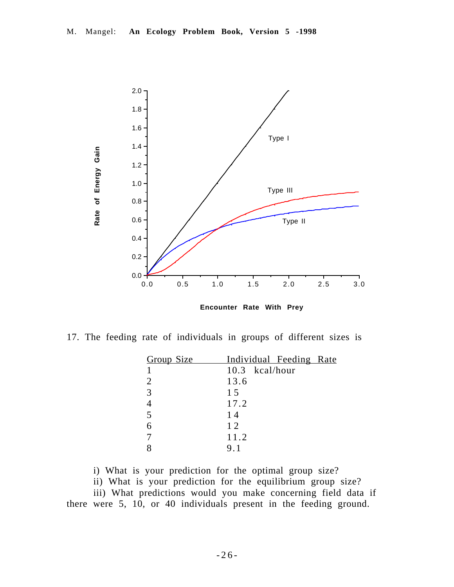

**Encounter Rate With Prey**

17. The feeding rate of individuals in groups of different sizes is

| Group Size     | Individual Feeding Rate |
|----------------|-------------------------|
|                | 10.3 kcal/hour          |
| $\overline{2}$ | 13.6                    |
| 3              | 15                      |
|                | 17.2                    |
| 5              | 14                      |
| 6              | 12                      |
|                | 11.2                    |
|                | 9.1                     |

i) What is your prediction for the optimal group size?

ii) What is your prediction for the equilibrium group size?

iii) What predictions would you make concerning field data if there were 5, 10, or 40 individuals present in the feeding ground.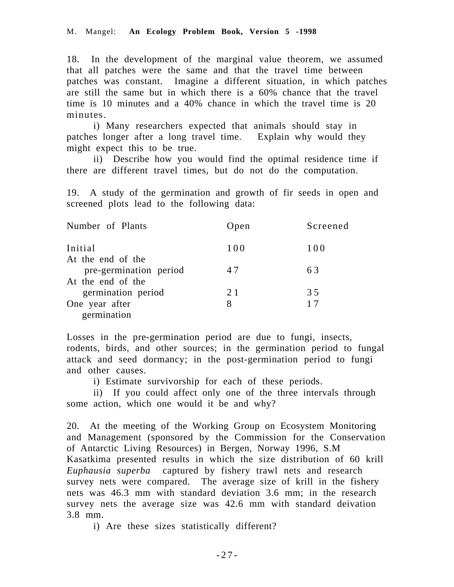18. In the development of the marginal value theorem, we assumed that all patches were the same and that the travel time between patches was constant. Imagine a different situation, in which patches are still the same but in which there is a 60% chance that the travel time is 10 minutes and a 40% chance in which the travel time is 20 minutes.

i) Many researchers expected that animals should stay in patches longer after a long travel time. Explain why would they might expect this to be true.

ii) Describe how you would find the optimal residence time if there are different travel times, but do not do the computation.

19. A study of the germination and growth of fir seeds in open and screened plots lead to the following data:

| Number of Plants       | Open | Screened |
|------------------------|------|----------|
| Initial                | 100  | 100      |
| At the end of the      |      |          |
| pre-germination period | 47   | 63       |
| At the end of the      |      |          |
| germination period     | 21   | 35       |
| One year after         | 8    | 17       |
| germination            |      |          |

Losses in the pre-germination period are due to fungi, insects, rodents, birds, and other sources; in the germination period to fungal attack and seed dormancy; in the post-germination period to fungi and other causes.

i) Estimate survivorship for each of these periods.

ii) If you could affect only one of the three intervals through some action, which one would it be and why?

20. At the meeting of the Working Group on Ecosystem Monitoring and Management (sponsored by the Commission for the Conservation of Antarctic Living Resources) in Bergen, Norway 1996, S.M Kasatkima presented results in which the size distribution of 60 krill *Euphausia superba* captured by fishery trawl nets and research survey nets were compared. The average size of krill in the fishery nets was 46.3 mm with standard deviation 3.6 mm; in the research survey nets the average size was 42.6 mm with standard deivation 3.8 mm.

i) Are these sizes statistically different?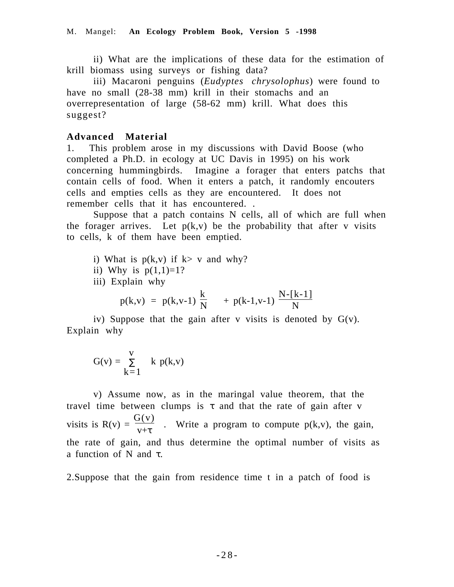ii) What are the implications of these data for the estimation of krill biomass using surveys or fishing data?

iii) Macaroni penguins (*Eudyptes chrysolophus*) were found to have no small (28-38 mm) krill in their stomachs and an overrepresentation of large (58-62 mm) krill. What does this suggest?

## **Advanced Material**

1. This problem arose in my discussions with David Boose (who completed a Ph.D. in ecology at UC Davis in 1995) on his work concerning hummingbirds. Imagine a forager that enters patchs that contain cells of food. When it enters a patch, it randomly encouters cells and empties cells as they are encountered. It does not remember cells that it has encountered. .

Suppose that a patch contains N cells, all of which are full when the forager arrives. Let  $p(k, v)$  be the probability that after v visits to cells, k of them have been emptied.

i) What is  $p(k, v)$  if  $k > v$  and why?

ii) Why is  $p(1,1)=1$ ?

iii) Explain why

$$
p(k,v) = p(k,v-1)\left(\frac{k}{N}\right) + p(k-1,v-1)\left(\frac{N-[k-1]}{N}\right)
$$

iv) Suppose that the gain after v visits is denoted by  $G(v)$ . Explain why

$$
G(v) = \sum_{k=1}^{v} k p(k,v)
$$

v) Assume now, as in the maringal value theorem, that the travel time between clumps is  $\tau$  and that the rate of gain after v visits is  $R(v) = \frac{G(v)}{v+\tau}$ . Write a program to compute  $p(k,v)$ , the gain, the rate of gain, and thus determine the optimal number of visits as a function of N and τ.

2.Suppose that the gain from residence time t in a patch of food is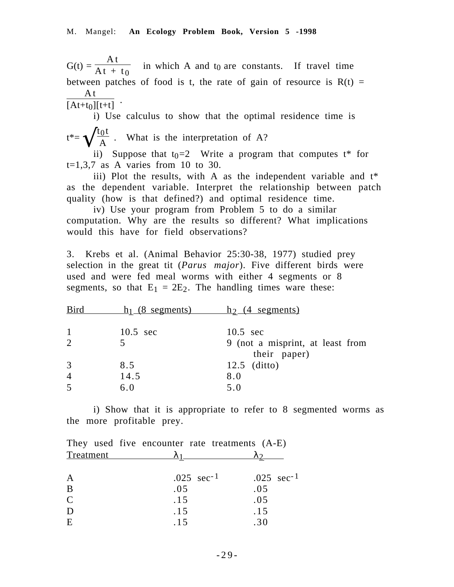$G(t) =$ A t  $\frac{44x}{41 + x}$  in which A and t<sub>0</sub> are constants. If travel time between patches of food is t, the rate of gain of resource is  $R(t) =$ A t  $[At+t<sub>0</sub>][t+t]$ 

i) Use calculus to show that the optimal residence time is  $t^* = \sqrt{\frac{t_0 t}{A}}$ . What is the interpretation of A?

ii) Suppose that  $t_0=2$  Write a program that computes  $t^*$  for  $t=1,3,7$  as A varies from 10 to 30.

iii) Plot the results, with A as the independent variable and  $t^*$ as the dependent variable. Interpret the relationship between patch quality (how is that defined?) and optimal residence time.

iv) Use your program from Problem 5 to do a similar computation. Why are the results so different? What implications would this have for field observations?

3. Krebs et al. (Animal Behavior 25:30-38, 1977) studied prey selection in the great tit (*Parus major*). Five different birds were used and were fed meal worms with either 4 segments or 8 segments, so that  $E_1 = 2E_2$ . The handling times ware these:

| <b>Bird</b>    | $h_1(8$ segments)  | $h_2$ (4 segments)                               |
|----------------|--------------------|--------------------------------------------------|
| $\mathbf{1}$   | $10.5 \text{ sec}$ | $10.5 \text{ sec}$                               |
| 2              |                    | 9 (not a misprint, at least from<br>their paper) |
| 3              | 8.5                | $12.5$ (ditto)                                   |
| $\overline{4}$ | 14.5               | 8.0                                              |
| 5              | 6.0                | 5.0                                              |

i) Show that it is appropriate to refer to 8 segmented worms as the more profitable prey.

|                  | They used five encounter rate treatments (A-E) |                         |
|------------------|------------------------------------------------|-------------------------|
| <b>Treatment</b> |                                                |                         |
| A                | $.025 \text{ sec}^{-1}$                        | $.025 \text{ sec}^{-1}$ |
| B                | .05                                            | .05                     |
| $\overline{C}$   | .15                                            | .05                     |
| D                | .15                                            | .15                     |
| E                | .15                                            | .30                     |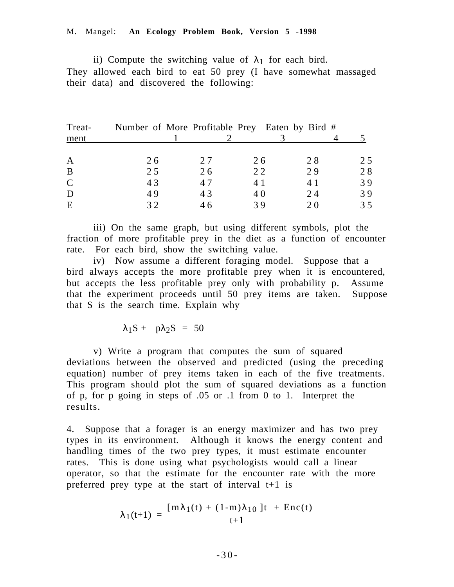ii) Compute the switching value of  $\lambda_1$  for each bird. They allowed each bird to eat 50 prey (I have somewhat massaged their data) and discovered the following:

| 25 |
|----|
| 28 |
| 39 |
| 39 |
| 35 |
|    |

iii) On the same graph, but using different symbols, plot the fraction of more profitable prey in the diet as a function of encounter rate. For each bird, show the switching value.

iv) Now assume a different foraging model. Suppose that a bird always accepts the more profitable prey when it is encountered, but accepts the less profitable prey only with probability p. Assume that the experiment proceeds until 50 prey items are taken. Suppose that S is the search time. Explain why

 $\lambda_1S + p\lambda_2S = 50$ 

v) Write a program that computes the sum of squared deviations between the observed and predicted (using the preceding equation) number of prey items taken in each of the five treatments. This program should plot the sum of squared deviations as a function of p, for p going in steps of .05 or .1 from 0 to 1. Interpret the results.

4. Suppose that a forager is an energy maximizer and has two prey types in its environment. Although it knows the energy content and handling times of the two prey types, it must estimate encounter rates. This is done using what psychologists would call a linear operator, so that the estimate for the encounter rate with the more preferred prey type at the start of interval t+1 is

$$
\lambda_1(t+1) = \frac{\left[m\lambda_1(t) + (1-m)\lambda_{10}\right]t + Enc(t)}{t+1}
$$

-30-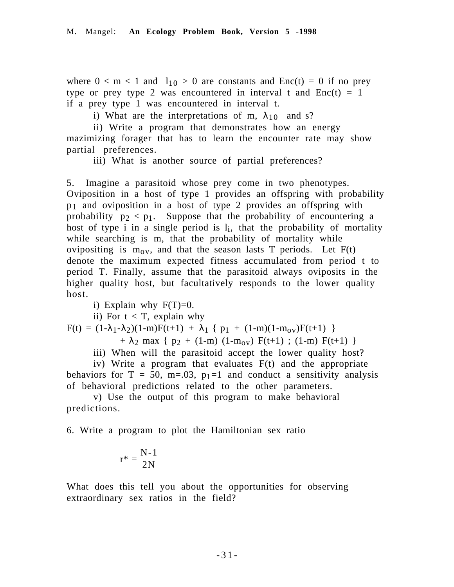where  $0 < m < 1$  and  $1_{10} > 0$  are constants and  $Enc(t) = 0$  if no prey type or prey type 2 was encountered in interval t and  $Enc(t) = 1$ if a prey type 1 was encountered in interval t.

i) What are the interpretations of m,  $\lambda_{10}$  and s?

ii) Write a program that demonstrates how an energy mazimizing forager that has to learn the encounter rate may show partial preferences.

iii) What is another source of partial preferences?

5. Imagine a parasitoid whose prey come in two phenotypes. Oviposition in a host of type 1 provides an offspring with probability p1 and oviposition in a host of type 2 provides an offspring with probability  $p_2 < p_1$ . Suppose that the probability of encountering a host of type i in a single period is  $l_i$ , that the probability of mortality while searching is m, that the probability of mortality while ovipositing is  $m_{0v}$ , and that the season lasts T periods. Let  $F(t)$ denote the maximum expected fitness accumulated from period t to period T. Finally, assume that the parasitoid always oviposits in the higher quality host, but facultatively responds to the lower quality host.

i) Explain why  $F(T)=0$ .

ii) For  $t < T$ , explain why

 $F(t) = (1-\lambda_1-\lambda_2)(1-m)F(t+1) + \lambda_1 \{ p_1 + (1-m)(1-m_{0V})F(t+1) \}$ 

+  $\lambda_2$  max {  $p_2$  + (1-m) (1-m<sub>ov</sub>) F(t+1) ; (1-m) F(t+1) }

iii) When will the parasitoid accept the lower quality host?

iv) Write a program that evaluates F(t) and the appropriate behaviors for  $T = 50$ ,  $m = .03$ ,  $p_1 = 1$  and conduct a sensitivity analysis of behavioral predictions related to the other parameters.

v) Use the output of this program to make behavioral predictions.

6. Write a program to plot the Hamiltonian sex ratio

$$
r^* = \frac{N-1}{2N}
$$

What does this tell you about the opportunities for observing extraordinary sex ratios in the field?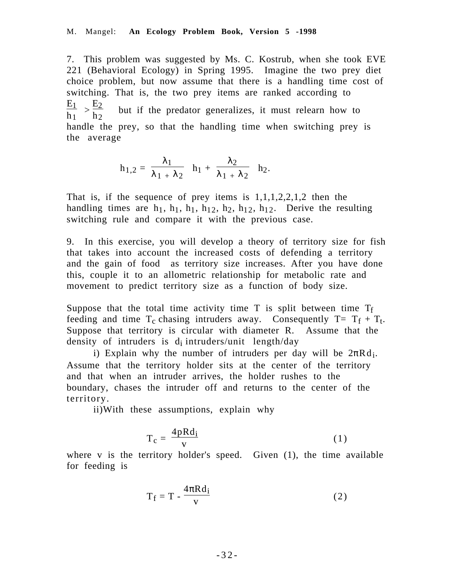7. This problem was suggested by Ms. C. Kostrub, when she took EVE 221 (Behavioral Ecology) in Spring 1995. Imagine the two prey diet choice problem, but now assume that there is a handling time cost of switching. That is, the two prey items are ranked according to  $E_1$  $\frac{E_1}{h_1} > \frac{E_2}{h_2}$  $h<sub>2</sub>$  but if the predator generalizes, it must relearn how to handle the prey, so that the handling time when switching prey is the average

$$
h_{1,2} = \frac{\lambda_1}{\lambda_1 + \lambda_2} h_1 + \frac{\lambda_2}{\lambda_1 + \lambda_2} h_2.
$$

That is, if the sequence of prey items is  $1,1,1,2,2,1,2$  then the handling times are  $h_1$ ,  $h_1$ ,  $h_1$ ,  $h_1$ ,  $h_2$ ,  $h_2$ ,  $h_1$ <sub>2</sub>. Derive the resulting switching rule and compare it with the previous case.

9. In this exercise, you will develop a theory of territory size for fish that takes into account the increased costs of defending a territory and the gain of food as territory size increases. After you have done this, couple it to an allometric relationship for metabolic rate and movement to predict territory size as a function of body size.

Suppose that the total time activity time  $T$  is split between time  $T_f$ feeding and time  $T_c$  chasing intruders away. Consequently  $T = T_f + T_t$ . Suppose that territory is circular with diameter R. Assume that the density of intruders is  $d_i$  intruders/unit length/day

i) Explain why the number of intruders per day will be  $2\pi Rd_i$ . Assume that the territory holder sits at the center of the territory and that when an intruder arrives, the holder rushes to the boundary, chases the intruder off and returns to the center of the territory.

ii)With these assumptions, explain why

$$
T_c = \frac{4pRd_i}{v} \tag{1}
$$

where  $v$  is the territory holder's speed. Given  $(1)$ , the time available for feeding is

$$
T_f = T - \frac{4\pi R d_i}{v} \tag{2}
$$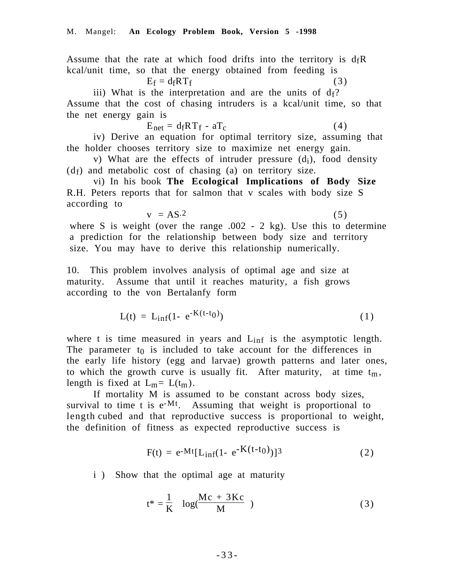Assume that the rate at which food drifts into the territory is  $d_fR$ kcal/unit time, so that the energy obtained from feeding is

$$
E_f = d_f R T_f \tag{3}
$$

iii) What is the interpretation and are the units of  $d_f$ ? Assume that the cost of chasing intruders is a kcal/unit time, so that the net energy gain is

$$
E_{net} = d_f R T_f - a T_c \tag{4}
$$

iv) Derive an equation for optimal territory size, assuming that the holder chooses territory size to maximize net energy gain.

v) What are the effects of intruder pressure  $(d_i)$ , food density  $(d_f)$  and metabolic cost of chasing (a) on territory size.

vi) In his book **The Ecological Implications of Body Size** R.H. Peters reports that for salmon that v scales with body size S according to

$$
v = AS^2 \tag{5}
$$

where S is weight (over the range .002 - 2 kg). Use this to determine a prediction for the relationship between body size and territory size. You may have to derive this relationship numerically.

10. This problem involves analysis of optimal age and size at maturity. Assume that until it reaches maturity, a fish grows according to the von Bertalanfy form

$$
L(t) = L_{inf}(1 - e^{-K(t - t_0)})
$$
\n(1)

where t is time measured in years and  $L_{\text{inf}}$  is the asymptotic length. The parameter  $t_0$  is included to take account for the differences in the early life history (egg and larvae) growth patterns and later ones, to which the growth curve is usually fit. After maturity, at time  $t_m$ , length is fixed at  $L_m = L(t_m)$ .

If mortality M is assumed to be constant across body sizes, survival to time t is  $e^{-Mt}$ . Assuming that weight is proportional to length cubed and that reproductive success is proportional to weight, the definition of fitness as expected reproductive success is

$$
F(t) = e^{-Mt} [L_{inf}(1 - e^{-K(t - t_0)})]^3
$$
 (2)

i ) Show that the optimal age at maturity

$$
t^* = \frac{1}{K} \log(\frac{Mc + 3Kc}{M})
$$
 (3)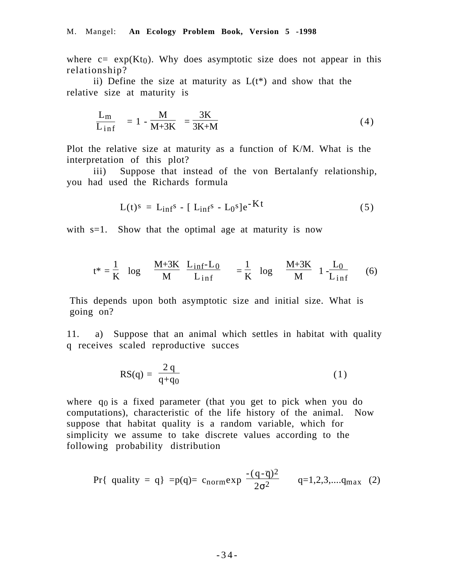where  $c = \exp(Kt_0)$ . Why does asymptotic size does not appear in this relationship?

ii) Define the size at maturity as  $L(t^*)$  and show that the relative size at maturity is

$$
\frac{L_m}{L_{\text{inf}}} = 1 - \frac{M}{M + 3K} = \frac{3K}{3K + M}
$$
\n(4)

Plot the relative size at maturity as a function of K/M. What is the interpretation of this plot?

iii) Suppose that instead of the von Bertalanfy relationship, you had used the Richards formula

$$
L(t)s = Linfs - [Linfs - L0s]e-Kt
$$
 (5)

with  $s=1$ . Show that the optimal age at maturity is now

$$
t^* = \frac{1}{K} \log \left( \left( \frac{M + 3K}{M} \right) \left( \frac{L_{\inf} - L_0}{L_{\inf}} \right) \right) = \frac{1}{K} \log \left( \left( \frac{M + 3K}{M} \right) \left( 1 - \frac{L_0}{L_{\inf}} \right) \right) \tag{6}
$$

This depends upon both asymptotic size and initial size. What is going on?

11. a) Suppose that an animal which settles in habitat with quality q receives scaled reproductive succes

$$
RS(q) = \frac{2q}{q+q_0} \tag{1}
$$

where  $q_0$  is a fixed parameter (that you get to pick when you do computations), characteristic of the life history of the animal. Now suppose that habitat quality is a random variable, which for simplicity we assume to take discrete values according to the following probability distribution

$$
\Pr\{\text{ quality = q}\} = p(q) = c_{\text{norm}} \exp\left(\frac{-(q - \overline{q})^2}{2\sigma^2}\right) \quad q = 1, 2, 3, \dots, q_{\text{max}} \quad (2)
$$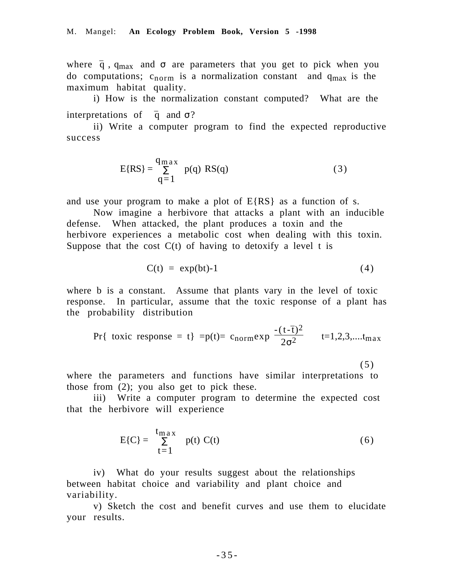where  $\bar{q}$ ,  $q_{max}$  and  $\sigma$  are parameters that you get to pick when you do computations;  $c_{norm}$  is a normalization constant and  $q_{max}$  is the maximum habitat quality.

i) How is the normalization constant computed? What are the interpretations of  $\bar{q}$  and  $\sigma$ ?

ii) Write a computer program to find the expected reproductive success

$$
E\{RS\} = \frac{q_{\max}}{q=1} p(q) RS(q)
$$
 (3)

and use your program to make a plot of  $E\{RS\}$  as a function of s.

Now imagine a herbivore that attacks a plant with an inducible defense. When attacked, the plant produces a toxin and the herbivore experiences a metabolic cost when dealing with this toxin. Suppose that the cost  $C(t)$  of having to detoxify a level t is

$$
C(t) = \exp(bt) - 1 \tag{4}
$$

where b is a constant. Assume that plants vary in the level of toxic response. In particular, assume that the toxic response of a plant has the probability distribution

$$
\Pr\{\text{ toxic response = t}\} = p(t) = c_{norm} \exp\left(\frac{-(t-\bar{t})^2}{2\sigma^2}\right) \quad t=1,2,3,\dots, t_{max}
$$
\n(5)

where the parameters and functions have similar interpretations to those from (2); you also get to pick these.

iii) Write a computer program to determine the expected cost that the herbivore will experience

$$
E\{C\} = \sum_{t=1}^{\text{tmax}} p(t) C(t) \tag{6}
$$

iv) What do your results suggest about the relationships between habitat choice and variability and plant choice and variability.

v) Sketch the cost and benefit curves and use them to elucidate your results.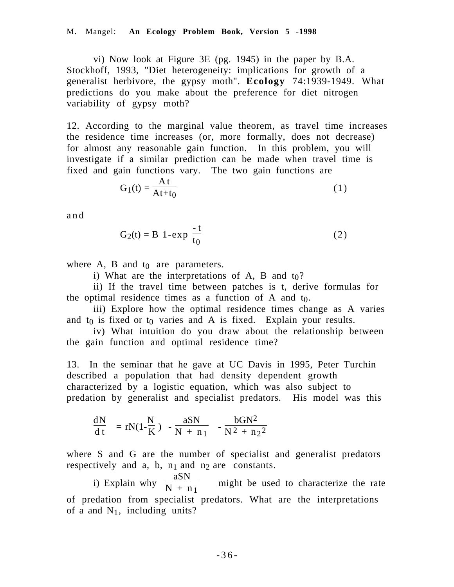vi) Now look at Figure 3E (pg. 1945) in the paper by B.A. Stockhoff, 1993, "Diet heterogeneity: implications for growth of a generalist herbivore, the gypsy moth". **Ecology** 74:1939-1949. What predictions do you make about the preference for diet nitrogen variability of gypsy moth?

12. According to the marginal value theorem, as travel time increases the residence time increases (or, more formally, does not decrease) for almost any reasonable gain function. In this problem, you will investigate if a similar prediction can be made when travel time is fixed and gain functions vary. The two gain functions are

$$
G_1(t) = \frac{At}{At + t_0}
$$
 (1)

and

$$
G_2(t) = B\left(1 - \exp\left(\frac{-t}{t_0}\right)\right) \tag{2}
$$

where A, B and  $t_0$  are parameters.

i) What are the interpretations of A, B and  $t_0$ ?

ii) If the travel time between patches is t, derive formulas for the optimal residence times as a function of  $A$  and  $t_0$ .

iii) Explore how the optimal residence times change as A varies and  $t_0$  is fixed or  $t_0$  varies and A is fixed. Explain your results.

iv) What intuition do you draw about the relationship between the gain function and optimal residence time?

13. In the seminar that he gave at UC Davis in 1995, Peter Turchin described a population that had density dependent growth characterized by a logistic equation, which was also subject to predation by generalist and specialist predators. His model was this

$$
\frac{dN}{dt} = rN(1 - \frac{N}{K}) - \frac{aSN}{N + n_1} - \frac{bGN^2}{N^2 + n_2^2}
$$

where S and G are the number of specialist and generalist predators respectively and a, b,  $n_1$  and  $n_2$  are constants.

i) Explain why  $\frac{aSN}{N+r}$  $N + n_1$  might be used to characterize the rate of predation from specialist predators. What are the interpretations of a and  $N_1$ , including units?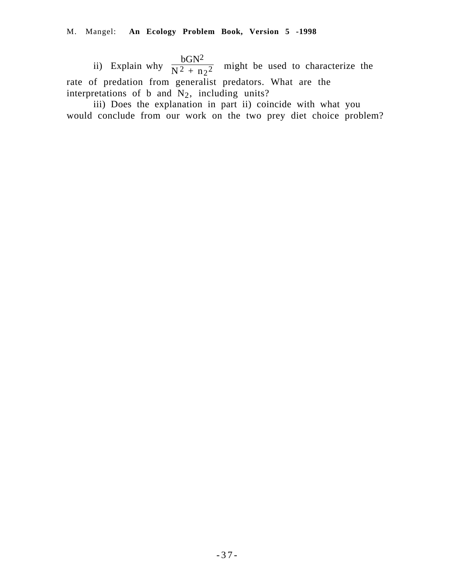ii) Explain why  $\frac{bGN^2}{N^2+n}$  $\frac{601}{N^2 + n_2^2}$  might be used to characterize the rate of predation from generalist predators. What are the interpretations of b and  $N_2$ , including units?

iii) Does the explanation in part ii) coincide with what you would conclude from our work on the two prey diet choice problem?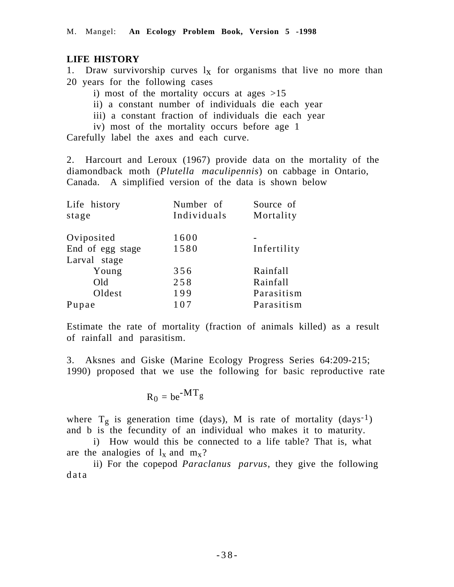# **LIFE HISTORY**

1. Draw survivorship curves  $l_x$  for organisms that live no more than 20 years for the following cases

- i) most of the mortality occurs at ages  $>15$
- ii) a constant number of individuals die each year
- iii) a constant fraction of individuals die each year
- iv) most of the mortality occurs before age 1

Carefully label the axes and each curve.

2. Harcourt and Leroux (1967) provide data on the mortality of the diamondback moth (*Plutella maculipennis*) on cabbage in Ontario, Canada. A simplified version of the data is shown below

| Number of   | Source of   |
|-------------|-------------|
| Individuals | Mortality   |
| 1600        |             |
| 1580        | Infertility |
|             |             |
| 356         | Rainfall    |
| 258         | Rainfall    |
| 199         | Parasitism  |
| 107         | Parasitism  |
|             |             |

Estimate the rate of mortality (fraction of animals killed) as a result of rainfall and parasitism.

3. Aksnes and Giske (Marine Ecology Progress Series 64:209-215; 1990) proposed that we use the following for basic reproductive rate

$$
R_0 = be^{-MT}g
$$

where  $T_g$  is generation time (days), M is rate of mortality (days<sup>-1</sup>) and b is the fecundity of an individual who makes it to maturity.

i) How would this be connected to a life table? That is, what are the analogies of  $l_x$  and  $m_x$ ?

ii) For the copepod *Paraclanus parvus*, they give the following data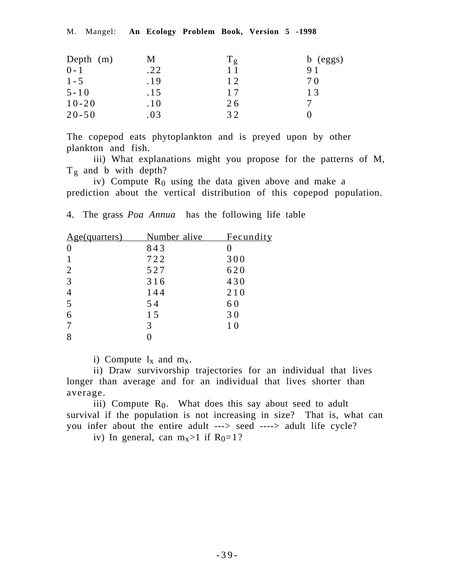| Depth $(m)$ | Μ   | $T_g$ | $b$ (eggs) |
|-------------|-----|-------|------------|
| $0 - 1$     | .22 |       |            |
| $1 - 5$     | .19 | 12.   | 7 O        |
| $5 - 10$    | .15 | 17    | 13         |
| $10 - 20$   | .10 | 26    |            |
| $20 - 50$   | .03 | 32    |            |

The copepod eats phytoplankton and is preyed upon by other plankton and fish.

iii) What explanations might you propose for the patterns of M,  $T_g$  and b with depth?

iv) Compute  $R_0$  using the data given above and make a prediction about the vertical distribution of this copepod population.

4. The grass *Poa Annua* has the following life table

| <u>Age(quarters)</u> | Number alive | <b>Fecundity</b> |
|----------------------|--------------|------------------|
| $\theta$             | 843          |                  |
|                      | 722          | 300              |
|                      | 527          | 620              |
| 3                    | 316          | 430              |
|                      | 144          | 210              |
|                      | 54           | 60               |
| 6                    | 15           | 30               |
|                      | 3            | 10               |
|                      |              |                  |

i) Compute  $l_x$  and  $m_x$ .

ii) Draw survivorship trajectories for an individual that lives longer than average and for an individual that lives shorter than average.

iii) Compute  $R_0$ . What does this say about seed to adult survival if the population is not increasing in size? That is, what can you infer about the entire adult ---> seed ----> adult life cycle?

iv) In general, can  $m_x > 1$  if  $R_0 = 1$ ?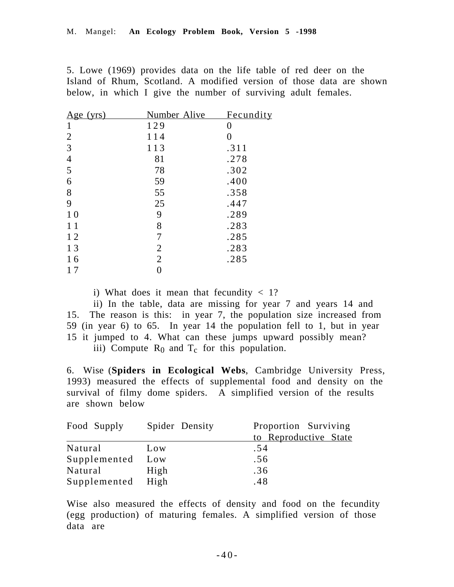5. Lowe (1969) provides data on the life table of red deer on the Island of Rhum, Scotland. A modified version of those data are shown below, in which I give the number of surviving adult females.

| <u>Age (yrs)</u> | Number Alive   | <u>Fecundity</u> |
|------------------|----------------|------------------|
| 1                | 129            | 0                |
| $\overline{2}$   | 114            | 0                |
| 3                | 113            | .311             |
| $\overline{4}$   | 81             | .278             |
| 5                | 78             | .302             |
| 6                | 59             | .400             |
| 8                | 55             | .358             |
| 9                | 25             | .447             |
| <b>10</b>        | 9              | .289             |
| 11               | 8              | .283             |
| 12               | 7              | .285             |
| 13               | 2              | .283             |
| 16               | $\overline{2}$ | .285             |
| 17               |                |                  |

i) What does it mean that fecundity  $<$  1?

ii) In the table, data are missing for year 7 and years 14 and 15. The reason is this: in year 7, the population size increased from 59 (in year 6) to 65. In year 14 the population fell to 1, but in year 15 it jumped to 4. What can these jumps upward possibly mean? iii) Compute  $R_0$  and  $T_c$  for this population.

6. Wise (**Spiders in Ecological Webs**, Cambridge University Press, 1993) measured the effects of supplemental food and density on the survival of filmy dome spiders. A simplified version of the results are shown below

| Food Supply  | Spider Density | Proportion Surviving  |
|--------------|----------------|-----------------------|
|              |                | to Reproductive State |
| Natural      | Low            | .54                   |
| Supplemented | Low            | .56                   |
| Natural      | High           | .36                   |
| Supplemented | High           | .48                   |

Wise also measured the effects of density and food on the fecundity (egg production) of maturing females. A simplified version of those data are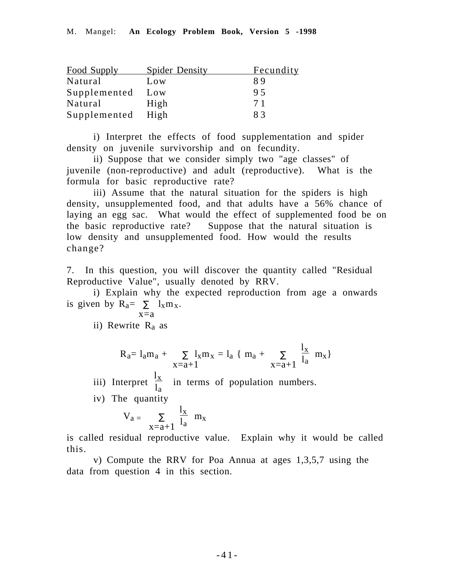| <b>Food Supply</b> | <b>Spider Density</b> | <u>Fecundity</u> |
|--------------------|-----------------------|------------------|
| Natural            | Low                   | 89               |
| Supplemented       | Low                   | 95               |
| Natural            | High                  | 71               |
| Supplemented       | High                  | 83               |

i) Interpret the effects of food supplementation and spider density on juvenile survivorship and on fecundity.

ii) Suppose that we consider simply two "age classes" of juvenile (non-reproductive) and adult (reproductive). What is the formula for basic reproductive rate?

iii) Assume that the natural situation for the spiders is high density, unsupplemented food, and that adults have a 56% chance of laying an egg sac. What would the effect of supplemented food be on the basic reproductive rate? Suppose that the natural situation is low density and unsupplemented food. How would the results change?

7. In this question, you will discover the quantity called "Residual Reproductive Value", usually denoted by RRV.

i) Explain why the expected reproduction from age a onwards is given by  $R_a = \sum l_x m_x$ .

$$
\overline{x}\overline{=}a
$$

ii) Rewrite  $R_a$  as

$$
R_a = l_a m_a + \sum_{x=a+1} l_x m_x = l_a \{ m_a + \sum_{x=a+1} \frac{l_x}{l_a} m_x \}
$$

iii) Interpret  $\frac{1}{1}$  $\frac{dA}{dA}$  in terms of population numbers.

iv) The quantity

$$
V_a = \sum_{x=a+1} \frac{l_x}{l_a} \ m_x
$$

is called residual reproductive value. Explain why it would be called this.

v) Compute the RRV for Poa Annua at ages 1,3,5,7 using the data from question 4 in this section.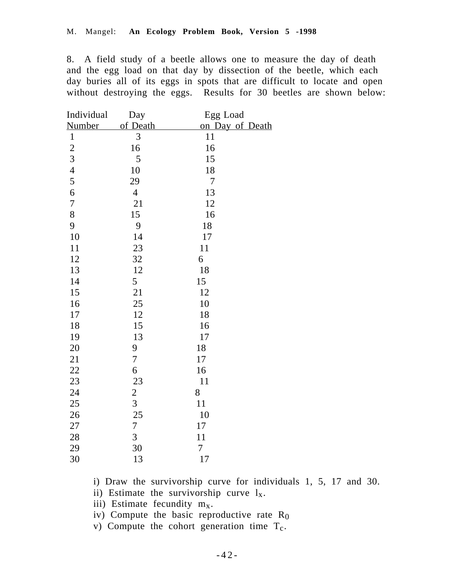8. A field study of a beetle allows one to measure the day of death and the egg load on that day by dissection of the beetle, which each day buries all of its eggs in spots that are difficult to locate and open without destroying the eggs. Results for 30 beetles are shown below:

| Individual              | Day            | Egg Load        |
|-------------------------|----------------|-----------------|
| <b>Number</b>           | of Death       | on Day of Death |
| $\mathbf{1}$            | 3              | 11              |
|                         | 16             | 16              |
|                         | 5              | 15              |
|                         | 10             | 18              |
| $\frac{2}{3}$<br>4<br>5 | 29             | $\overline{7}$  |
| 6                       | $\overline{4}$ | 13              |
| $\overline{7}$          | 21             | 12              |
| 8                       | 15             | 16              |
| 9                       | 9              | 18              |
| 10                      | 14             | 17              |
| 11                      | 23             | 11              |
| 12                      | 32             | 6               |
| 13                      | 12             | 18              |
| 14                      | 5              | 15              |
| 15                      | 21             | 12              |
| 16                      | 25             | 10              |
| 17                      | 12             | 18              |
| 18                      | 15             | 16              |
| 19                      | 13             | 17              |
| 20                      | 9              | 18              |
| 21                      | $\overline{7}$ | 17              |
| 22                      | 6              | 16              |
| 23                      | 23             | 11              |
| 24                      | $\overline{c}$ | 8               |
| 25                      | $\overline{3}$ | 11              |
| 26                      | 25             | 10              |
| 27                      | $\overline{7}$ | 17              |
| 28                      | 3              | 11              |
| 29                      | 30             | 7               |
| 30                      | 13             | 17              |

i) Draw the survivorship curve for individuals 1, 5, 17 and 30.

ii) Estimate the survivorship curve  $l_x$ .

iii) Estimate fecundity  $m<sub>x</sub>$ .

iv) Compute the basic reproductive rate  $R_0$ 

v) Compute the cohort generation time  $T_c$ .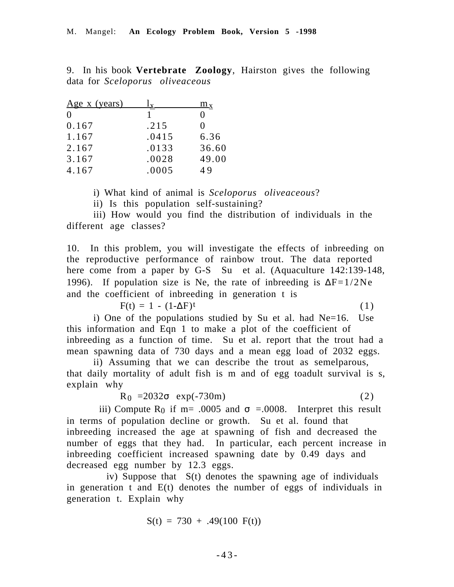9. In his book **Vertebrate Zoology**, Hairston gives the following data for *Sceloporus oliveaceous*

| <u>Age x (years)</u> |       | $\rm{m_{x}}$ |
|----------------------|-------|--------------|
| $\Omega$             |       |              |
| 0.167                | .215  | 0            |
| 1.167                | .0415 | 6.36         |
| 2.167                | .0133 | 36.60        |
| 3.167                | .0028 | 49.00        |
| 4.167                | .0005 | 49           |

i) What kind of animal is *Sceloporus oliveaceous*?

ii) Is this population self-sustaining?

iii) How would you find the distribution of individuals in the different age classes?

10. In this problem, you will investigate the effects of inbreeding on the reproductive performance of rainbow trout. The data reported here come from a paper by G-S Su et al. (Aquaculture 142:139-148, 1996). If population size is Ne, the rate of inbreeding is  $\Delta F=1/2Ne$ and the coefficient of inbreeding in generation t is

 $F(t) = 1 - (1 - \Delta F)^t$  (1)

i) One of the populations studied by Su et al. had Ne=16. Use this information and Eqn 1 to make a plot of the coefficient of inbreeding as a function of time. Su et al. report that the trout had a mean spawning data of 730 days and a mean egg load of 2032 eggs.

ii) Assuming that we can describe the trout as semelparous, that daily mortality of adult fish is m and of egg toadult survival is s, explain why

 $R_0 = 2032\sigma \exp(-730m)$  (2)

iii) Compute R<sub>0</sub> if m= .0005 and  $\sigma$  =.0008. Interpret this result in terms of population decline or growth. Su et al. found that inbreeding increased the age at spawning of fish and decreased the number of eggs that they had. In particular, each percent increase in inbreeding coefficient increased spawning date by 0.49 days and decreased egg number by 12.3 eggs.

 iv) Suppose that S(t) denotes the spawning age of individuals in generation t and E(t) denotes the number of eggs of individuals in generation t. Explain why

 $S(t) = 730 + .49(100)$  F(t))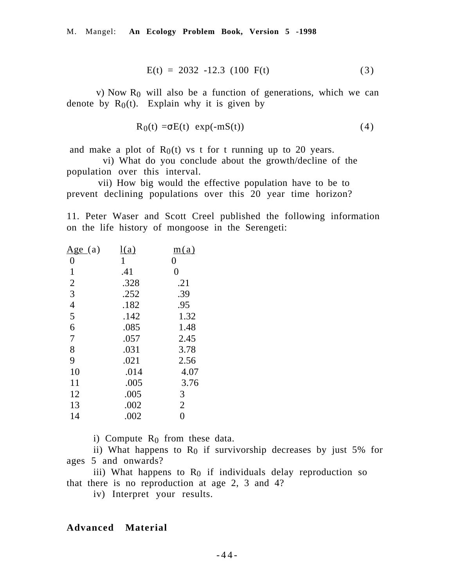M. Mangel: **An Ecology Problem Book, Version 5 -1998**

$$
E(t) = 2032 - 12.3 \ (100 \ F(t) \tag{3}
$$

v) Now  $R_0$  will also be a function of generations, which we can denote by  $R_0(t)$ . Explain why it is given by

$$
R_0(t) = \sigma E(t) \exp(-mS(t))
$$
 (4)

and make a plot of  $R_0(t)$  vs t for t running up to 20 years.

 vi) What do you conclude about the growth/decline of the population over this interval.

 vii) How big would the effective population have to be to prevent declining populations over this 20 year time horizon?

11. Peter Waser and Scott Creel published the following information on the life history of mongoose in the Serengeti:

| <u>Age</u> (a) | <u>l(a)</u> | m(a)           |
|----------------|-------------|----------------|
| 0              | 1           | 0              |
| 1              | .41         | $\overline{0}$ |
| $\overline{2}$ | .328        | .21            |
| 3              | .252        | .39            |
| $\overline{4}$ | .182        | .95            |
| 5              | .142        | 1.32           |
| 6              | .085        | 1.48           |
| 7              | .057        | 2.45           |
| 8              | .031        | 3.78           |
| 9              | .021        | 2.56           |
| 10             | .014        | 4.07           |
| 11             | .005        | 3.76           |
| 12             | .005        | 3              |
| 13             | .002        | $\overline{2}$ |
| 14             | .002        | $\overline{0}$ |
|                |             |                |

i) Compute  $R_0$  from these data.

ii) What happens to  $R_0$  if survivorship decreases by just 5% for ages 5 and onwards?

iii) What happens to  $R_0$  if individuals delay reproduction so that there is no reproduction at age 2, 3 and 4?

iv) Interpret your results.

### **Advanced Material**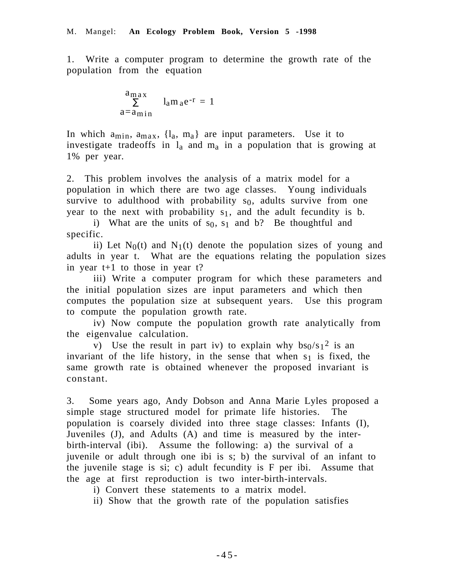1. Write a computer program to determine the growth rate of the population from the equation

$$
\sum_{a=a_{\text{min}}}^{a_{\text{max}}} l_a m_a e^{-r} = 1
$$

In which  $a_{\min}$ ,  $a_{\max}$ ,  $\{l_a, m_a\}$  are input parameters. Use it to investigate tradeoffs in  $l_a$  and  $m_a$  in a population that is growing at 1% per year.

2. This problem involves the analysis of a matrix model for a population in which there are two age classes. Young individuals survive to adulthood with probability  $s_0$ , adults survive from one year to the next with probability  $s_1$ , and the adult fecundity is b.

i) What are the units of  $s_0$ ,  $s_1$  and b? Be thoughtful and specific.

ii) Let  $N_0(t)$  and  $N_1(t)$  denote the population sizes of young and adults in year t. What are the equations relating the population sizes in year t+1 to those in year t?

iii) Write a computer program for which these parameters and the initial population sizes are input parameters and which then computes the population size at subsequent years. Use this program to compute the population growth rate.

iv) Now compute the population growth rate analytically from the eigenvalue calculation.

v) Use the result in part iv) to explain why  $bs_0/s_1^2$  is an invariant of the life history, in the sense that when  $s_1$  is fixed, the same growth rate is obtained whenever the proposed invariant is constant.

3. Some years ago, Andy Dobson and Anna Marie Lyles proposed a simple stage structured model for primate life histories. The population is coarsely divided into three stage classes: Infants (I), Juveniles (J), and Adults (A) and time is measured by the interbirth-interval (ibi). Assume the following: a) the survival of a juvenile or adult through one ibi is s; b) the survival of an infant to the juvenile stage is si; c) adult fecundity is F per ibi. Assume that the age at first reproduction is two inter-birth-intervals.

i) Convert these statements to a matrix model.

ii) Show that the growth rate of the population satisfies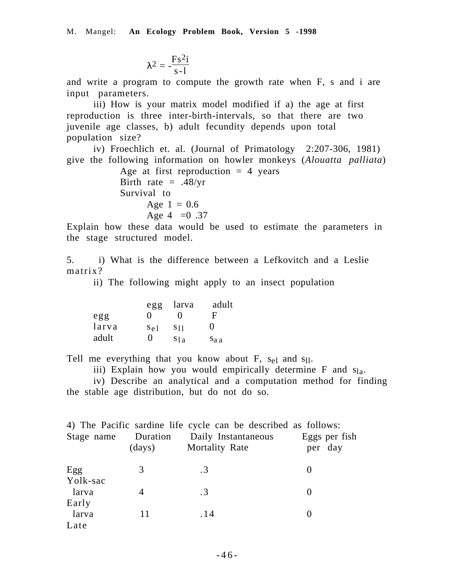$$
\lambda^2 = -\frac{F s^2 i}{s\text{-}l}
$$

and write a program to compute the growth rate when F, s and i are input parameters.

iii) How is your matrix model modified if a) the age at first reproduction is three inter-birth-intervals, so that there are two juvenile age classes, b) adult fecundity depends upon total population size?

iv) Froechlich et. al. (Journal of Primatology 2:207-306, 1981) give the following information on howler monkeys (*Alouatta palliata*)

> Age at first reproduction  $= 4$  years Birth rate  $= .48/yr$ Survival to Age  $1 = 0.6$ Age 4 =  $0.37$

Explain how these data would be used to estimate the parameters in the stage structured model.

5. i) What is the difference between a Lefkovitch and a Leslie matrix?

ii) The following might apply to an insect population

|       | egg               | larva                  | adult             |
|-------|-------------------|------------------------|-------------------|
| egg   | $\mathbf{\Omega}$ | 0                      | E                 |
| larva | $S_{\rm e}$ 1     | <b>S</b> <sup>11</sup> | $\mathbf{\Omega}$ |
| adult | $\mathbf{\Omega}$ | S1a                    | Sa a              |

Tell me everything that you know about F,  $s_{el}$  and  $s_{11}$ .

iii) Explain how you would empirically determine  $F$  and  $s<sub>la</sub>$ .

iv) Describe an analytical and a computation method for finding the stable age distribution, but do not do so.

|            |                  | 4) The Pacific sardine life cycle can be described as follows: |               |
|------------|------------------|----------------------------------------------------------------|---------------|
| Stage name |                  | <b>Duration</b> Daily Instantaneous                            | Eggs per fish |
|            | $\frac{days}{9}$ | <b>Mortality Rate</b>                                          | per day       |
| Egg        | 3                | $\cdot$ 3                                                      |               |
| Yolk-sac   |                  |                                                                |               |
| larva      |                  | $\cdot$ 3                                                      |               |
| Early      |                  |                                                                |               |
| larva      | 11               | .14                                                            |               |
| Late       |                  |                                                                |               |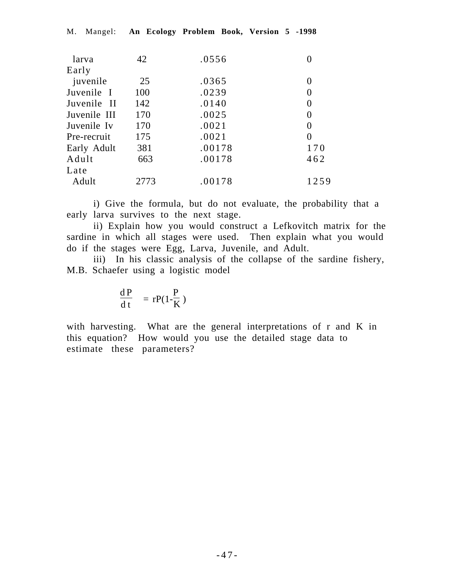| larva        | 42   | .0556  |          |
|--------------|------|--------|----------|
| Early        |      |        |          |
| juvenile     | 25   | .0365  |          |
| Juvenile I   | 100  | .0239  | $\theta$ |
| Juvenile II  | 142  | .0140  | 0        |
| Juvenile III | 170  | .0025  | 0        |
| Juvenile Iv  | 170  | .0021  | 0        |
| Pre-recruit  | 175  | .0021  | 0        |
| Early Adult  | 381  | .00178 | 170      |
| Adult        | 663  | .00178 | 462      |
| Late         |      |        |          |
| Adult        | 2773 | .00178 | 1259     |
|              |      |        |          |

M. Mangel: **An Ecology Problem Book, Version 5 -1998**

i) Give the formula, but do not evaluate, the probability that a early larva survives to the next stage.

ii) Explain how you would construct a Lefkovitch matrix for the sardine in which all stages were used. Then explain what you would do if the stages were Egg, Larva, Juvenile, and Adult.

iii) In his classic analysis of the collapse of the sardine fishery, M.B. Schaefer using a logistic model

$$
\frac{\text{d}P}{\text{d}t} = rP(1-\frac{P}{K})
$$

with harvesting. What are the general interpretations of r and K in this equation? How would you use the detailed stage data to estimate these parameters?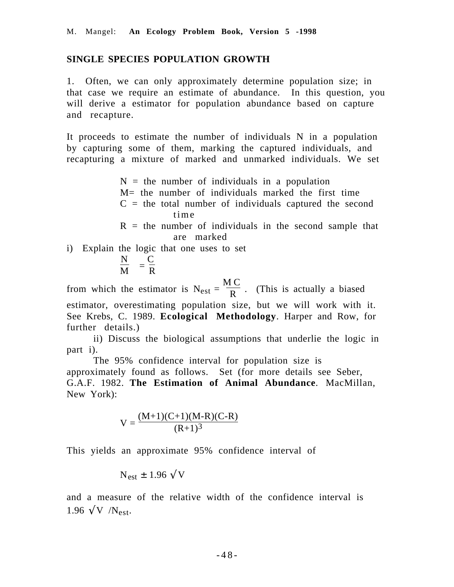### **SINGLE SPECIES POPULATION GROWTH**

1. Often, we can only approximately determine population size; in that case we require an estimate of abundance. In this question, you will derive a estimator for population abundance based on capture and recapture.

It proceeds to estimate the number of individuals N in a population by capturing some of them, marking the captured individuals, and recapturing a mixture of marked and unmarked individuals. We set

> $N =$  the number of individuals in a population  $M=$  the number of individuals marked the first time  $C =$  the total number of individuals captured the second time  $R =$  the number of individuals in the second sample that are marked

i) Explain the logic that one uses to set

$$
\frac{N}{M} = \frac{C}{R}
$$

from which the estimator is  $N_{est}$  = M C  $\frac{R}{R}$ . (This is actually a biased estimator, overestimating population size, but we will work with it. See Krebs, C. 1989. **Ecological Methodology**. Harper and Row, for further details.)

ii) Discuss the biological assumptions that underlie the logic in part i).

The 95% confidence interval for population size is approximately found as follows. Set (for more details see Seber, G.A.F. 1982. **The Estimation of Animal Abundance**. MacMillan, New York):

$$
V = \frac{(M+1)(C+1)(M-R)(C-R)}{(R+1)^3}
$$

This yields an approximate 95% confidence interval of

$$
N_{est} \pm 1.96 \, \sqrt{V}
$$

and a measure of the relative width of the confidence interval is 1.96  $\sqrt{V}$  /N<sub>est</sub>.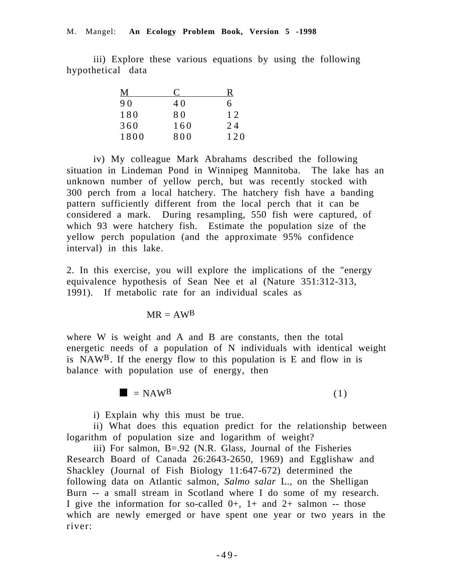iii) Explore these various equations by using the following hypothetical data

| Μ    | €   | R   |
|------|-----|-----|
| 90   | 40  | 6   |
| 180  | 80  | 12  |
| 360  | 160 | 24  |
| 1800 | 800 | 120 |

iv) My colleague Mark Abrahams described the following situation in Lindeman Pond in Winnipeg Mannitoba. The lake has an unknown number of yellow perch, but was recently stocked with 300 perch from a local hatchery. The hatchery fish have a banding pattern sufficiently different from the local perch that it can be considered a mark. During resampling, 550 fish were captured, of which 93 were hatchery fish. Estimate the population size of the yellow perch population (and the approximate 95% confidence interval) in this lake.

2. In this exercise, you will explore the implications of the "energy equivalence hypothesis of Sean Nee et al (Nature 351:312-313, 1991). If metabolic rate for an individual scales as



where W is weik and A and B are constants, then the total energetic needs **of a population of N** individuals with identical weight is  $NAW^B$ . If the ergy flow to this population is E and flow in is balance with  $po$  ition use  $of$  energy, then

 $\Box$  (1)

i) Explain why this must be true.

ii) What does this equation predict for the relationship between logarithm of population size and logarithm of weight?

iii) For salmon, B=.92 (N.R. Glass, Journal of the Fisheries Research Board of Canada 26:2643-2650, 1969) and Egglishaw and Shackley (Journal of Fish Biology 11:647-672) determined the following data on Atlantic salmon, *Salmo salar* L., on the Shelligan Burn -- a small stream in Scotland where I do some of my research. I give the information for so-called  $0+$ ,  $1+$  and  $2+$  salmon -- those which are newly emerged or have spent one year or two years in the river: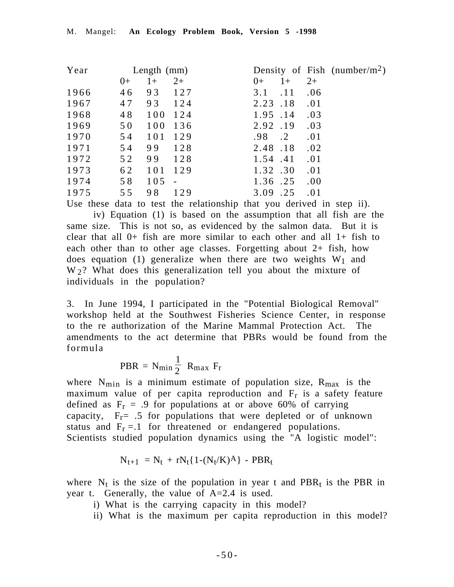| Year |      | Length $(mm)$ |                |                    | Density of Fish (number/m <sup>2</sup> ) |
|------|------|---------------|----------------|--------------------|------------------------------------------|
|      | $0+$ | $1+$          | $2+$           | $1+$<br>$()+$      | $2+$                                     |
| 1966 | 46   | 93            | 127            | 3.1<br>.11         | .06                                      |
| 1967 | 47   | 93            | 124            | $2.23$ .18         | .01                                      |
| 1968 | 48   | 100 124       |                | 1.95 .14           | .03                                      |
| 1969 | 50   | 100           | 136            | 2.92.19            | .03                                      |
| 1970 | 54   | 101           | 129            | .98<br>$\cdot$ . 2 | .01                                      |
| 1971 | 54   | 99            | 128            | 2.48.18            | .02                                      |
| 1972 | 52   | 99            | 128            | 1.54.41            | .01                                      |
| 1973 | 62   | 101           | 129            | 1.32.30            | .01                                      |
| 1974 | 58   | 105           | $\blacksquare$ | 1.36.25            | .00.                                     |
| 1975 | 55   | 98            | 129            | 3.09<br>.25        | .01                                      |

Use these data to test the relationship that you derived in step ii).

iv) Equation (1) is based on the assumption that all fish are the same size. This is not so, as evidenced by the salmon data. But it is clear that all  $0+$  fish are more similar to each other and all  $1+$  fish to each other than to other age classes. Forgetting about 2+ fish, how does equation (1) generalize when there are two weights  $W_1$  and  $W<sub>2</sub>$ ? What does this generalization tell you about the mixture of individuals in the population?

3. In June 1994, I participated in the "Potential Biological Removal" workshop held at the Southwest Fisheries Science Center, in response to the re authorization of the Marine Mammal Protection Act. The amendments to the act determine that PBRs would be found from the formula

$$
PBR = N_{min} \frac{1}{2} R_{max} F_r
$$

where  $N_{\text{min}}$  is a minimum estimate of population size,  $R_{\text{max}}$  is the maximum value of per capita reproduction and  $F_r$  is a safety feature defined as  $F_r = .9$  for populations at or above 60% of carrying capacity,  $F_r = .5$  for populations that were depleted or of unknown status and  $F_r = 1$  for threatened or endangered populations. Scientists studied population dynamics using the "A logistic model":

$$
N_{t+1} = N_t + rN_t\{1-(N_t/K)^A\} - PBR_t
$$

where  $N_t$  is the size of the population in year t and PBR<sub>t</sub> is the PBR in year t. Generally, the value of A=2.4 is used.

- i) What is the carrying capacity in this model?
- ii) What is the maximum per capita reproduction in this model?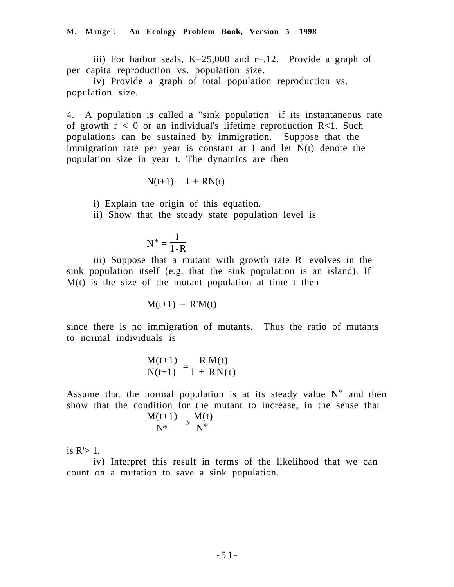iii) For harbor seals,  $K=25,000$  and  $r=.12$ . Provide a graph of per capita reproduction vs. population size.

iv) Provide a graph of total population reproduction vs. population size.

4. A population is called a "sink population" if its instantaneous rate of growth  $r < 0$  or an individual's lifetime reproduction R<1. Such populations can be sustained by immigration. Suppose that the immigration rate per year is constant at I and let N(t) denote the population size in year t. The dynamics are then

$$
N(t+1) = I + RN(t)
$$

i) Explain the origin of this equation.

ii) Show that the steady state population level is

$$
N^*=\frac{I}{1-R}
$$

iii) Suppose that a mutant with growth rate R' evolves in the sink population itself (e.g. that the sink population is an island). If M(t) is the size of the mutant population at time t then

$$
M(t+1) = R'M(t)
$$

since there is no immigration of mutants. Thus the ratio of mutants to normal individuals is

$$
\frac{M(t+1)}{N(t+1)} = \frac{R'M(t)}{I + RN(t)}
$$

Assume that the normal population is at its steady value  $N^*$  and then show that the condition for the mutant to increase, in the sense that

$$
\frac{M(t+1)}{N^*} > \frac{M(t)}{N^*}
$$

is  $R'$  1.

iv) Interpret this result in terms of the likelihood that we can count on a mutation to save a sink population.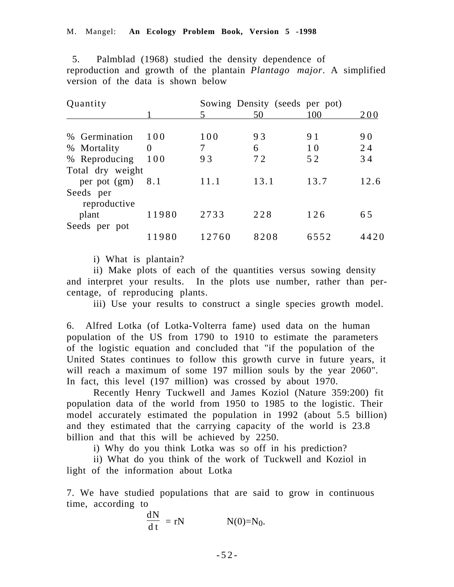5. Palmblad (1968) studied the density dependence of reproduction and growth of the plantain *Plantago major*. A simplified version of the data is shown below

| Quantity         |       |       | Sowing Density (seeds per pot) |      |      |
|------------------|-------|-------|--------------------------------|------|------|
|                  |       | 5     | 50                             | 100  | 200  |
|                  |       |       |                                |      |      |
| % Germination    | 100   | 100   | 93                             | 91   | 90   |
| % Mortality      | 0     | 7     | 6                              | 10   | 24   |
| % Reproducing    | 100   | 93    | 72                             | 52   | 34   |
| Total dry weight |       |       |                                |      |      |
| per pot (gm)     | 8.1   | 11.1  | 13.1                           | 13.7 | 12.6 |
| Seeds per        |       |       |                                |      |      |
| reproductive     |       |       |                                |      |      |
| plant            | 11980 | 2733  | 228                            | 126  | 65   |
| Seeds per pot    |       |       |                                |      |      |
|                  | 11980 | 12760 | 8208                           | 6552 | 4420 |

i) What is plantain?

ii) Make plots of each of the quantities versus sowing density and interpret your results. In the plots use number, rather than percentage, of reproducing plants.

iii) Use your results to construct a single species growth model.

6. Alfred Lotka (of Lotka-Volterra fame) used data on the human population of the US from 1790 to 1910 to estimate the parameters of the logistic equation and concluded that "if the population of the United States continues to follow this growth curve in future years, it will reach a maximum of some 197 million souls by the year 2060". In fact, this level (197 million) was crossed by about 1970.

Recently Henry Tuckwell and James Koziol (Nature 359:200) fit population data of the world from 1950 to 1985 to the logistic. Their model accurately estimated the population in 1992 (about 5.5 billion) and they estimated that the carrying capacity of the world is 23.8 billion and that this will be achieved by 2250.

i) Why do you think Lotka was so off in his prediction?

ii) What do you think of the work of Tuckwell and Koziol in light of the information about Lotka

7. We have studied populations that are said to grow in continuous time, according to

$$
\frac{dN}{dt} = rN \qquad N(0)=N_0.
$$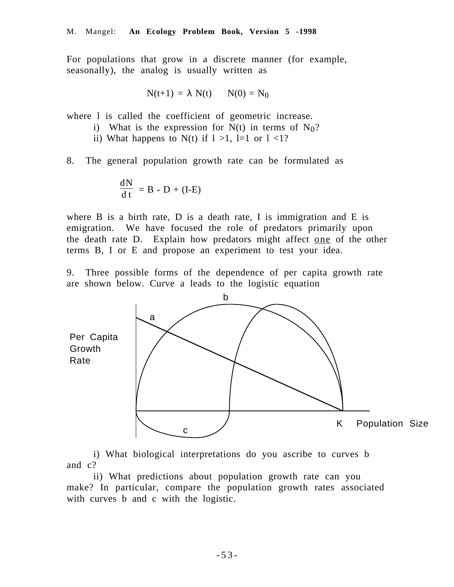For populations that grow in a discrete manner (for example, seasonally), the analog is usually written as

$$
N(t+1) = \lambda N(t) \qquad N(0) = N_0
$$

where 1 is called the coefficient of geometric increase.

- i) What is the expression for  $N(t)$  in terms of  $N_0$ ?
- ii) What happens to N(t) if  $1 > 1$ , l=1 or  $1 < 1$ ?
- 8. The general population growth rate can be formulated as

$$
\frac{\mathrm{dN}}{\mathrm{d}t} = B - D + (I-E)
$$

where B is a birth rate, D is a death rate, I is immigration and E is emigration. We have focused the role of predators primarily upon the death rate D. Explain how predators might affect one of the other terms B, I or E and propose an experiment to test your idea.

9. Three possible forms of the dependence of per capita growth rate are shown below. Curve a leads to the logistic equation



i) What biological interpretations do you ascribe to curves b and c?

ii) What predictions about population growth rate can you make? In particular, compare the population growth rates associated with curves b and c with the logistic.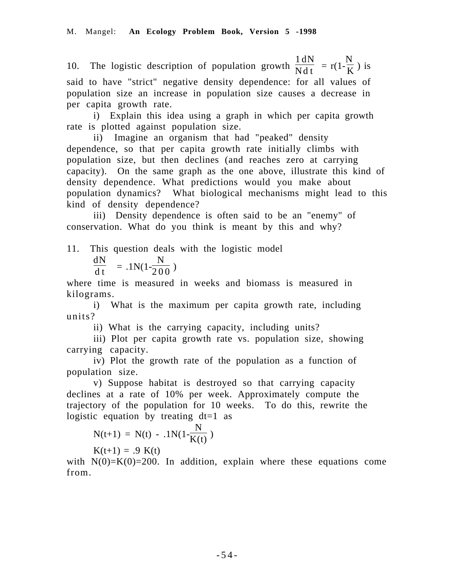10. The logistic description of population growth 1 N dN  $\frac{dH}{dt} = r(1-$ N  $\frac{K}{K}$ ) is said to have "strict" negative density dependence: for all values of population size an increase in population size causes a decrease in per capita growth rate.

i) Explain this idea using a graph in which per capita growth rate is plotted against population size.

ii) Imagine an organism that had "peaked" density dependence, so that per capita growth rate initially climbs with population size, but then declines (and reaches zero at carrying capacity). On the same graph as the one above, illustrate this kind of density dependence. What predictions would you make about population dynamics? What biological mechanisms might lead to this kind of density dependence?

iii) Density dependence is often said to be an "enemy" of conservation. What do you think is meant by this and why?

11. This question deals with the logistic model

$$
\frac{\mathrm{dN}}{\mathrm{d}t} = .1\mathrm{N}(1\text{-}\frac{\mathrm{N}}{200})
$$

where time is measured in weeks and biomass is measured in kilograms.

i) What is the maximum per capita growth rate, including units?

ii) What is the carrying capacity, including units?

iii) Plot per capita growth rate vs. population size, showing carrying capacity.

iv) Plot the growth rate of the population as a function of population size.

v) Suppose habitat is destroyed so that carrying capacity declines at a rate of 10% per week. Approximately compute the trajectory of the population for 10 weeks. To do this, rewrite the logistic equation by treating  $dt=1$  as

$$
N(t+1) = N(t) - .1N(1 - \frac{N}{K(t)})
$$

 $K(t+1) = .9 K(t)$ 

with  $N(0)=K(0)=200$ . In addition, explain where these equations come from.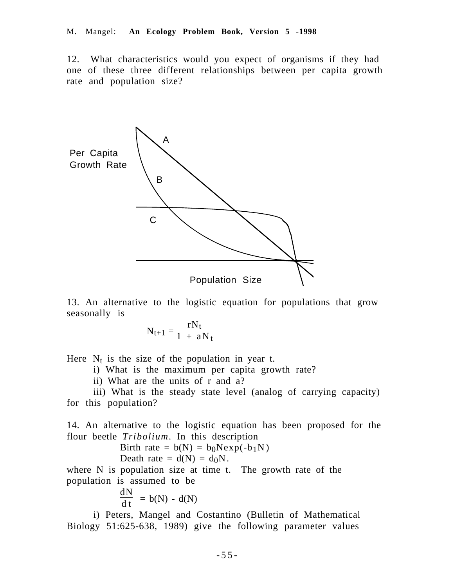12. What characteristics would you expect of organisms if they had one of these three different relationships between per capita growth rate and population size?



13. An alternative to the logistic equation for populations that grow seasonally is

$$
N_{t+1} = \frac{rN_t}{1 + aN_t}
$$

Here  $N_t$  is the size of the population in year t.

i) What is the maximum per capita growth rate?

ii) What are the units of r and a?

iii) What is the steady state level (analog of carrying capacity) for this population?

14. An alternative to the logistic equation has been proposed for the flour beetle *Tribolium*. In this description

$$
Birth rate = b(N) = b_0Nexp(-b_1N)
$$
  

$$
Death rate = d(N) = d_0N.
$$

where N is population size at time t. The growth rate of the population is assumed to be

> dN  $\frac{dH}{dt}$  = b(N) - d(N)

i) Peters, Mangel and Costantino (Bulletin of Mathematical Biology 51:625-638, 1989) give the following parameter values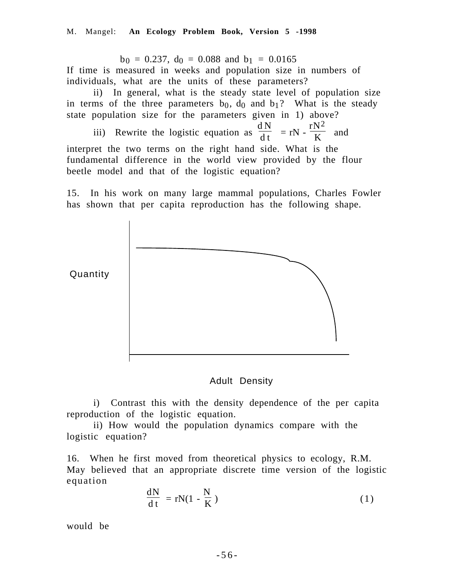$b_0 = 0.237$ ,  $d_0 = 0.088$  and  $b_1 = 0.0165$ 

If time is measured in weeks and population size in numbers of individuals, what are the units of these parameters?

ii) In general, what is the steady state level of population size in terms of the three parameters  $b_0$ ,  $d_0$  and  $b_1$ ? What is the steady state population size for the parameters given in 1) above?

iii) Rewrite the logistic equation as  $\frac{dN}{dt} = rN$ .  $rN^2$  $\frac{K}{K}$  and

interpret the two terms on the right hand side. What is the fundamental difference in the world view provided by the flour beetle model and that of the logistic equation?

15. In his work on many large mammal populations, Charles Fowler



Quantity

Adult Density

i) Contrast this with the density dependence of the per capita reproduction of the logistic equation.

ii) How would the population dynamics compare with the logistic equation?

16. When he first moved from theoretical physics to ecology, R.M. May believed that an appropriate discrete time version of the logistic equation

$$
\frac{dN}{dt} = rN(1 - \frac{N}{K})
$$
\n(1)

would be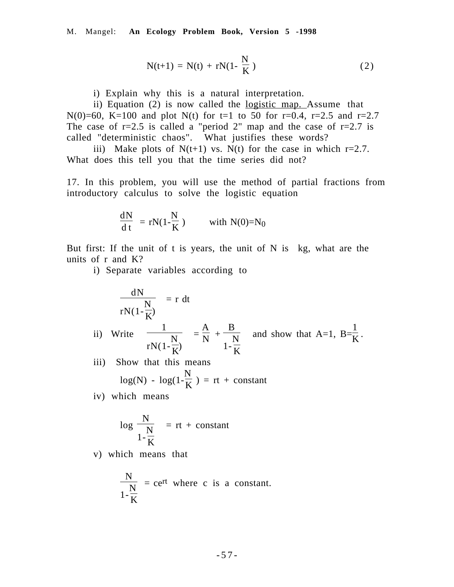$$
N(t+1) = N(t) + rN(1 - \frac{N}{K})
$$
\n(2)

i) Explain why this is a natural interpretation.

ii) Equation (2) is now called the logistic map. Assume that N(0)=60, K=100 and plot N(t) for t=1 to 50 for r=0.4, r=2.5 and r=2.7 The case of  $r=2.5$  is called a "period 2" map and the case of  $r=2.7$  is called "deterministic chaos". What justifies these words?

iii) Make plots of  $N(t+1)$  vs.  $N(t)$  for the case in which r=2.7. What does this tell you that the time series did not?

17. In this problem, you will use the method of partial fractions from introductory calculus to solve the logistic equation

$$
\frac{dN}{dt} = rN(1 - \frac{N}{K}) \quad \text{with } N(0) = N_0
$$

But first: If the unit of t is years, the unit of  $N$  is kg, what are the units of r and K?

i) Separate variables according to

$$
\frac{dN}{rN(1-\frac{N}{K})} = r dt
$$
  
ii) Write  $\frac{1}{rN(1-\frac{N}{K})} = \frac{A}{N} + \frac{B}{1-\frac{N}{K}}$  and show that A=1, B= $\frac{1}{K}$ .  
iii) Show that this means

iii) Show that this means  $log(N) - log(1-\frac{N}{K}) = rt + constant$ 

iv) which means

$$
\log\left(\frac{N}{1-\frac{N}{K}}\right) = rt + constant
$$

v) which means that

$$
\frac{N}{1-\frac{N}{K}} = c e^{rt}
$$
 where c is a constant.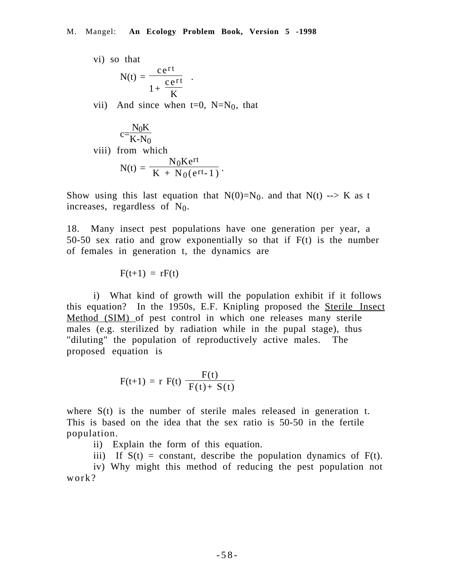vi) so that  
\n
$$
N(t) = \frac{c e^{rt}}{1 + \frac{c e^{rt}}{K}}
$$
\nvii) And since when t=0, N=N<sub>0</sub>, that

$$
c = \frac{N_0 K}{K - N_0}
$$
  
viii) from which  

$$
N(t) = \frac{N_0 K e^{rt}}{K + N_0 (e^{rt} - 1)}.
$$

Show using this last equation that  $N(0)=N_0$  and that  $N(t) \rightarrow K$  as t increases, regardless of  $N_0$ .

18. Many insect pest populations have one generation per year, a 50-50 sex ratio and grow exponentially so that if F(t) is the number of females in generation t, the dynamics are

 $F(t+1) = rF(t)$ 

i) What kind of growth will the population exhibit if it follows this equation? In the 1950s, E.F. Knipling proposed the Sterile Insect Method (SIM) of pest control in which one releases many sterile males (e.g. sterilized by radiation while in the pupal stage), thus "diluting" the population of reproductively active males. The proposed equation is

$$
F(t+1) = r F(t) \left( \frac{F(t)}{F(t) + S(t)} \right)
$$

where  $S(t)$  is the number of sterile males released in generation t. This is based on the idea that the sex ratio is 50-50 in the fertile population.

- ii) Explain the form of this equation.
- iii) If  $S(t)$  = constant, describe the population dynamics of  $F(t)$ .

iv) Why might this method of reducing the pest population not work?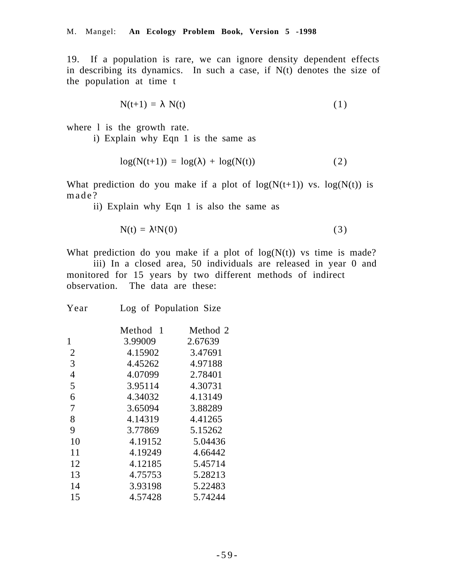19. If a population is rare, we can ignore density dependent effects in describing its dynamics. In such a case, if N(t) denotes the size of the population at time t

$$
N(t+1) = \lambda N(t) \tag{1}
$$

where 1 is the growth rate.

i) Explain why Eqn 1 is the same as

$$
log(N(t+1)) = log(\lambda) + log(N(t))
$$
\n(2)

What prediction do you make if a plot of  $log(N(t+1))$  vs.  $log(N(t))$  is made?

ii) Explain why Eqn 1 is also the same as

$$
N(t) = \lambda^t N(0) \tag{3}
$$

What prediction do you make if a plot of  $log(N(t))$  vs time is made?

iii) In a closed area, 50 individuals are released in year 0 and monitored for 15 years by two different methods of indirect observation. The data are these:

| Method<br>- 1 | Method 2 |
|---------------|----------|
| 3.99009       | 2.67639  |
| 4.15902       | 3.47691  |
| 4.45262       | 4.97188  |
| 4.07099       | 2.78401  |
| 3.95114       | 4.30731  |
| 4.34032       | 4.13149  |
| 3.65094       | 3.88289  |
| 4.14319       | 4.41265  |
| 3.77869       | 5.15262  |
| 4.19152       | 5.04436  |
| 4.19249       | 4.66442  |
| 4.12185       | 5.45714  |
| 4.75753       | 5.28213  |
| 3.93198       | 5.22483  |
| 4.57428       | 5.74244  |
|               |          |

Year Log of Population Size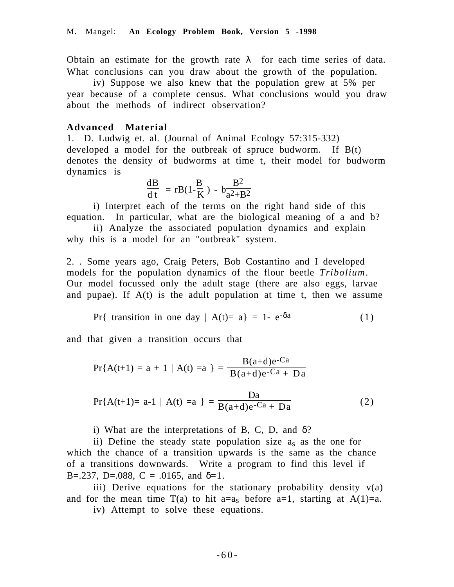Obtain an estimate for the growth rate  $\lambda$  for each time series of data. What conclusions can you draw about the growth of the population.

iv) Suppose we also knew that the population grew at 5% per year because of a complete census. What conclusions would you draw about the methods of indirect observation?

# **Advanced Material**

1. D. Ludwig et. al. (Journal of Animal Ecology 57:315-332) developed a model for the outbreak of spruce budworm. If B(t) denotes the density of budworms at time t, their model for budworm dynamics is

$$
\frac{\mathrm{dB}}{\mathrm{d}\,\mathrm{t}} = r\mathrm{B}(1\text{-}\frac{\mathrm{B}}{\mathrm{K}}) - b\frac{\mathrm{B}^2}{\mathrm{a}^2 + \mathrm{B}^2}
$$

i) Interpret each of the terms on the right hand side of this equation. In particular, what are the biological meaning of a and b?

ii) Analyze the associated population dynamics and explain why this is a model for an "outbreak" system.

2. . Some years ago, Craig Peters, Bob Costantino and I developed models for the population dynamics of the flour beetle *Tribolium*. Our model focussed only the adult stage (there are also eggs, larvae and pupae). If  $A(t)$  is the adult population at time t, then we assume

Pr{ transition in one day  $| A(t) = a | = 1 - e^{-\delta a}$  (1)

and that given a transition occurs that

$$
Pr{A(t+1) = a + 1 | A(t) = a} = \frac{B(a+d)e^{-Ca}}{B(a+d)e^{-Ca} + Da}
$$

$$
Pr{A(t+1) = a-1 | A(t) = a} = \frac{Da}{B(a+d)e^{-Ca} + Da}
$$
(2)

i) What are the interpretations of B, C, D, and  $\delta$ ?

ii) Define the steady state population size as as the one for which the chance of a transition upwards is the same as the chance of a transitions downwards. Write a program to find this level if B=.237, D=.088, C = .0165, and  $\delta=1$ .

iii) Derive equations for the stationary probability density v(a) and for the mean time  $T(a)$  to hit a=a<sub>s</sub> before a=1, starting at A(1)=a.

iv) Attempt to solve these equations.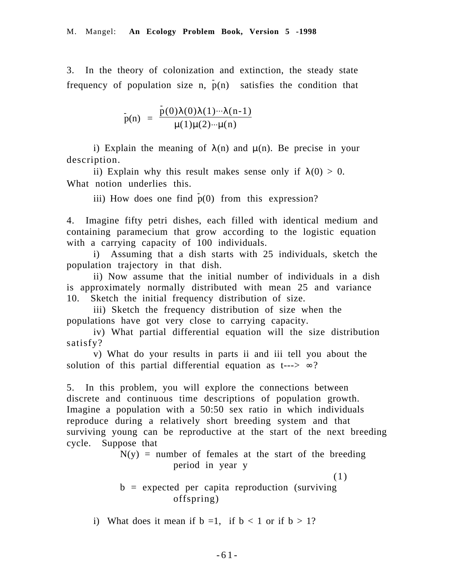3. In the theory of colonization and extinction, the steady state frequency of population size n,  $\bar{p}(n)$  satisfies the condition that

$$
p(n) = \frac{p(0)\lambda(0)\lambda(1)\cdots\lambda(n-1)}{\mu(1)\mu(2)\cdots\mu(n)}
$$

i) Explain the meaning of  $\lambda(n)$  and  $\mu(n)$ . Be precise in your description.

ii) Explain why this result makes sense only if  $\lambda(0) > 0$ . What notion underlies this.

iii) How does one find  $p(0)$  from this expression?

4. Imagine fifty petri dishes, each filled with identical medium and containing paramecium that grow according to the logistic equation with a carrying capacity of 100 individuals.

i) Assuming that a dish starts with 25 individuals, sketch the population trajectory in that dish.

ii) Now assume that the initial number of individuals in a dish is approximately normally distributed with mean 25 and variance 10. Sketch the initial frequency distribution of size.

iii) Sketch the frequency distribution of size when the populations have got very close to carrying capacity.

iv) What partial differential equation will the size distribution satisfy?

v) What do your results in parts ii and iii tell you about the solution of this partial differential equation as t--->  $\infty$ ?

5. In this problem, you will explore the connections between discrete and continuous time descriptions of population growth. Imagine a population with a 50:50 sex ratio in which individuals reproduce during a relatively short breeding system and that surviving young can be reproductive at the start of the next breeding cycle. Suppose that

> $N(y)$  = number of females at the start of the breeding period in year y

(1)  $b =$  expected per capita reproduction (surviving offspring)

i) What does it mean if  $b = 1$ , if  $b < 1$  or if  $b > 1$ ?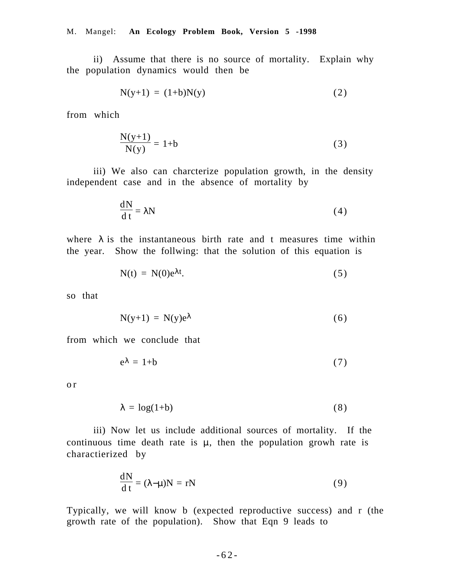ii) Assume that there is no source of mortality. Explain why the population dynamics would then be

$$
N(y+1) = (1+b)N(y) \tag{2}
$$

from which

$$
\frac{N(y+1)}{N(y)} = 1+b
$$
\n<sup>(3)</sup>

iii) We also can charcterize population growth, in the density independent case and in the absence of mortality by

$$
\frac{dN}{dt} = \lambda N \tag{4}
$$

where  $\lambda$  is the instantaneous birth rate and t measures time within the year. Show the follwing: that the solution of this equation is

$$
N(t) = N(0)e^{\lambda t}.
$$
 (5)

so that

$$
N(y+1) = N(y)e^{\lambda}
$$
 (6)

from which we conclude that

$$
e^{\lambda} = 1 + b \tag{7}
$$

o r

$$
\lambda = \log(1+b) \tag{8}
$$

iii) Now let us include additional sources of mortality. If the continuous time death rate is  $\mu$ , then the population growh rate is charactierized by

$$
\frac{dN}{dt} = (\lambda - \mu)N = rN
$$
 (9)

Typically, we will know b (expected reproductive success) and r (the growth rate of the population). Show that Eqn 9 leads to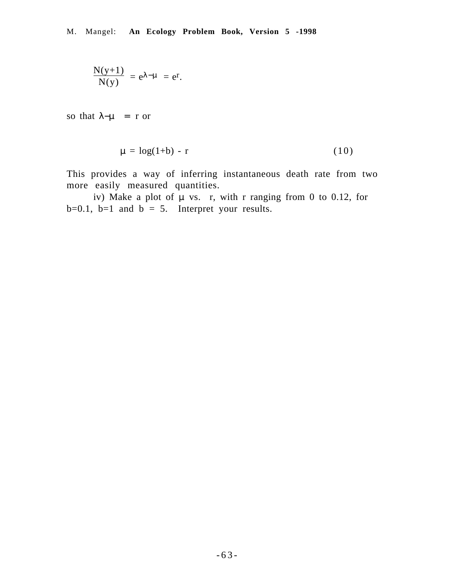$$
\frac{N(y+1)}{N(y)} = e^{\lambda - \mu} = e^r.
$$

so that  $\lambda-\mu$  = r or

$$
\mu = \log(1+b) - r \tag{10}
$$

This provides a way of inferring instantaneous death rate from two more easily measured quantities.

iv) Make a plot of  $\mu$  vs. r, with r ranging from 0 to 0.12, for  $b=0.1$ ,  $b=1$  and  $b = 5$ . Interpret your results.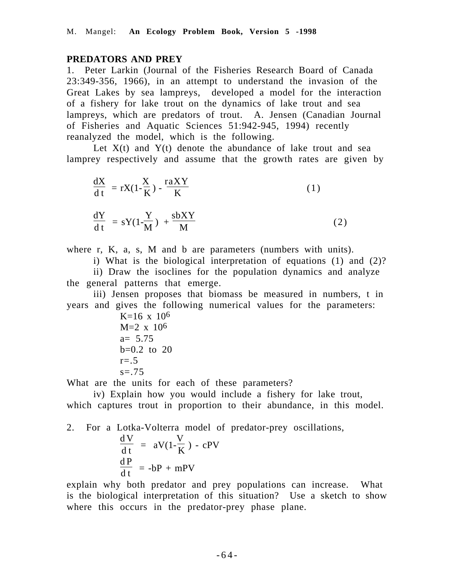## **PREDATORS AND PREY**

1. Peter Larkin (Journal of the Fisheries Research Board of Canada 23:349-356, 1966), in an attempt to understand the invasion of the Great Lakes by sea lampreys, developed a model for the interaction of a fishery for lake trout on the dynamics of lake trout and sea lampreys, which are predators of trout. A. Jensen (Canadian Journal of Fisheries and Aquatic Sciences 51:942-945, 1994) recently reanalyzed the model, which is the following.

Let  $X(t)$  and  $Y(t)$  denote the abundance of lake trout and sea lamprey respectively and assume that the growth rates are given by

$$
\frac{dX}{dt} = rX(1 - \frac{X}{K}) - \frac{r aXY}{K}
$$
\n
$$
\frac{dY}{dt} = sY(1 - \frac{Y}{M}) + \frac{s bXY}{M}
$$
\n(2)

where r, K, a, s, M and b are parameters (numbers with units).

i) What is the biological interpretation of equations (1) and (2)?

ii) Draw the isoclines for the population dynamics and analyze the general patterns that emerge.

iii) Jensen proposes that biomass be measured in numbers, t in years and gives the following numerical values for the parameters:

K=16 x 106 M=2 x 106 a= 5.75 b=0.2 to 20 r=.5 s=.75

What are the units for each of these parameters?

iv) Explain how you would include a fishery for lake trout, which captures trout in proportion to their abundance, in this model.

2. For a Lotka-Volterra model of predator-prey oscillations, d V  $\frac{d}{dt}$  = aV(1-V  $\frac{1}{K}$ ) - cPV d P  $\frac{d^{2}L}{dt}$  = -bP + mPV

explain why both predator and prey populations can increase. What is the biological interpretation of this situation? Use a sketch to show where this occurs in the predator-prey phase plane.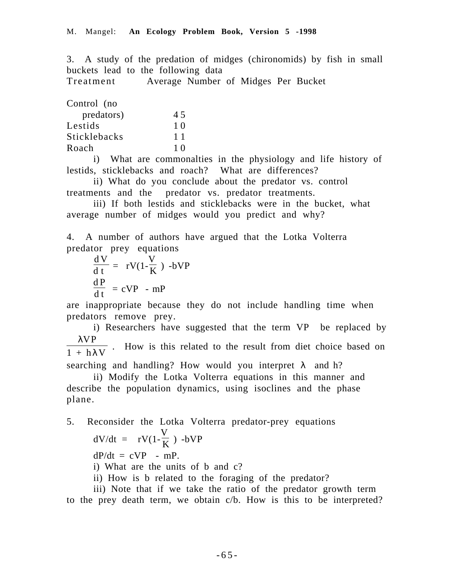3. A study of the predation of midges (chironomids) by fish in small buckets lead to the following data

Treatment Average Number of Midges Per Bucket

| 45 |
|----|
| 10 |
| 11 |
| 10 |
|    |

i) What are commonalties in the physiology and life history of lestids, sticklebacks and roach? What are differences?

ii) What do you conclude about the predator vs. control treatments and the predator vs. predator treatments.

iii) If both lestids and sticklebacks were in the bucket, what average number of midges would you predict and why?

4. A number of authors have argued that the Lotka Volterra predator prey equations

$$
\frac{dV}{dt} = rV(1-\frac{V}{K}) - bVP
$$
  

$$
\frac{dP}{dt} = cVP - mP
$$

are inappropriate because they do not include handling time when predators remove prey.

i) Researchers have suggested that the term VP be replaced by λVP  $\frac{1}{1 + h\lambda V}$ . How is this related to the result from diet choice based on

searching and handling? How would you interpret  $\lambda$  and h?

ii) Modify the Lotka Volterra equations in this manner and describe the population dynamics, using isoclines and the phase plane.

5. Reconsider the Lotka Volterra predator-prey equations  $dV/dt = rV(1-\frac{V}{K})$  -bVP  $dP/dt = cVP$  - mP. i) What are the units of b and c? ii) How is b related to the foraging of the predator?

iii) Note that if we take the ratio of the predator growth term to the prey death term, we obtain c/b. How is this to be interpreted?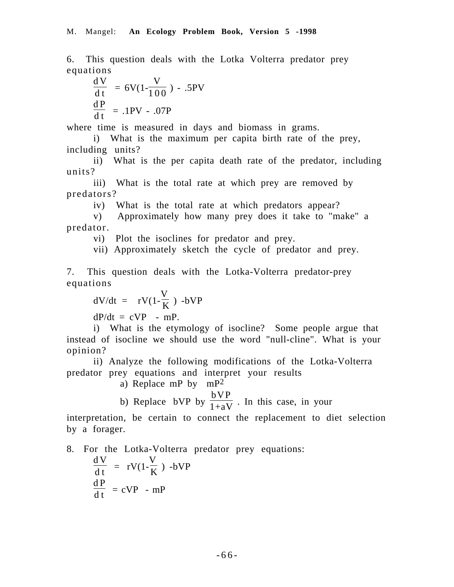6. This question deals with the Lotka Volterra predator prey equations

$$
\frac{dV}{dt} = 6V(1 - \frac{V}{100}) - .5PV
$$
  

$$
\frac{dP}{dt} = .1PV - .07P
$$

where time is measured in days and biomass in grams.

i) What is the maximum per capita birth rate of the prey, including units?

ii) What is the per capita death rate of the predator, including units?

iii) What is the total rate at which prey are removed by predators?

iv) What is the total rate at which predators appear?

v) Approximately how many prey does it take to "make" a predator.

vi) Plot the isoclines for predator and prey.

vii) Approximately sketch the cycle of predator and prey.

7. This question deals with the Lotka-Volterra predator-prey equations

$$
dV/dt = rV(1-\frac{V}{K}) - bVP
$$

 $dP/dt = cVP$  - mP.

i) What is the etymology of isocline? Some people argue that instead of isocline we should use the word "null-cline". What is your opinion?

ii) Analyze the following modifications of the Lotka-Volterra predator prey equations and interpret your results

a) Replace mP by mP2

b) Replace bVP by  $\frac{bVP}{1+aV}$ . In this case, in your

interpretation, be certain to connect the replacement to diet selection by a forager.

8. For the Lotka-Volterra predator prey equations:

$$
\frac{dV}{dt} = rV(1-\frac{V}{K}) - bVP
$$
  

$$
\frac{dP}{dt} = cVP - mP
$$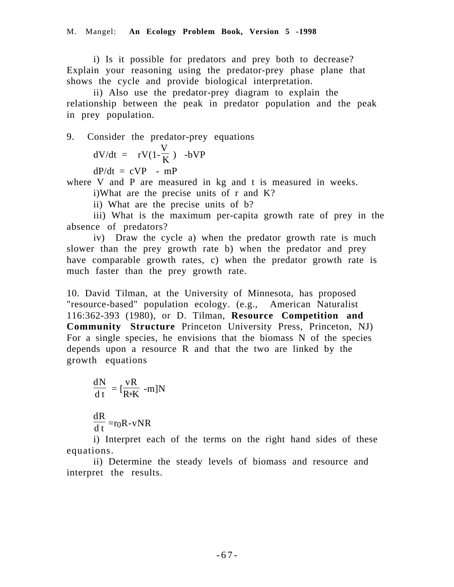i) Is it possible for predators and prey both to decrease? Explain your reasoning using the predator-prey phase plane that shows the cycle and provide biological interpretation.

ii) Also use the predator-prey diagram to explain the relationship between the peak in predator population and the peak in prey population.

9. Consider the predator-prey equations  $dV/dt = rV(1-\frac{V}{K})$  -bVP

 $dP/dt = cVP$  - mP

where V and P are measured in kg and t is measured in weeks.

i)What are the precise units of r and K?

ii) What are the precise units of b?

iii) What is the maximum per-capita growth rate of prey in the absence of predators?

iv) Draw the cycle a) when the predator growth rate is much slower than the prey growth rate b) when the predator and prey have comparable growth rates, c) when the predator growth rate is much faster than the prey growth rate.

10. David Tilman, at the University of Minnesota, has proposed "resource-based" population ecology. (e.g., American Naturalist 116:362-393 (1980), or D. Tilman, **Resource Competition and Community Structure** Princeton University Press, Princeton, NJ) For a single species, he envisions that the biomass N of the species depends upon a resource R and that the two are linked by the growth equations

$$
\frac{dN}{dt} = [\frac{vR}{R+K} - m]N
$$

dR  $\frac{d\mathbf{r}}{dt}$  =r<sub>0</sub>R-vNR

i) Interpret each of the terms on the right hand sides of these equations.

ii) Determine the steady levels of biomass and resource and interpret the results.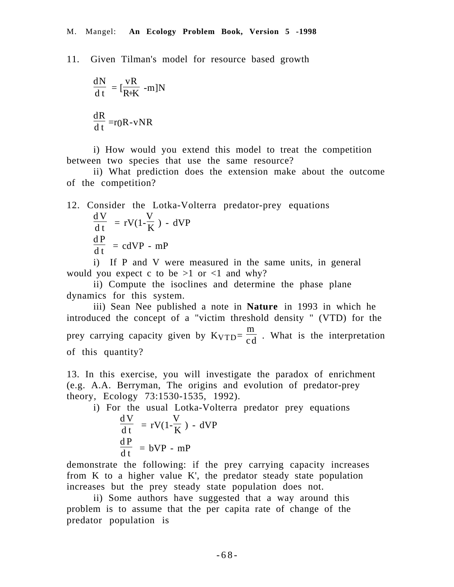11. Given Tilman's model for resource based growth

$$
\frac{dN}{dt} = [\frac{vR}{R+K} - m]N
$$

$$
\frac{dR}{dt} = r0R - vNR
$$

i) How would you extend this model to treat the competition between two species that use the same resource?

ii) What prediction does the extension make about the outcome of the competition?

#### 12. Consider the Lotka-Volterra predator-prey equations d V  $\frac{d}{dt} = rV(1-$ V  $\frac{1}{K}$ ) - dVP d P

$$
\frac{d\mathbf{r}}{dt} = cdVP - mP
$$

i) If P and V were measured in the same units, in general would you expect c to be  $>1$  or  $<1$  and why?

ii) Compute the isoclines and determine the phase plane dynamics for this system.

iii) Sean Nee published a note in **Nature** in 1993 in which he introduced the concept of a "victim threshold density " (VTD) for the prey carrying capacity given by KVTD= m  $\frac{m}{c d}$ . What is the interpretation of this quantity?

13. In this exercise, you will investigate the paradox of enrichment (e.g. A.A. Berryman, The origins and evolution of predator-prey theory, Ecology 73:1530-1535, 1992).

i) For the usual Lotka-Volterra predator prey equations  
\n
$$
\frac{dV}{dt} = rV(1-\frac{V}{K}) - dVP
$$
\n
$$
\frac{dP}{dt} = bVP - mP
$$
\nnstrate the following: if the prey carrying capacity increase

demonstrate the following: if the prey carrying capacity increases from K to a higher value K', the predator steady state population increases but the prey steady state population does not.

ii) Some authors have suggested that a way around this problem is to assume that the per capita rate of change of the predator population is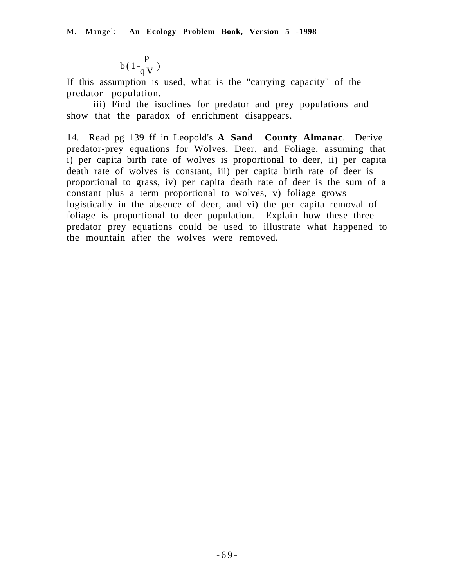$$
b(1\frac{P}{qV})
$$

If this assumption is used, what is the "carrying capacity" of the predator population.

iii) Find the isoclines for predator and prey populations and show that the paradox of enrichment disappears.

14. Read pg 139 ff in Leopold's **A Sand County Almanac**. Derive predator-prey equations for Wolves, Deer, and Foliage, assuming that i) per capita birth rate of wolves is proportional to deer, ii) per capita death rate of wolves is constant, iii) per capita birth rate of deer is proportional to grass, iv) per capita death rate of deer is the sum of a constant plus a term proportional to wolves, v) foliage grows logistically in the absence of deer, and vi) the per capita removal of foliage is proportional to deer population. Explain how these three predator prey equations could be used to illustrate what happened to the mountain after the wolves were removed.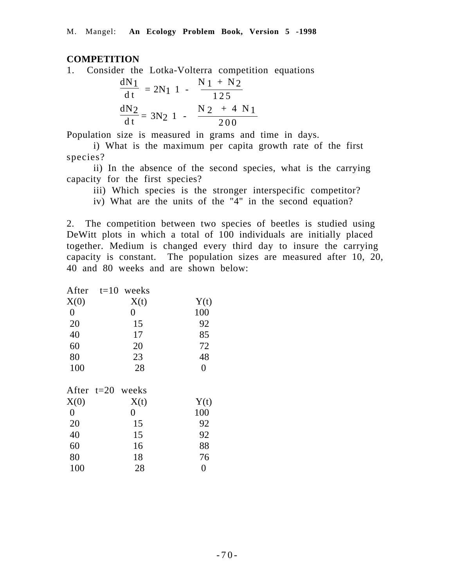## **COMPETITION**

1. Consider the Lotka-Volterra competition equations

$$
\frac{dN_1}{dt} = 2N_1 \left( 1 - \left( \frac{N_1 + N_2}{125} \right) \right)
$$

$$
\frac{dN_2}{dt} = 3N_2 \left( 1 - \left( \frac{N_2 + 4 N_1}{200} \right) \right)
$$

Population size is measured in grams and time in days.

i) What is the maximum per capita growth rate of the first species?

ii) In the absence of the second species, what is the carrying capacity for the first species?

iii) Which species is the stronger interspecific competitor?

iv) What are the units of the "4" in the second equation?

2. The competition between two species of beetles is studied using DeWitt plots in which a total of 100 individuals are initially placed together. Medium is changed every third day to insure the carrying capacity is constant. The population sizes are measured after 10, 20, 40 and 80 weeks and are shown below:

| After          | $t=10$<br>weeks |                |
|----------------|-----------------|----------------|
| X(0)           | X(t)            | Y(t)           |
| $\overline{0}$ | $\overline{0}$  | 100            |
| 20             | 15              | 92             |
| 40             | 17              | 85             |
| 60             | 20              | 72             |
| 80             | 23              | 48             |
| 100            | 28              | $\overline{0}$ |
|                |                 |                |
| After $t=20$   | weeks           |                |
| X(0)           | X(t)            | Y(t)           |
| $\overline{0}$ | $\overline{0}$  | 100            |
| 20             | 15              | 92             |
| 40             | 15              | 92             |
| 60             | 16              | 88             |
| 80             | 18              | 76             |
| 100            | 28              | $\overline{0}$ |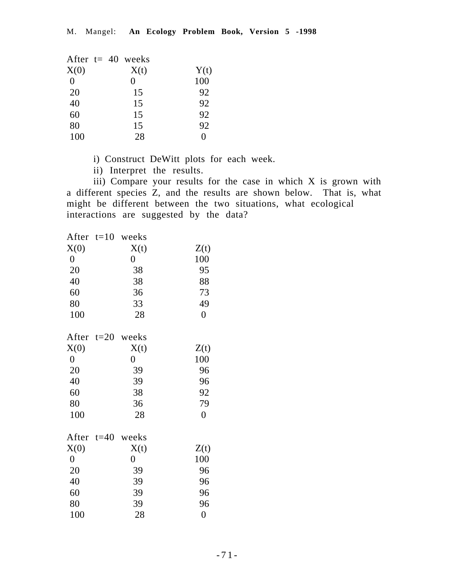|          | After $t = 40$ weeks |      |
|----------|----------------------|------|
| X(0)     | X(t)                 | Y(t) |
| $\theta$ | $\mathbf{0}$         | 100  |
| 20       | 15                   | 92   |
| 40       | 15                   | 92   |
| 60       | 15                   | 92   |
| 80       | 15                   | 92   |
| 100      | 28                   | 0    |

i) Construct DeWitt plots for each week.

ii) Interpret the results.

iii) Compare your results for the case in which X is grown with a different species Z, and the results are shown below. That is, what might be different between the two situations, what ecological interactions are suggested by the data?

| After            | $t=10$ | weeks            |                  |
|------------------|--------|------------------|------------------|
| X(0)             |        | X(t)             | Z(t)             |
| $\boldsymbol{0}$ |        | $\boldsymbol{0}$ | 100              |
| 20               |        | 38               | 95               |
| 40               |        | 38               | 88               |
| 60               |        | 36               | 73               |
| 80               |        | 33               | 49               |
| 100              |        | 28               | $\boldsymbol{0}$ |
| After            | $t=20$ | weeks            |                  |
| X(0)             |        | X(t)             | Z(t)             |
| $\boldsymbol{0}$ |        | $\overline{0}$   | 100              |
| 20               |        | 39               | 96               |
| 40               |        | 39               | 96               |
| 60               |        | 38               | 92               |
| 80               |        | 36               | 79               |
| 100              |        | 28               | $\boldsymbol{0}$ |
| After            | $t=40$ | weeks            |                  |
| X(0)             |        | X(t)             | Z(t)             |
| $\boldsymbol{0}$ |        | $\boldsymbol{0}$ | 100              |
| 20               |        | 39               | 96               |
| 40               |        | 39               | 96               |
| 60               |        | 39               | 96               |
| 80               |        | 39               | 96               |
| 100              |        | 28               | $\overline{0}$   |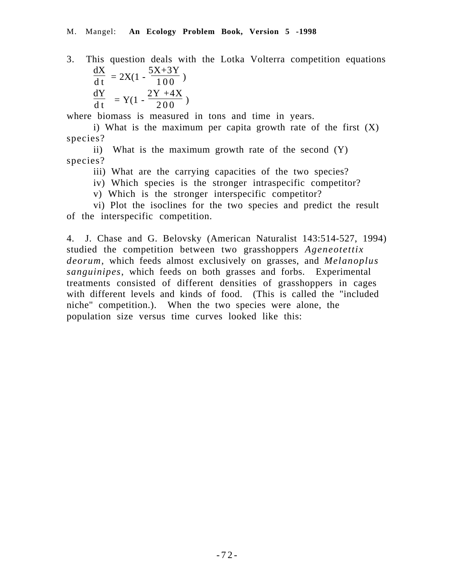3. This question deals with the Lotka Volterra competition equations dX 5X+3Y

 $\frac{d\mathbf{r}}{dt} = 2X(1 \frac{101}{100}$ dY  $\frac{d}{dt} = Y(1 -$ 2Y +4X  $\frac{1}{200}$ )

where biomass is measured in tons and time in years.

i) What is the maximum per capita growth rate of the first  $(X)$ species?

ii) What is the maximum growth rate of the second (Y) species?

iii) What are the carrying capacities of the two species?

iv) Which species is the stronger intraspecific competitor?

v) Which is the stronger interspecific competitor?

vi) Plot the isoclines for the two species and predict the result of the interspecific competition.

4. J. Chase and G. Belovsky (American Naturalist 143:514-527, 1994) studied the competition between two grasshoppers *Ageneotettix deorum*, which feeds almost exclusively on grasses, and *Melanoplus sanguinipes*, which feeds on both grasses and forbs. Experimental treatments consisted of different densities of grasshoppers in cages with different levels and kinds of food. (This is called the "included niche" competition.). When the two species were alone, the population size versus time curves looked like this: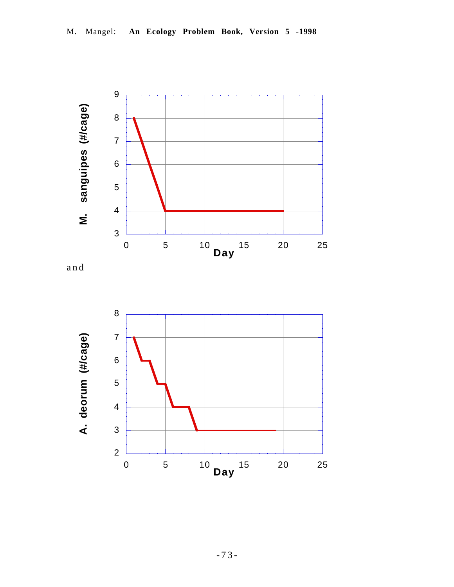

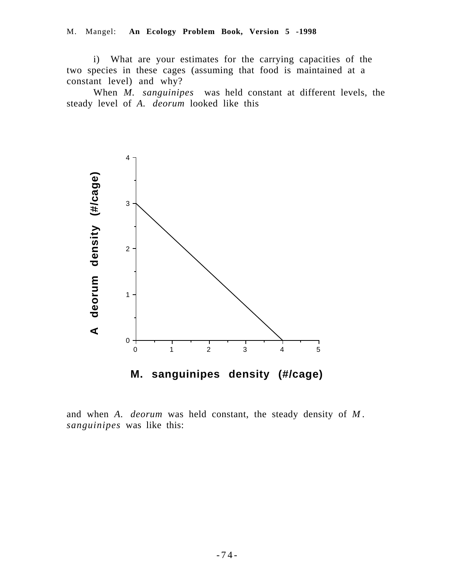# M. Mangel: **An Ecology Problem Book, Version 5 -1998**

i) What are your estimates for the carrying capacities of the two species in these cages (assuming that food is maintained at a constant level) and why?

When *M. sanguinipes* was held constant at different levels, the steady level of *A. deorum* looked like this



and when *A. deorum* was held constant, the steady density of *M . sanguinipes* was like this: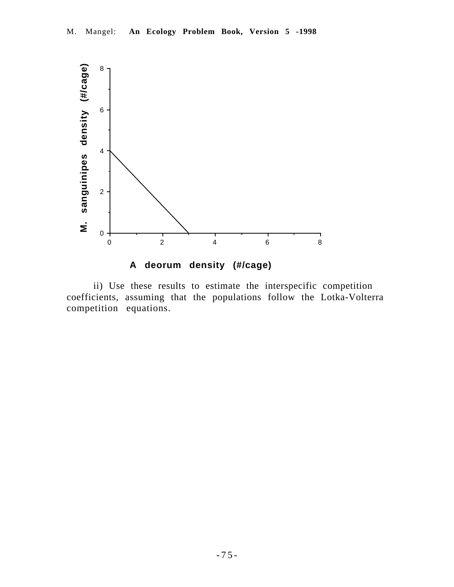

ii) Use these results to estimate the interspecific competition coefficients, assuming that the populations follow the Lotka-Volterra competition equations.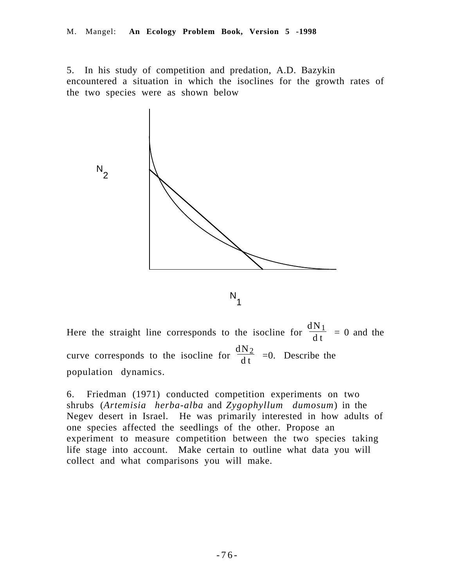5. In his study of competition and predation, A.D. Bazykin encountered a situation in which the isoclines for the growth rates of the two species were as shown below



Here the straight line corresponds to the isocline for  $\frac{dN_1}{dt} = 0$  and the curve corresponds to the isocline for  $\frac{dN_2}{dt}$  =0. Describe the population dynamics.

6. Friedman (1971) conducted competition experiments on two shrubs (*Artemisia herba-alba* and *Zygophyllum dumosum*) in the Negev desert in Israel. He was primarily interested in how adults of one species affected the seedlings of the other. Propose an experiment to measure competition between the two species taking life stage into account. Make certain to outline what data you will collect and what comparisons you will make.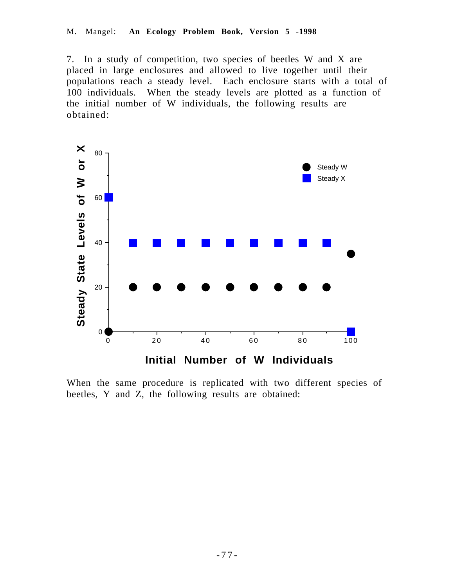7. In a study of competition, two species of beetles W and X are placed in large enclosures and allowed to live together until their populations reach a steady level. Each enclosure starts with a total of 100 individuals. When the steady levels are plotted as a function of the initial number of W individuals, the following results are obtained:



When the same procedure is replicated with two different species of beetles, Y and Z, the following results are obtained: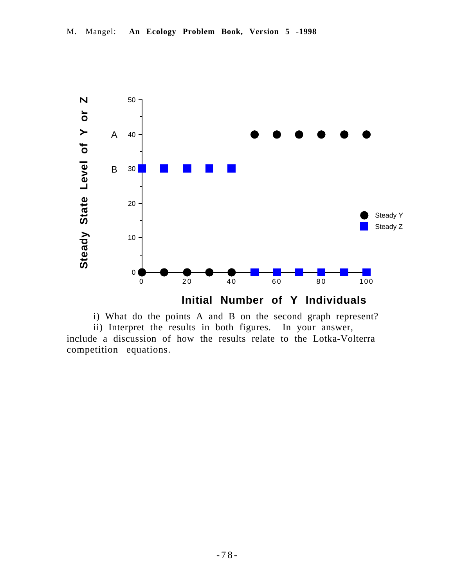

i) What do the points A and B on the second graph represent?

ii) Interpret the results in both figures. In your answer, include a discussion of how the results relate to the Lotka-Volterra competition equations.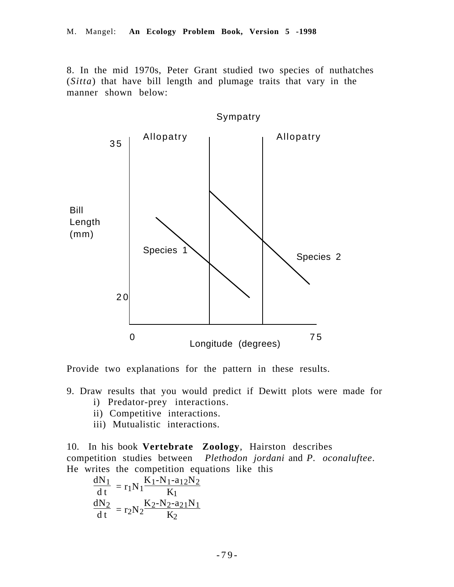8. In the mid 1970s, Peter Grant studied two species of nuthatches (*Sitta*) that have bill length and plumage traits that vary in the manner shown below:



Provide two explanations for the pattern in these results.

- 9. Draw results that you would predict if Dewitt plots were made for
	- i) Predator-prey interactions.
	- ii) Competitive interactions.
	- iii) Mutualistic interactions.

10. In his book **Vertebrate Zoology**, Hairston describes competition studies between *Plethodon jordani* and *P. oconaluftee*. He writes the competition equations like this

$$
\frac{dN_1}{dt} = r_1 N_1 \frac{K_1 - N_1 - a_{12}N_2}{K_1}
$$

$$
\frac{dN_2}{dt} = r_2 N_2 \frac{K_2 - N_2 - a_{21}N_1}{K_2}
$$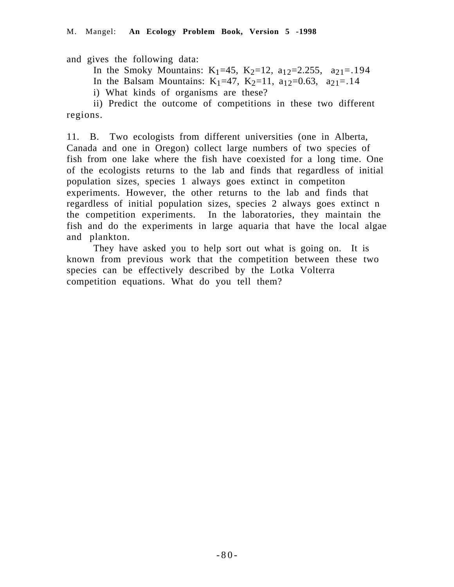and gives the following data:

In the Smoky Mountains:  $K_1=45$ ,  $K_2=12$ ,  $a_{12}=2.255$ ,  $a_{21}=194$ 

In the Balsam Mountains: K<sub>1</sub>=47, K<sub>2</sub>=11, a<sub>12</sub>=0.63, a<sub>21</sub>=.14

i) What kinds of organisms are these?

ii) Predict the outcome of competitions in these two different regions.

11. B. Two ecologists from different universities (one in Alberta, Canada and one in Oregon) collect large numbers of two species of fish from one lake where the fish have coexisted for a long time. One of the ecologists returns to the lab and finds that regardless of initial population sizes, species 1 always goes extinct in competiton experiments. However, the other returns to the lab and finds that regardless of initial population sizes, species 2 always goes extinct n the competition experiments. In the laboratories, they maintain the fish and do the experiments in large aquaria that have the local algae and plankton.

They have asked you to help sort out what is going on. It is known from previous work that the competition between these two species can be effectively described by the Lotka Volterra competition equations. What do you tell them?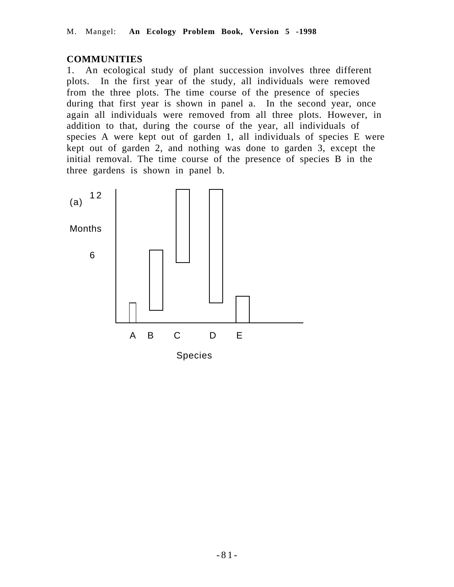# **COMMUNITIES**

1. An ecological study of plant succession involves three different plots. In the first year of the study, all individuals were removed from the three plots. The time course of the presence of species during that first year is shown in panel a. In the second year, once again all individuals were removed from all three plots. However, in addition to that, during the course of the year, all individuals of species A were kept out of garden 1, all individuals of species E were kept out of garden 2, and nothing was done to garden 3, except the initial removal. The time course of the presence of species B in the three gardens is shown in panel b.

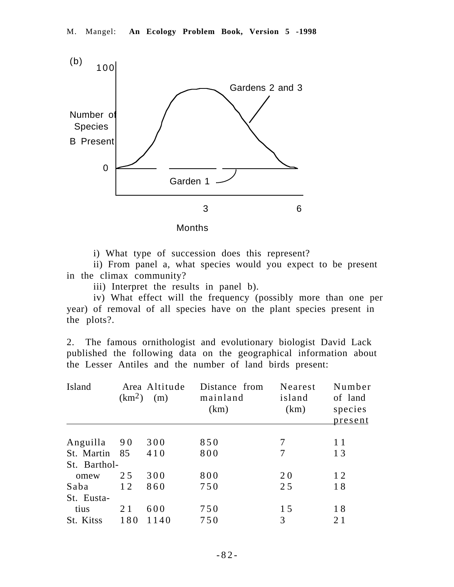

i) What type of succession does this represent?

ii) From panel a, what species would you expect to be present in the climax community?

iii) Interpret the results in panel b).

iv) What effect will the frequency (possibly more than one per year) of removal of all species have on the plant species present in the plots?.

2. The famous ornithologist and evolutionary biologist David Lack published the following data on the geographical information about the Lesser Antiles and the number of land birds present:

| Island       | (km <sup>2</sup> ) | Area Altitude<br>(m) | Distance from<br>mainland<br>(km) | Nearest<br>island<br>(km) | Number<br>of land<br>species<br>present |
|--------------|--------------------|----------------------|-----------------------------------|---------------------------|-----------------------------------------|
| Anguilla     | 90                 | 300                  | 850                               | 7                         | 11                                      |
| St. Martin   | 85                 | 410                  | 800                               | 7                         | 13                                      |
| St. Barthol- |                    |                      |                                   |                           |                                         |
| omew         | 25                 | 300                  | 800                               | 2 <sub>0</sub>            | 12                                      |
| Saba         | 12                 | 860                  | 750                               | 25                        | 18                                      |
| St. Eusta-   |                    |                      |                                   |                           |                                         |
| tius         | 21                 | 600                  | 750                               | 1.5                       | 18                                      |
| St. Kitss    | 180                | 1140                 | 750                               | 3                         | 21                                      |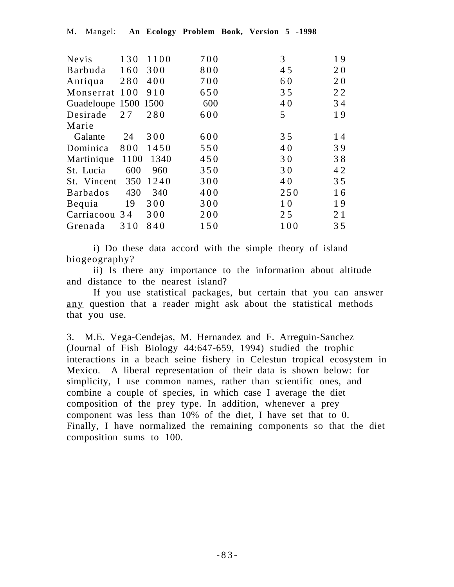| 130  | 1100                         | 700                  | 3   | 19 |
|------|------------------------------|----------------------|-----|----|
| 160  | 300                          | 800                  | 45  | 20 |
| 280  | 400                          | 700                  | 60  | 20 |
| 100  | 910                          | 650                  | 35  | 22 |
|      |                              | 600                  | 40  | 34 |
| 27   | 280                          | 600                  | 5   | 19 |
|      |                              |                      |     |    |
| 24   | 300                          | 600                  | 35  | 14 |
| 800  | 1450                         | 550                  | 40  | 39 |
| 1100 | 1340                         | 450                  | 30  | 38 |
| 600  | 960                          | 350                  | 30  | 42 |
| 350  | 1240                         | 300                  | 40  | 35 |
| 430  | 340                          | 400                  | 250 | 16 |
| 19   | 300                          | 300                  | 10  | 19 |
|      | 300                          | 200                  | 25  | 21 |
| 310  | 840                          | 150                  | 100 | 35 |
|      | St. Vincent<br>Carriacoou 34 | Guadeloupe 1500 1500 |     |    |

i) Do these data accord with the simple theory of island biogeography?

ii) Is there any importance to the information about altitude and distance to the nearest island?

If you use statistical packages, but certain that you can answer any question that a reader might ask about the statistical methods that you use.

3. M.E. Vega-Cendejas, M. Hernandez and F. Arreguin-Sanchez (Journal of Fish Biology 44:647-659, 1994) studied the trophic interactions in a beach seine fishery in Celestun tropical ecosystem in Mexico. A liberal representation of their data is shown below: for simplicity, I use common names, rather than scientific ones, and combine a couple of species, in which case I average the diet composition of the prey type. In addition, whenever a prey component was less than 10% of the diet, I have set that to 0. Finally, I have normalized the remaining components so that the diet composition sums to 100.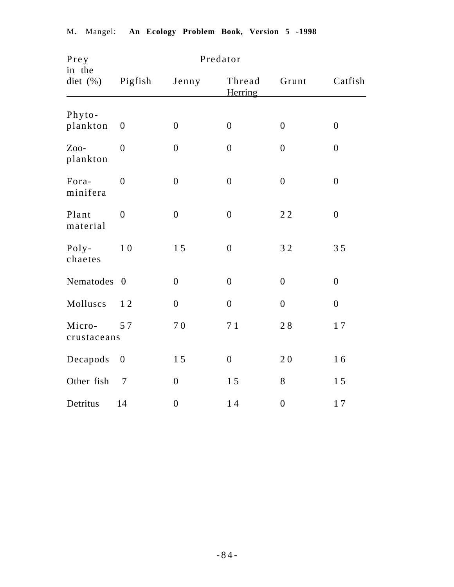| Prey<br>in the        |                  |                  | Predator                 |                  |                |
|-----------------------|------------------|------------------|--------------------------|------------------|----------------|
| diet (%)              | Pigfish          | Jenny            | Thread<br><b>Herring</b> | Grunt            | Catfish        |
|                       |                  |                  |                          |                  |                |
| Phyto-<br>plankton    | $\boldsymbol{0}$ | $\boldsymbol{0}$ | $\overline{0}$           | $\boldsymbol{0}$ | $\overline{0}$ |
| Zoo-<br>plankton      | $\overline{0}$   | $\boldsymbol{0}$ | $\overline{0}$           | $\boldsymbol{0}$ | $\overline{0}$ |
| Fora-<br>minifera     | $\overline{0}$   | $\boldsymbol{0}$ | $\overline{0}$           | $\boldsymbol{0}$ | $\mathbf{0}$   |
| Plant<br>material     | $\overline{0}$   | $\mathbf{0}$     | $\overline{0}$           | $2\,2$           | $\overline{0}$ |
| $Poly-$<br>chaetes    | 10               | 15               | $\overline{0}$           | 32               | 35             |
| Nematodes             | $\overline{0}$   | $\boldsymbol{0}$ | $\overline{0}$           | $\boldsymbol{0}$ | $\overline{0}$ |
| Molluscs              | 12               | $\boldsymbol{0}$ | $\boldsymbol{0}$         | $\boldsymbol{0}$ | $\mathbf{0}$   |
| Micro-<br>crustaceans | 57               | 70               | 71                       | $2\;8$           | 17             |
| Decapods              | $\boldsymbol{0}$ | 15               | $\boldsymbol{0}$         | 20               | 16             |
| Other fish            | $\tau$           | $\boldsymbol{0}$ | 15                       | $8\,$            | 15             |
| Detritus              | 14               | $\boldsymbol{0}$ | 14                       | $\boldsymbol{0}$ | 17             |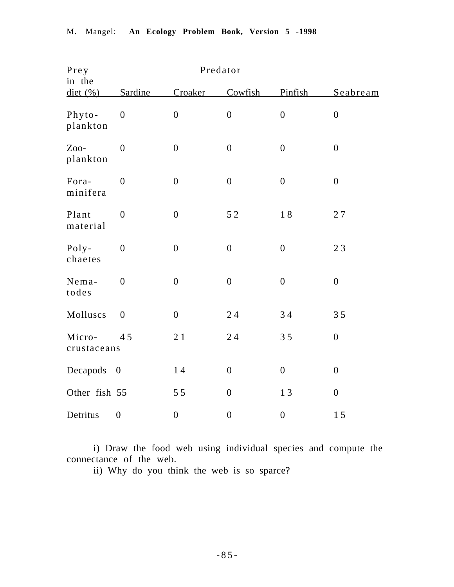| Prey<br>in the        |                          |                  | Predator         |                  |                  |
|-----------------------|--------------------------|------------------|------------------|------------------|------------------|
| $\det( %)$            | Sardine                  | Croaker          | Cowfish          | Pinfish          | Seabream         |
| Phyto-<br>plankton    | $\overline{0}$           | $\boldsymbol{0}$ | $\boldsymbol{0}$ | $\boldsymbol{0}$ | $\overline{0}$   |
| Zoo-<br>plankton      | $\overline{0}$           | $\boldsymbol{0}$ | $\boldsymbol{0}$ | $\boldsymbol{0}$ | $\boldsymbol{0}$ |
| Fora-<br>minifera     | $\overline{0}$           | $\boldsymbol{0}$ | $\boldsymbol{0}$ | $\boldsymbol{0}$ | $\boldsymbol{0}$ |
| Plant<br>material     | $\overline{0}$           | $\boldsymbol{0}$ | 52               | 18               | 27               |
| Poly-<br>chaetes      | $\boldsymbol{0}$         | $\boldsymbol{0}$ | $\boldsymbol{0}$ | $\boldsymbol{0}$ | 23               |
| Nema-<br>todes        | $\boldsymbol{0}$         | $\boldsymbol{0}$ | $\boldsymbol{0}$ | $\boldsymbol{0}$ | $\boldsymbol{0}$ |
| Molluscs              | $\overline{0}$           | $\boldsymbol{0}$ | 24               | 34               | 35               |
| Micro-<br>crustaceans | 45                       | 21               | 24               | 35               | $\boldsymbol{0}$ |
| Decapods              | $\overline{\phantom{0}}$ | 14               | $\boldsymbol{0}$ | $\boldsymbol{0}$ | $\boldsymbol{0}$ |
| Other fish 55         |                          | 55               | $\boldsymbol{0}$ | 13               | $\boldsymbol{0}$ |
| Detritus              | $\boldsymbol{0}$         | $\boldsymbol{0}$ | $\boldsymbol{0}$ | $\boldsymbol{0}$ | 15               |

i) Draw the food web using individual species and compute the connectance of the web.

ii) Why do you think the web is so sparce?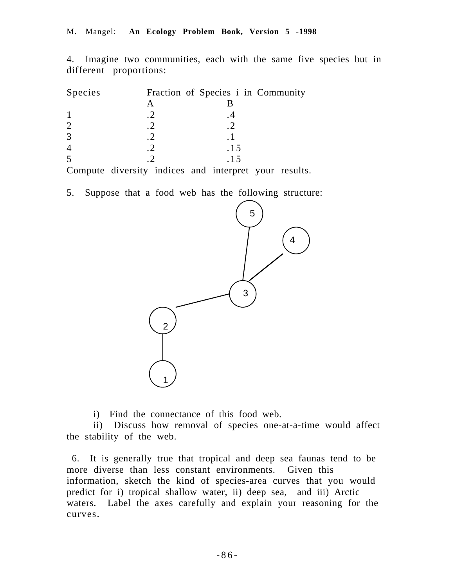4. Imagine two communities, each with the same five species but in different proportions:

| Species |                                       | Fraction of Species i in Community     |    |
|---------|---------------------------------------|----------------------------------------|----|
|         |                                       |                                        |    |
|         |                                       |                                        |    |
|         |                                       |                                        |    |
|         |                                       |                                        |    |
|         |                                       | .15                                    |    |
|         |                                       | . 15                                   |    |
|         | $\cdot$ , $\cdot$ , $\cdot$ , $\cdot$ | $\mathbf{1}$ , the set of $\mathbf{1}$ | 1. |

Compute diversity indices and interpret your results.

5. Suppose that a food web has the following structure:



i) Find the connectance of this food web.

ii) Discuss how removal of species one-at-a-time would affect the stability of the web.

 6. It is generally true that tropical and deep sea faunas tend to be more diverse than less constant environments. Given this information, sketch the kind of species-area curves that you would predict for i) tropical shallow water, ii) deep sea, and iii) Arctic waters. Label the axes carefully and explain your reasoning for the curves.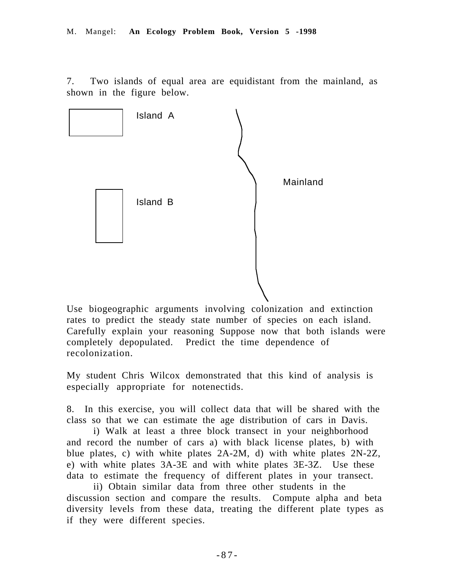7. Two islands of equal area are equidistant from the mainland, as shown in the figure below.



Use biogeographic arguments involving colonization and extinction rates to predict the steady state number of species on each island. Carefully explain your reasoning Suppose now that both islands were completely depopulated. Predict the time dependence of recolonization.

My student Chris Wilcox demonstrated that this kind of analysis is especially appropriate for notenectids.

8. In this exercise, you will collect data that will be shared with the class so that we can estimate the age distribution of cars in Davis.

i) Walk at least a three block transect in your neighborhood and record the number of cars a) with black license plates, b) with blue plates, c) with white plates 2A-2M, d) with white plates 2N-2Z, e) with white plates 3A-3E and with white plates 3E-3Z. Use these data to estimate the frequency of different plates in your transect.

ii) Obtain similar data from three other students in the discussion section and compare the results. Compute alpha and beta diversity levels from these data, treating the different plate types as if they were different species.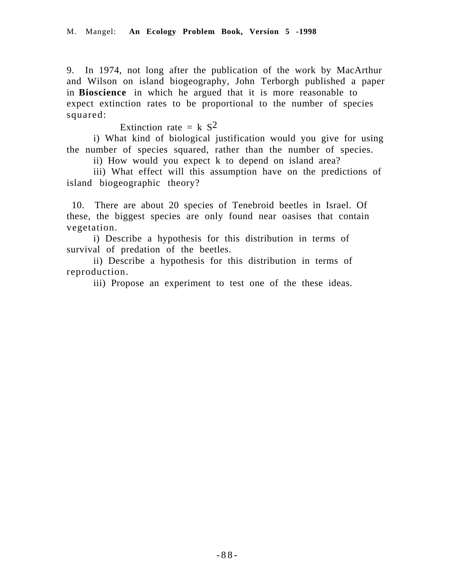9. In 1974, not long after the publication of the work by MacArthur and Wilson on island biogeography, John Terborgh published a paper in **Bioscience** in which he argued that it is more reasonable to expect extinction rates to be proportional to the number of species squared:

Extinction rate =  $k S<sup>2</sup>$ 

i) What kind of biological justification would you give for using the number of species squared, rather than the number of species.

ii) How would you expect k to depend on island area?

iii) What effect will this assumption have on the predictions of island biogeographic theory?

 10. There are about 20 species of Tenebroid beetles in Israel. Of these, the biggest species are only found near oasises that contain vegetation.

i) Describe a hypothesis for this distribution in terms of survival of predation of the beetles.

ii) Describe a hypothesis for this distribution in terms of reproduction.

iii) Propose an experiment to test one of the these ideas.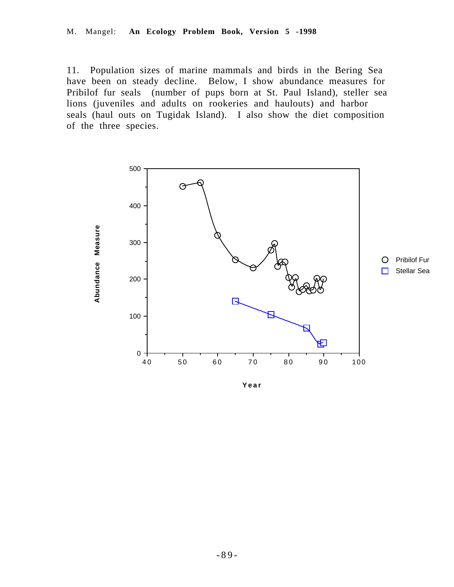11. Population sizes of marine mammals and birds in the Bering Sea have been on steady decline. Below, I show abundance measures for Pribilof fur seals (number of pups born at St. Paul Island), steller sea lions (juveniles and adults on rookeries and haulouts) and harbor seals (haul outs on Tugidak Island). I also show the diet composition of the three species.



**Year**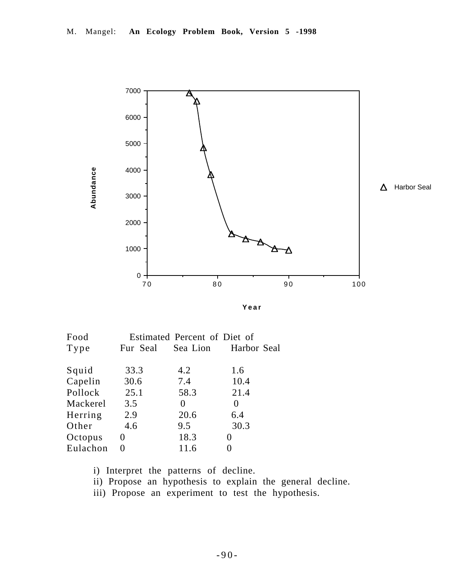

**Year**

| Food     |          | Estimated Percent of Diet of |                      |
|----------|----------|------------------------------|----------------------|
| Type     | Fur Seal |                              | Sea Lion Harbor Seal |
| Squid    | 33.3     | 4.2                          | 1.6                  |
| Capelin  | 30.6     | 7.4                          | 10.4                 |
| Pollock  | 25.1     | 58.3                         | 21.4                 |
| Mackerel | 3.5      | $\theta$                     | $\Omega$             |
| Herring  | 2.9      | 20.6                         | 6.4                  |
| Other    | 4.6      | 9.5                          | 30.3                 |
| Octopus  | $\theta$ | 18.3                         | 0                    |
| Eulachon | 0        | 11.6                         |                      |
|          |          |                              |                      |

i) Interpret the patterns of decline.

ii) Propose an hypothesis to explain the general decline.

iii) Propose an experiment to test the hypothesis.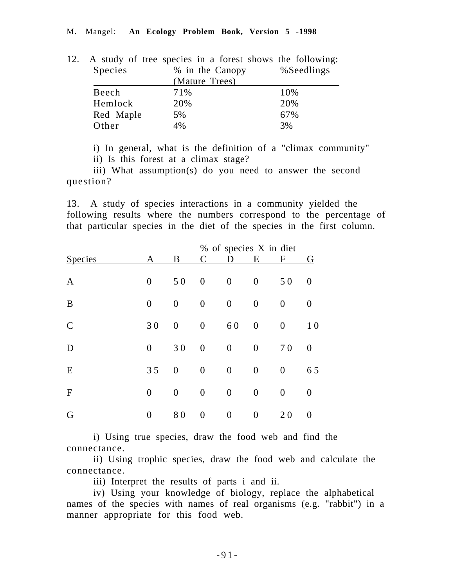|           | 12. A study of tree species in a forest shows the following: |            |
|-----------|--------------------------------------------------------------|------------|
| Species   | % in the Canopy                                              | %Seedlings |
|           | (Mature Trees)                                               |            |
| Beech     | 71%                                                          | 10%        |
| Hemlock   | 20%                                                          | 20%        |
| Red Maple | 5%                                                           | 67%        |
| Other     | 4%                                                           | 3%         |

i) In general, what is the definition of a "climax community" ii) Is this forest at a climax stage?

iii) What assumption(s) do you need to answer the second question?

13. A study of species interactions in a community yielded the following results where the numbers correspond to the percentage of that particular species in the diet of the species in the first column.

|                |                  |                  |                  | % of species X in diet |                  |                  |                  |
|----------------|------------------|------------------|------------------|------------------------|------------------|------------------|------------------|
| <b>Species</b> | А                | B                |                  |                        | Е                | F                | G                |
| $\mathbf{A}$   | $\boldsymbol{0}$ | 50               | $\boldsymbol{0}$ | $\boldsymbol{0}$       | $\boldsymbol{0}$ | 50               | $\boldsymbol{0}$ |
| B              | $\boldsymbol{0}$ | $\boldsymbol{0}$ | $\boldsymbol{0}$ | $\boldsymbol{0}$       | $\boldsymbol{0}$ | $\boldsymbol{0}$ | $\theta$         |
| $\mathcal{C}$  | 30               | $\boldsymbol{0}$ | $\boldsymbol{0}$ | 60                     | $\boldsymbol{0}$ | $\boldsymbol{0}$ | 10               |
| D              | $\boldsymbol{0}$ | 30               | $\boldsymbol{0}$ | $\boldsymbol{0}$       | $\boldsymbol{0}$ | 70               | $\boldsymbol{0}$ |
| E              | 35               | $\boldsymbol{0}$ | $\boldsymbol{0}$ | $\boldsymbol{0}$       | $\boldsymbol{0}$ | $\boldsymbol{0}$ | 65               |
| F              | $\boldsymbol{0}$ | $\boldsymbol{0}$ | $\boldsymbol{0}$ | $\boldsymbol{0}$       | $\boldsymbol{0}$ | $\boldsymbol{0}$ | $\boldsymbol{0}$ |
| G              | $\boldsymbol{0}$ | 80               | $\boldsymbol{0}$ | $\boldsymbol{0}$       | $\boldsymbol{0}$ | 20               | $\boldsymbol{0}$ |

i) Using true species, draw the food web and find the connectance.

ii) Using trophic species, draw the food web and calculate the connectance.

iii) Interpret the results of parts i and ii.

iv) Using your knowledge of biology, replace the alphabetical names of the species with names of real organisms (e.g. "rabbit") in a manner appropriate for this food web.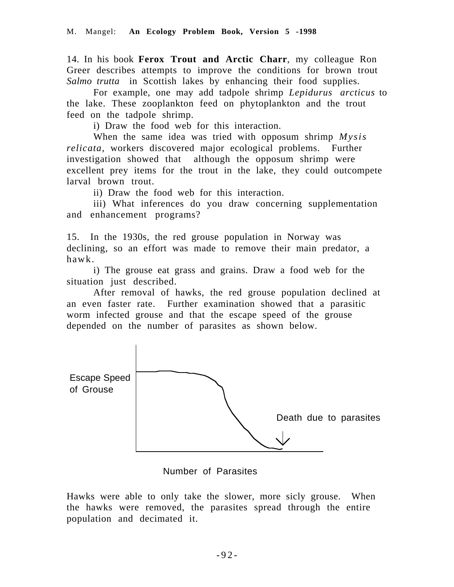14. In his book **Ferox Trout and Arctic Charr**, my colleague Ron Greer describes attempts to improve the conditions for brown trout *Salmo trutta* in Scottish lakes by enhancing their food supplies.

For example, one may add tadpole shrimp *Lepidurus arcticus* to the lake. These zooplankton feed on phytoplankton and the trout feed on the tadpole shrimp.

i) Draw the food web for this interaction.

When the same idea was tried with opposum shrimp *Mysis relicata*, workers discovered major ecological problems. Further investigation showed that although the opposum shrimp were excellent prey items for the trout in the lake, they could outcompete larval brown trout.

ii) Draw the food web for this interaction.

iii) What inferences do you draw concerning supplementation and enhancement programs?

15. In the 1930s, the red grouse population in Norway was declining, so an effort was made to remove their main predator, a hawk.

i) The grouse eat grass and grains. Draw a food web for the situation just described.

After removal of hawks, the red grouse population declined at an even faster rate. Further examination showed that a parasitic worm infected grouse and that the escape speed of the grouse depended on the number of parasites as shown below.



Number of Parasites

Hawks were able to only take the slower, more sicly grouse. When the hawks were removed, the parasites spread through the entire population and decimated it.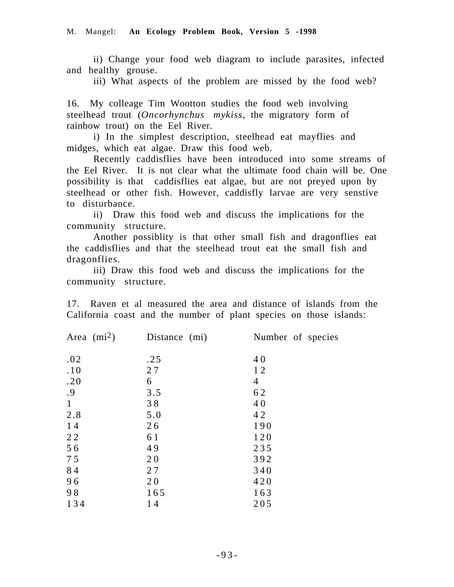ii) Change your food web diagram to include parasites, infected and healthy grouse.

iii) What aspects of the problem are missed by the food web?

16. My colleage Tim Wootton studies the food web involving steelhead trout (*Oncorhynchus mykiss*, the migratory form of rainbow trout) on the Eel River.

i) In the simplest description, steelhead eat mayflies and midges, which eat algae. Draw this food web.

Recently caddisflies have been introduced into some streams of the Eel River. It is not clear what the ultimate food chain will be. One possibility is that caddisflies eat algae, but are not preyed upon by steelhead or other fish. However, caddisfly larvae are very senstive to disturbance.

ii) Draw this food web and discuss the implications for the community structure.

Another possiblity is that other small fish and dragonflies eat the caddisflies and that the steelhead trout eat the small fish and dragonflies.

iii) Draw this food web and discuss the implications for the community structure.

17. Raven et al measured the area and distance of islands from the California coast and the number of plant species on those islands:

| Area $(mi^2)$ | Distance (mi) | Number of species |
|---------------|---------------|-------------------|
| .02           | .25           | 40                |
| .10           | 27            | 12                |
| .20           | 6             | $\overline{4}$    |
| .9            | 3.5           | 62                |
| 1             | 38            | 40                |
| 2.8           | 5.0           | 42                |
| 14            | 26            | 190               |
| 22            | 61            | 120               |
| 56            | 49            | 235               |
| 75            | 20            | 392               |
| 84            | 27            | 340               |
| 96            | 20            | 420               |
| 98            | 165           | 163               |
| 134           | 14            | 205               |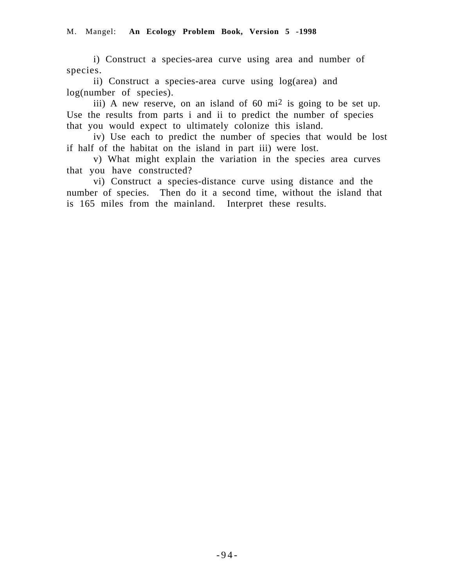i) Construct a species-area curve using area and number of species.

ii) Construct a species-area curve using log(area) and log(number of species).

iii) A new reserve, on an island of 60 mi<sup>2</sup> is going to be set up. Use the results from parts i and ii to predict the number of species that you would expect to ultimately colonize this island.

iv) Use each to predict the number of species that would be lost if half of the habitat on the island in part iii) were lost.

v) What might explain the variation in the species area curves that you have constructed?

vi) Construct a species-distance curve using distance and the number of species. Then do it a second time, without the island that is 165 miles from the mainland. Interpret these results.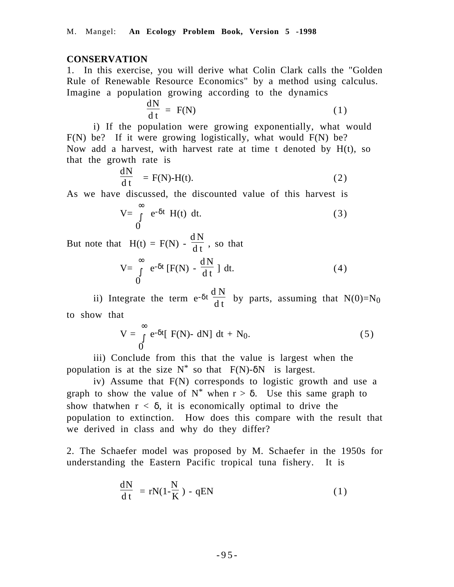#### **CONSERVATION**

1. In this exercise, you will derive what Colin Clark calls the "Golden Rule of Renewable Resource Economics" by a method using calculus. Imagine a population growing according to the dynamics

$$
\frac{dN}{dt} = F(N) \tag{1}
$$

i) If the population were growing exponentially, what would F(N) be? If it were growing logistically, what would F(N) be? Now add a harvest, with harvest rate at time t denoted by H(t), so that the growth rate is

$$
\frac{dN}{dt} = F(N)-H(t).
$$
 (2)

As we have discussed, the discounted value of this harvest is

$$
V = \int_{0}^{\infty} e^{-\delta t} H(t) dt.
$$
 (3)

But note that  $H(t) = F(N) - \frac{dN}{dt}$ , so that

$$
V = \int_{0}^{\infty} e^{-\delta t} [F(N) - \frac{dN}{dt}] dt.
$$
 (4)

ii) Integrate the term  $e^{-\delta t} \frac{dN}{dt}$  by parts, assuming that  $N(0)=N_0$ to show that

$$
V = \int_{0}^{\infty} e^{-\delta t} [F(N) - dN] dt + N_0.
$$
 (5)

iii) Conclude from this that the value is largest when the population is at the size  $N^*$  so that  $F(N)$ - $\delta N$  is largest.

iv) Assume that F(N) corresponds to logistic growth and use a graph to show the value of  $N^*$  when  $r > \delta$ . Use this same graph to show that when  $r < \delta$ , it is economically optimal to drive the population to extinction. How does this compare with the result that we derived in class and why do they differ?

2. The Schaefer model was proposed by M. Schaefer in the 1950s for understanding the Eastern Pacific tropical tuna fishery. It is

$$
\frac{dN}{dt} = rN(1 - \frac{N}{K}) - qEN
$$
 (1)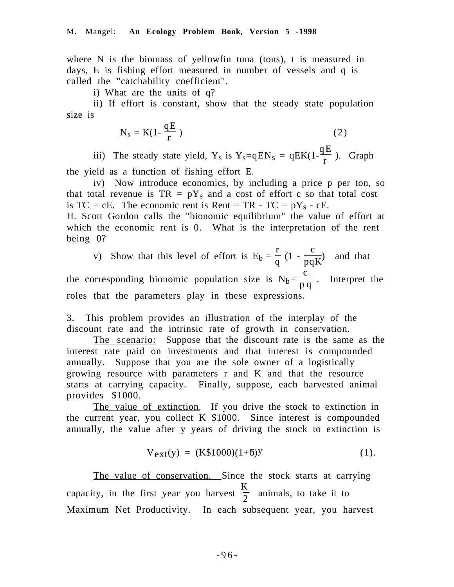where N is the biomass of yellowfin tuna (tons), t is measured in days, E is fishing effort measured in number of vessels and q is called the "catchability coefficient".

i) What are the units of q?

ii) If effort is constant, show that the steady state population size is

$$
N_s = K(1 - \frac{qE}{r})
$$
 (2)

iii) The steady state yield,  $Y_s$  is  $Y_s = qEN_s = qEK(1 - \frac{qE}{r})$ . Graph

the yield as a function of fishing effort E.

iv) Now introduce economics, by including a price p per ton, so that total revenue is  $TR = pY_s$  and a cost of effort c so that total cost is  $TC = cE$ . The economic rent is Rent = TR - TC = pY<sub>s</sub> - cE. H. Scott Gordon calls the "bionomic equilibrium" the value of effort at which the economic rent is 0. What is the interpretation of the rent being 0?

v) Show that this level of effort is  $E_b =$ r  $\frac{1}{q}$  (1 c  $\frac{1}{pqK}$  and that the corresponding bionomic population size is  $N_b=$ c  $\frac{6}{pq}$ . Interpret the roles that the parameters play in these expressions.

3. This problem provides an illustration of the interplay of the discount rate and the intrinsic rate of growth in conservation.

The scenario: Suppose that the discount rate is the same as the interest rate paid on investments and that interest is compounded annually. Suppose that you are the sole owner of a logistically growing resource with parameters r and K and that the resource starts at carrying capacity. Finally, suppose, each harvested animal provides \$1000.

The value of extinction. If you drive the stock to extinction in the current year, you collect K \$1000. Since interest is compounded annually, the value after y years of driving the stock to extinction is

$$
V_{ext}(y) = (K$1000)(1+\delta)Y
$$
 (1).

The value of conservation. Since the stock starts at carrying capacity, in the first year you harvest K  $\frac{1}{2}$  animals, to take it to Maximum Net Productivity. In each subsequent year, you harvest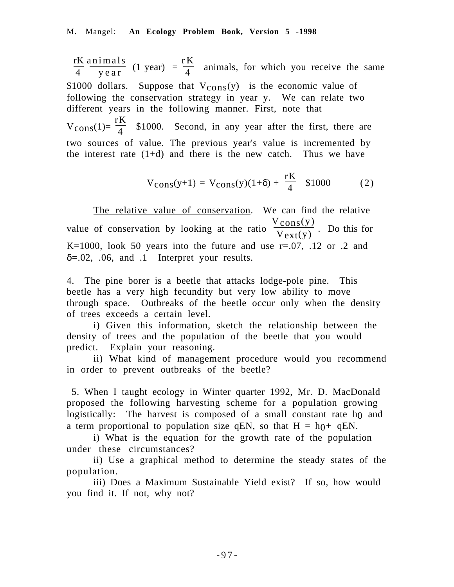l ſ  $\frac{rK}{4}$  animals)<br>4 year animals  $\frac{11 \text{ m.u.s}}{\text{year}}$  (1 year) = r K  $\frac{1}{4}$  animals, for which you receive the same \$1000 dollars. Suppose that  $V_{\text{cons}}(y)$  is the economic value of following the conservation strategy in year y. We can relate two different years in the following manner. First, note that  $V_{\text{cons}}(1)=$ rK  $\frac{1}{4}$  \$1000. Second, in any year after the first, there are two sources of value. The previous year's value is incremented by the interest rate  $(1+d)$  and there is the new catch. Thus we have

$$
V_{\text{cons}}(y+1) = V_{\text{cons}}(y)(1+\delta) + \frac{rK}{4} \quad $1000 \tag{2}
$$

The relative value of conservation. We can find the relative value of conservation by looking at the ratio  $\frac{V_{cons}(y)}{V_{max}(y)}$  $\frac{\text{const}}{\text{V}_{ext}(y)}$ . Do this for K=1000, look 50 years into the future and use  $r=.07, .12$  or  $.2$  and  $\delta = .02$ , 0.06, and 0.1 Interpret your results.

4. The pine borer is a beetle that attacks lodge-pole pine. This beetle has a very high fecundity but very low ability to move through space. Outbreaks of the beetle occur only when the density of trees exceeds a certain level.

i) Given this information, sketch the relationship between the density of trees and the population of the beetle that you would predict. Explain your reasoning.

ii) What kind of management procedure would you recommend in order to prevent outbreaks of the beetle?

 5. When I taught ecology in Winter quarter 1992, Mr. D. MacDonald proposed the following harvesting scheme for a population growing logistically: The harvest is composed of a small constant rate  $h_0$  and a term proportional to population size qEN, so that  $H = h(t) + qEN$ .

i) What is the equation for the growth rate of the population under these circumstances?

ii) Use a graphical method to determine the steady states of the population.

iii) Does a Maximum Sustainable Yield exist? If so, how would you find it. If not, why not?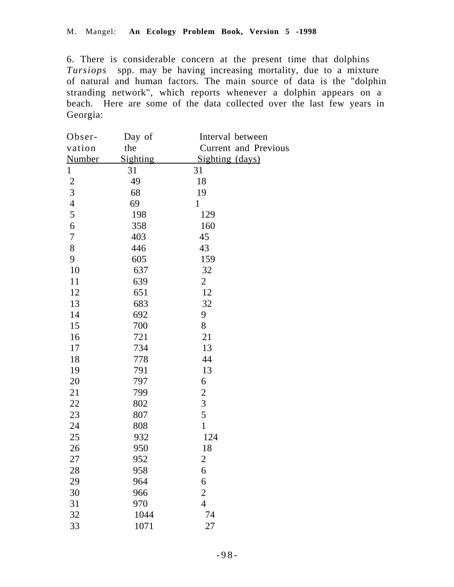6. There is considerable concern at the present time that dolphins *Tursiops* spp. may be having increasing mortality, due to a mixture of natural and human factors. The main source of data is the "dolphin stranding network", which reports whenever a dolphin appears on a beach. Here are some of the data collected over the last few years in Georgia:

| Obser-                   | Day of   | Interval between            |
|--------------------------|----------|-----------------------------|
| vation                   | the      | <b>Current and Previous</b> |
| <b>Number</b>            | Sighting | Sighting (days)             |
| $\mathbf{1}$             | 31       | 31                          |
|                          | 49       | 18                          |
| $\frac{2}{3}$            | 68       | 19                          |
| $\overline{\mathcal{L}}$ | 69       | $\mathbf{1}$                |
| 5                        | 198      | 129                         |
| $\boldsymbol{6}$         | 358      | 160                         |
| 7                        | 403      | 45                          |
| 8                        | 446      | 43                          |
| 9                        | 605      | 159                         |
| 10                       | 637      | 32                          |
| 11                       | 639      | $\overline{2}$              |
| 12                       | 651      | 12                          |
| 13                       | 683      | 32                          |
| 14                       | 692      | 9                           |
| 15                       | 700      | 8                           |
| 16                       | 721      | 21                          |
| 17                       | 734      | 13                          |
| 18                       | 778      | 44                          |
| 19                       | 791      | 13                          |
| 20                       | 797      | 6                           |
| 21                       | 799      | $\overline{c}$              |
| 22                       | 802      | 3                           |
| 23                       | 807      | 5                           |
| 24                       | 808      | $\mathbf{1}$                |
| 25                       | 932      | 124                         |
| 26                       | 950      | 18                          |
| 27                       | 952      | $\overline{2}$              |
| 28                       | 958      | 6                           |
| 29                       | 964      | 6                           |
| 30                       | 966      | $\overline{c}$              |
| 31                       | 970      | $\overline{4}$              |
| 32                       | 1044     | 74                          |
| 33                       | 1071     | 27                          |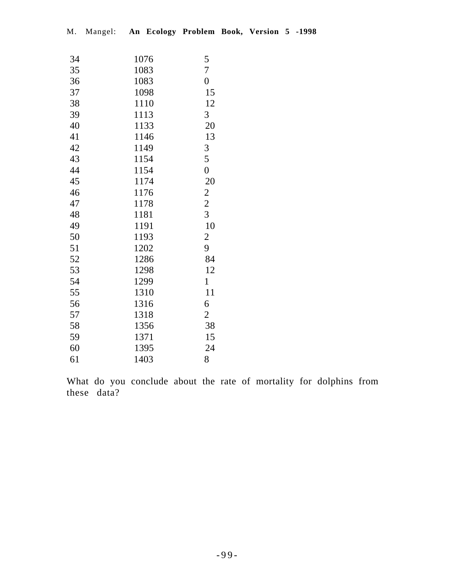| 34 | 1076 | 5              |
|----|------|----------------|
| 35 | 1083 | $\overline{7}$ |
| 36 | 1083 | $\overline{0}$ |
| 37 | 1098 | 15             |
| 38 | 1110 | 12             |
| 39 | 1113 | 3              |
| 40 | 1133 | 20             |
| 41 | 1146 | 13             |
| 42 | 1149 | 3              |
| 43 | 1154 | 5              |
| 44 | 1154 | $\overline{0}$ |
| 45 | 1174 | 20             |
| 46 | 1176 | $\overline{c}$ |
| 47 | 1178 | $\overline{c}$ |
| 48 | 1181 | $\overline{3}$ |
| 49 | 1191 | 10             |
| 50 | 1193 | $\overline{c}$ |
| 51 | 1202 | 9              |
| 52 | 1286 | 84             |
| 53 | 1298 | 12             |
| 54 | 1299 | $\mathbf{1}$   |
| 55 | 1310 | 11             |
| 56 | 1316 | 6              |
| 57 | 1318 | $\overline{c}$ |
| 58 | 1356 | 38             |
| 59 | 1371 | 15             |
| 60 | 1395 | 24             |
| 61 | 1403 | 8              |

What do you conclude about the rate of mortality for dolphins from these data?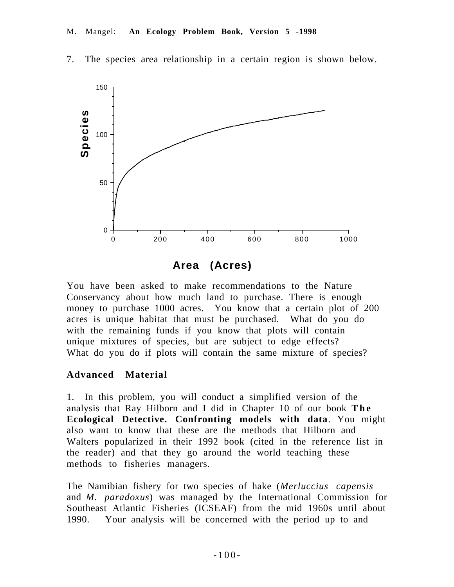

7. The species area relationship in a certain region is shown below.

**Area (Acres)**

You have been asked to make recommendations to the Nature Conservancy about how much land to purchase. There is enough money to purchase 1000 acres. You know that a certain plot of 200 acres is unique habitat that must be purchased. What do you do with the remaining funds if you know that plots will contain unique mixtures of species, but are subject to edge effects? What do you do if plots will contain the same mixture of species?

### **Advanced Material**

1. In this problem, you will conduct a simplified version of the analysis that Ray Hilborn and I did in Chapter 10 of our book **The Ecological Detective. Confronting models with data**. You might also want to know that these are the methods that Hilborn and Walters popularized in their 1992 book (cited in the reference list in the reader) and that they go around the world teaching these methods to fisheries managers.

The Namibian fishery for two species of hake (*Merluccius capensis* and *M. paradoxus*) was managed by the International Commission for Southeast Atlantic Fisheries (ICSEAF) from the mid 1960s until about 1990. Your analysis will be concerned with the period up to and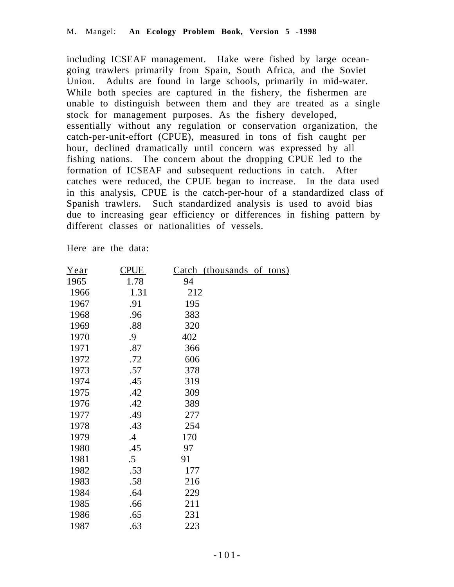including ICSEAF management. Hake were fished by large oceangoing trawlers primarily from Spain, South Africa, and the Soviet Union. Adults are found in large schools, primarily in mid-water. While both species are captured in the fishery, the fishermen are unable to distinguish between them and they are treated as a single stock for management purposes. As the fishery developed, essentially without any regulation or conservation organization, the catch-per-unit-effort (CPUE), measured in tons of fish caught per hour, declined dramatically until concern was expressed by all fishing nations. The concern about the dropping CPUE led to the formation of ICSEAF and subsequent reductions in catch. After catches were reduced, the CPUE began to increase. In the data used in this analysis, CPUE is the catch-per-hour of a standardized class of Spanish trawlers. Such standardized analysis is used to avoid bias due to increasing gear efficiency or differences in fishing pattern by different classes or nationalities of vessels.

Here are the data:

| Year | <b>CPUE</b> | Catch (thousands of tons) |
|------|-------------|---------------------------|
| 1965 | 1.78        | 94                        |
| 1966 | 1.31        | 212                       |
| 1967 | .91         | 195                       |
| 1968 | .96         | 383                       |
| 1969 | .88         | 320                       |
| 1970 | .9          | 402                       |
| 1971 | .87         | 366                       |
| 1972 | .72         | 606                       |
| 1973 | .57         | 378                       |
| 1974 | .45         | 319                       |
| 1975 | .42         | 309                       |
| 1976 | .42         | 389                       |
| 1977 | .49         | 277                       |
| 1978 | .43         | 254                       |
| 1979 | $.4\,$      | 170                       |
| 1980 | .45         | 97                        |
| 1981 | $.5\,$      | 91                        |
| 1982 | .53         | 177                       |
| 1983 | .58         | 216                       |
| 1984 | .64         | 229                       |
| 1985 | .66         | 211                       |
| 1986 | .65         | 231                       |
| 1987 | .63         | 223                       |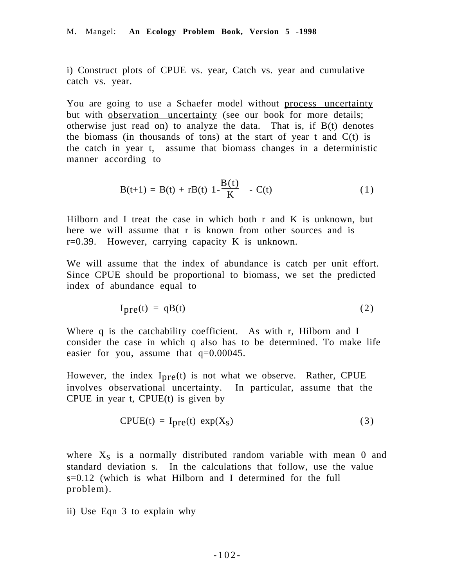i) Construct plots of CPUE vs. year, Catch vs. year and cumulative catch vs. year.

You are going to use a Schaefer model without process uncertainty but with <u>observation uncertainty</u> (see our book for more details; otherwise just read on) to analyze the data. That is, if  $B(t)$  denotes the biomass (in thousands of tons) at the start of year t and  $C(t)$  is the catch in year t, assume that biomass changes in a deterministic manner according to

$$
B(t+1) = B(t) + rB(t) \left(1 - \frac{B(t)}{K}\right) - C(t)
$$
 (1)

Hilborn and I treat the case in which both r and K is unknown, but here we will assume that r is known from other sources and is  $r=0.39$ . However, carrying capacity K is unknown.

We will assume that the index of abundance is catch per unit effort. Since CPUE should be proportional to biomass, we set the predicted index of abundance equal to

$$
Ipre(t) = qB(t)
$$
 (2)

Where q is the catchability coefficient. As with r, Hilborn and I consider the case in which q also has to be determined. To make life easier for you, assume that  $q=0.00045$ .

However, the index  $I_{\text{pre}}(t)$  is not what we observe. Rather, CPUE involves observational uncertainty. In particular, assume that the CPUE in year t, CPUE $(t)$  is given by

$$
CPUE(t) = I_{pre}(t) \exp(X_S)
$$
 (3)

where  $X<sub>S</sub>$  is a normally distributed random variable with mean 0 and standard deviation s. In the calculations that follow, use the value s=0.12 (which is what Hilborn and I determined for the full problem).

ii) Use Eqn 3 to explain why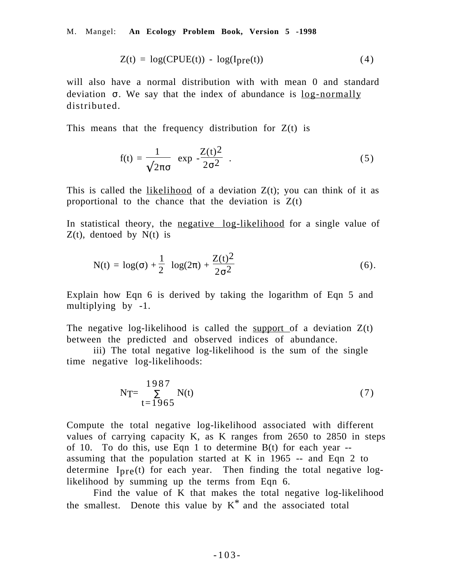M. Mangel: **An Ecology Problem Book, Version 5 -1998**

$$
Z(t) = \log(CPUE(t)) - \log(I_{pre}(t))
$$
\n(4)

will also have a normal distribution with with mean 0 and standard deviation  $\sigma$ . We say that the index of abundance is  $log-normally$ distributed.

This means that the frequency distribution for  $Z(t)$  is

$$
f(t) = \frac{1}{\sqrt{2\pi\sigma}} \exp\left(-\frac{Z(t)^2}{2\sigma^2}\right).
$$
 (5)

This is called the <u>likelihood</u> of a deviation  $Z(t)$ ; you can think of it as proportional to the chance that the deviation is  $Z(t)$ 

In statistical theory, the negative log-likelihood for a single value of  $Z(t)$ , dentoed by  $N(t)$  is

N(t) = 
$$
\log(\sigma) + \frac{1}{2} \log(2\pi) + \frac{Z(t)^2}{2\sigma^2}
$$
 (6).

Explain how Eqn 6 is derived by taking the logarithm of Eqn 5 and multiplying by -1.

The negative log-likelihood is called the support of a deviation  $Z(t)$ between the predicted and observed indices of abundance.

iii) The total negative log-likelihood is the sum of the single time negative log-likelihoods:

$$
NT = \frac{1987}{\sum_{t=1965} N(t)}
$$
 (7)

Compute the total negative log-likelihood associated with different values of carrying capacity K, as K ranges from 2650 to 2850 in steps of 10. To do this, use Eqn 1 to determine  $B(t)$  for each year  $$ assuming that the population started at K in 1965 -- and Eqn 2 to determine  $I_{\text{pre}}(t)$  for each year. Then finding the total negative loglikelihood by summing up the terms from Eqn 6.

Find the value of K that makes the total negative log-likelihood the smallest. Denote this value by  $K^*$  and the associated total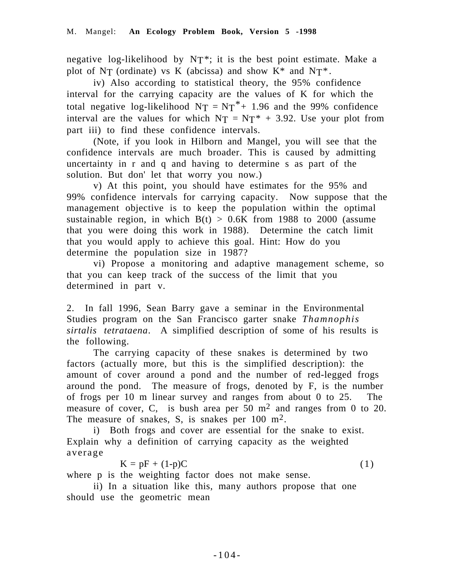negative log-likelihood by  $NT^*$ ; it is the best point estimate. Make a plot of NT (ordinate) vs K (abcissa) and show  $K^*$  and  $NT^*$ .

iv) Also according to statistical theory, the 95% confidence interval for the carrying capacity are the values of K for which the total negative log-likelihood  $NT = NT^* + 1.96$  and the 99% confidence interval are the values for which  $N_T = N_T^* + 3.92$ . Use your plot from part iii) to find these confidence intervals.

(Note, if you look in Hilborn and Mangel, you will see that the confidence intervals are much broader. This is caused by admitting uncertainty in r and q and having to determine s as part of the solution. But don' let that worry you now.)

v) At this point, you should have estimates for the 95% and 99% confidence intervals for carrying capacity. Now suppose that the management objective is to keep the population within the optimal sustainable region, in which  $B(t) > 0.6K$  from 1988 to 2000 (assume that you were doing this work in 1988). Determine the catch limit that you would apply to achieve this goal. Hint: How do you determine the population size in 1987?

vi) Propose a monitoring and adaptive management scheme, so that you can keep track of the success of the limit that you determined in part v.

2. In fall 1996, Sean Barry gave a seminar in the Environmental Studies program on the San Francisco garter snake *Thamnophis sirtalis tetrataena*. A simplified description of some of his results is the following.

The carrying capacity of these snakes is determined by two factors (actually more, but this is the simplified description): the amount of cover around a pond and the number of red-legged frogs around the pond. The measure of frogs, denoted by F, is the number of frogs per 10 m linear survey and ranges from about 0 to 25. The measure of cover, C, is bush area per 50 m<sup>2</sup> and ranges from 0 to 20. The measure of snakes, S, is snakes per 100 m<sup>2</sup>.

i) Both frogs and cover are essential for the snake to exist. Explain why a definition of carrying capacity as the weighted average

 $K = pF + (1-p)C$  (1)

where p is the weighting factor does not make sense.

ii) In a situation like this, many authors propose that one should use the geometric mean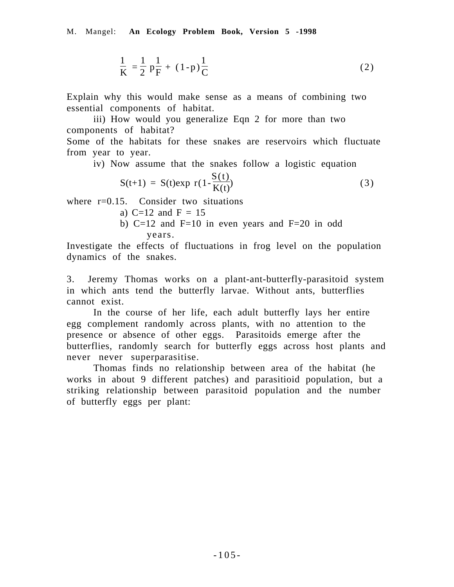M. Mangel: **An Ecology Problem Book, Version 5 -1998**

$$
\frac{1}{K} = \frac{1}{2} \left( p \frac{1}{F} + (1-p) \frac{1}{C} \right)
$$
 (2)

Explain why this would make sense as a means of combining two essential components of habitat.

iii) How would you generalize Eqn 2 for more than two components of habitat? Some of the habitats for these snakes are reservoirs which fluctuate

from year to year.

iv) Now assume that the snakes follow a logistic equation

$$
S(t+1) = S(t)exp\left(r(1 - \frac{S(t)}{K(t)})\right)
$$
\n(3)

where  $r=0.15$ . Consider two situations

- a)  $C=12$  and  $F = 15$
- b) C=12 and F=10 in even years and F=20 in odd years.

Investigate the effects of fluctuations in frog level on the population dynamics of the snakes.

3. Jeremy Thomas works on a plant-ant-butterfly-parasitoid system in which ants tend the butterfly larvae. Without ants, butterflies cannot exist.

In the course of her life, each adult butterfly lays her entire egg complement randomly across plants, with no attention to the presence or absence of other eggs. Parasitoids emerge after the butterflies, randomly search for butterfly eggs across host plants and never never superparasitise.

Thomas finds no relationship between area of the habitat (he works in about 9 different patches) and parasitioid population, but a striking relationship between parasitoid population and the number of butterfly eggs per plant: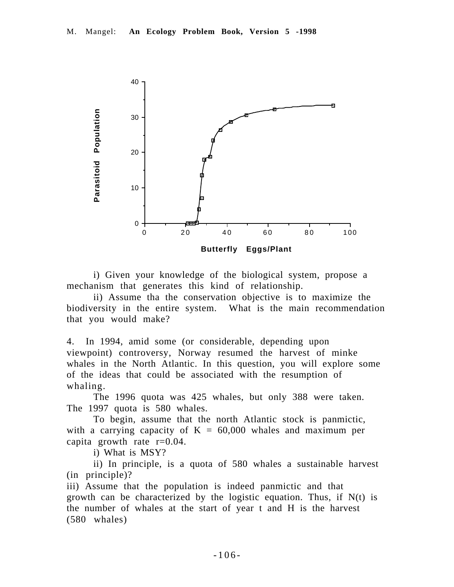

i) Given your knowledge of the biological system, propose a mechanism that generates this kind of relationship.

ii) Assume tha the conservation objective is to maximize the biodiversity in the entire system. What is the main recommendation that you would make?

4. In 1994, amid some (or considerable, depending upon viewpoint) controversy, Norway resumed the harvest of minke whales in the North Atlantic. In this question, you will explore some of the ideas that could be associated with the resumption of whaling.

The 1996 quota was 425 whales, but only 388 were taken. The 1997 quota is 580 whales.

To begin, assume that the north Atlantic stock is panmictic, with a carrying capacity of  $K = 60,000$  whales and maximum per capita growth rate  $r=0.04$ .

i) What is MSY?

ii) In principle, is a quota of 580 whales a sustainable harvest (in principle)?

iii) Assume that the population is indeed panmictic and that growth can be characterized by the logistic equation. Thus, if  $N(t)$  is the number of whales at the start of year t and H is the harvest (580 whales)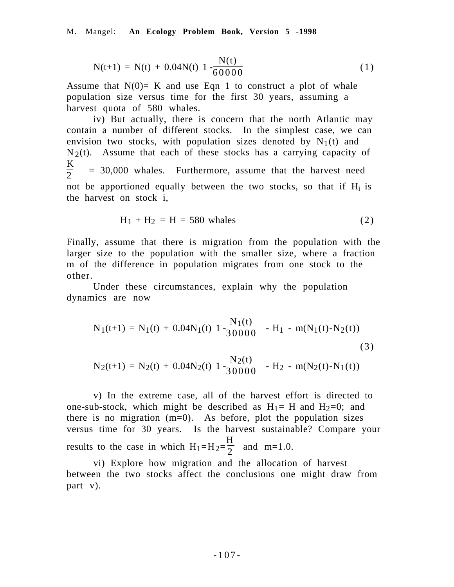$$
N(t+1) = N(t) + 0.04N(t)\left(1 - \frac{N(t)}{60000}\right)
$$
 (1)

Assume that  $N(0)=$  K and use Eqn 1 to construct a plot of whale population size versus time for the first 30 years, assuming a harvest quota of 580 whales.

iv) But actually, there is concern that the north Atlantic may contain a number of different stocks. In the simplest case, we can envision two stocks, with population sizes denoted by  $N_1(t)$  and  $N_2(t)$ . Assume that each of these stocks has a carrying capacity of  $\frac{K}{2}$ = 30,000 whales. Furthermore, assume that the harvest need not be apportioned equally between the two stocks, so that if  $H_i$  is the harvest on stock i,

$$
H_1 + H_2 = H = 580 \text{ whales}
$$
 (2)

Finally, assume that there is migration from the population with the larger size to the population with the smaller size, where a fraction m of the difference in population migrates from one stock to the other.

Under these circumstances, explain why the population dynamics are now

$$
N_1(t+1) = N_1(t) + 0.04N_1(t)\left(1 - \frac{N_1(t)}{30000}\right) - H_1 - m(N_1(t) - N_2(t))
$$
\n(3)\n
$$
N_2(t+1) = N_2(t) + 0.04N_2(t)\left(1 - \frac{N_2(t)}{30000}\right) - H_2 - m(N_2(t) - N_1(t))
$$

v) In the extreme case, all of the harvest effort is directed to one-sub-stock, which might be described as  $H_1 = H$  and  $H_2=0$ ; and there is no migration  $(m=0)$ . As before, plot the population sizes versus time for 30 years. Is the harvest sustainable? Compare your results to the case in which  $H_1=H_2=$ H  $\frac{\pi}{2}$  and m=1.0.

vi) Explore how migration and the allocation of harvest between the two stocks affect the conclusions one might draw from part v).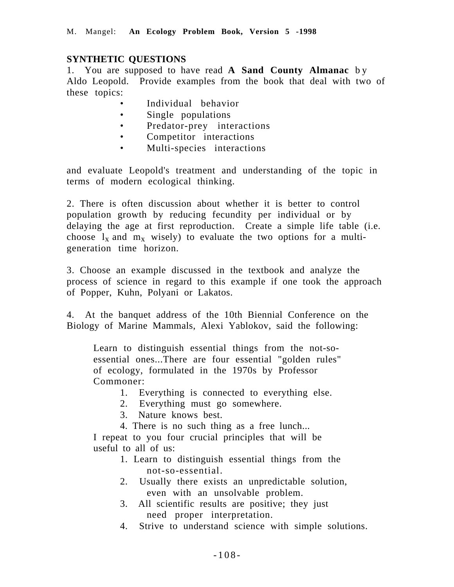## **SYNTHETIC QUESTIONS**

1. You are supposed to have read **A Sand County Almanac** b y Aldo Leopold. Provide examples from the book that deal with two of these topics:

- Individual behavior
- Single populations
- Predator-prey interactions<br>• Competitor interactions
- Competitor interactions
- Multi-species interactions

and evaluate Leopold's treatment and understanding of the topic in terms of modern ecological thinking.

2. There is often discussion about whether it is better to control population growth by reducing fecundity per individual or by delaying the age at first reproduction. Create a simple life table (i.e. choose  $l_x$  and  $m_x$  wisely) to evaluate the two options for a multigeneration time horizon.

3. Choose an example discussed in the textbook and analyze the process of science in regard to this example if one took the approach of Popper, Kuhn, Polyani or Lakatos.

4. At the banquet address of the 10th Biennial Conference on the Biology of Marine Mammals, Alexi Yablokov, said the following:

Learn to distinguish essential things from the not-soessential ones...There are four essential "golden rules" of ecology, formulated in the 1970s by Professor Commoner:

- 1. Everything is connected to everything else.
- 2. Everything must go somewhere.
- 3. Nature knows best.
- 4. There is no such thing as a free lunch...

I repeat to you four crucial principles that will be useful to all of us:

- 1. Learn to distinguish essential things from the not-so-essential.
- 2. Usually there exists an unpredictable solution, even with an unsolvable problem.
- 3. All scientific results are positive; they just need proper interpretation.
- 4. Strive to understand science with simple solutions.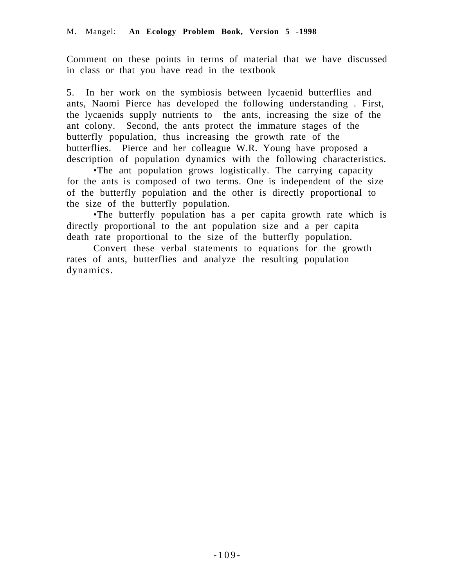Comment on these points in terms of material that we have discussed in class or that you have read in the textbook

5. In her work on the symbiosis between lycaenid butterflies and ants, Naomi Pierce has developed the following understanding . First, the lycaenids supply nutrients to the ants, increasing the size of the ant colony. Second, the ants protect the immature stages of the butterfly population, thus increasing the growth rate of the butterflies. Pierce and her colleague W.R. Young have proposed a description of population dynamics with the following characteristics.

•The ant population grows logistically. The carrying capacity for the ants is composed of two terms. One is independent of the size of the butterfly population and the other is directly proportional to the size of the butterfly population.

•The butterfly population has a per capita growth rate which is directly proportional to the ant population size and a per capita death rate proportional to the size of the butterfly population.

Convert these verbal statements to equations for the growth rates of ants, butterflies and analyze the resulting population dynamics.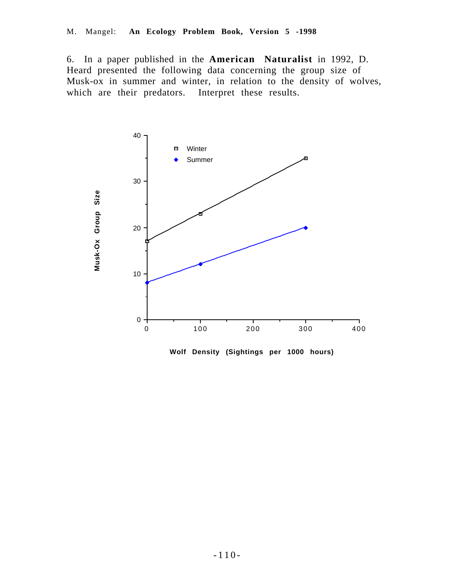6. In a paper published in the **American Naturalist** in 1992, D. Heard presented the following data concerning the group size of Musk-ox in summer and winter, in relation to the density of wolves, which are their predators. Interpret these results.



**Wolf Density (Sightings per 1000 hours)**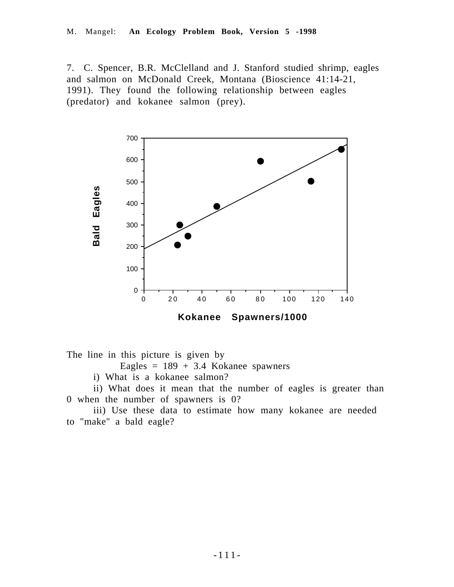7. C. Spencer, B.R. McClelland and J. Stanford studied shrimp, eagles and salmon on McDonald Creek, Montana (Bioscience 41:14-21, 1991). They found the following relationship between eagles (predator) and kokanee salmon (prey).



The line in this picture is given by

- Eagles =  $189 + 3.4$  Kokanee spawners
- i) What is a kokanee salmon?

ii) What does it mean that the number of eagles is greater than 0 when the number of spawners is 0?

iii) Use these data to estimate how many kokanee are needed to "make" a bald eagle?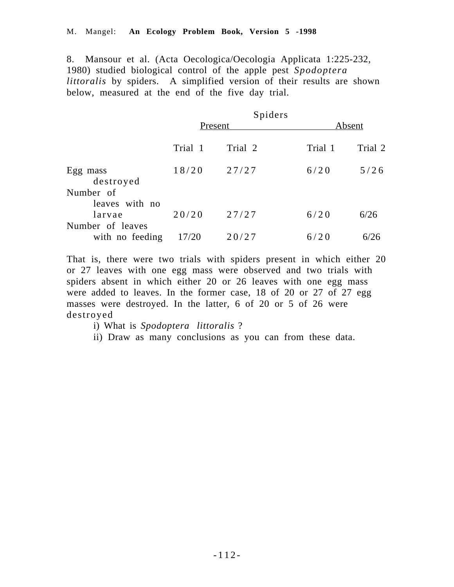8. Mansour et al. (Acta Oecologica/Oecologia Applicata 1:225-232, 1980) studied biological control of the apple pest *Spodoptera littoralis* by spiders. A simplified version of their results are shown below, measured at the end of the five day trial.

|                             |         | Spiders |         |         |
|-----------------------------|---------|---------|---------|---------|
|                             | Present |         | Absent  |         |
|                             | Trial 1 | Trial 2 | Trial 1 | Trial 2 |
| Egg mass<br>destroyed       | 18/20   | 27/27   | 6/20    | 5/26    |
| Number of<br>leaves with no |         |         |         |         |
| larvae                      | 20/20   | 27/27   | 6/20    | 6/26    |
| Number of leaves            |         |         |         |         |
| with no feeding             | 17/20   | 20/27   | 6/20    | 6/26    |

That is, there were two trials with spiders present in which either 20 or 27 leaves with one egg mass were observed and two trials with spiders absent in which either 20 or 26 leaves with one egg mass were added to leaves. In the former case, 18 of 20 or 27 of 27 egg masses were destroyed. In the latter, 6 of 20 or 5 of 26 were destroyed

i) What is *Spodoptera littoralis* ?

ii) Draw as many conclusions as you can from these data.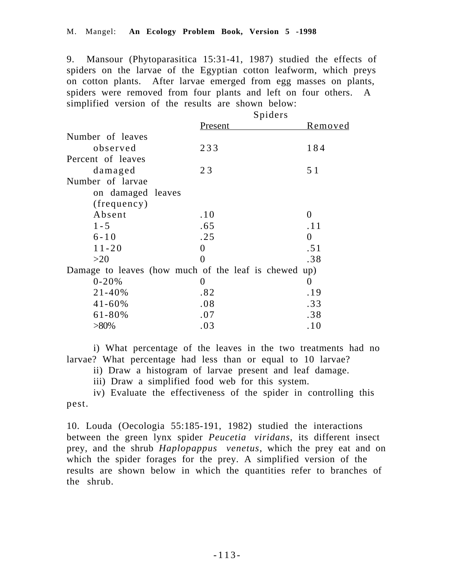9. Mansour (Phytoparasitica 15:31-41, 1987) studied the effects of spiders on the larvae of the Egyptian cotton leafworm, which preys on cotton plants. After larvae emerged from egg masses on plants, spiders were removed from four plants and left on four others. A simplified version of the results are shown below:

|                                                      |         | Spiders  |
|------------------------------------------------------|---------|----------|
|                                                      | Present | Removed  |
| Number of leaves                                     |         |          |
| observed                                             | 233     | 184      |
| Percent of leaves                                    |         |          |
| damaged                                              | 23      | 5 1      |
| Number of larvae                                     |         |          |
| on damaged leaves                                    |         |          |
| (frequency)                                          |         |          |
| Absent                                               | .10     | $\theta$ |
| $1 - 5$                                              | .65     | . 1 1    |
| $6 - 10$                                             | .25     | $\theta$ |
| $11 - 20$                                            | 0       | .51      |
| >20                                                  |         | .38      |
| Damage to leaves (how much of the leaf is chewed up) |         |          |
| $0 - 20%$                                            | 0       | $\theta$ |
| $21 - 40%$                                           | .82     | .19      |
| $41 - 60%$                                           | .08     | .33      |
| $61 - 80\%$                                          | .07     | .38      |
| $>80\%$                                              | .03     | .10      |

i) What percentage of the leaves in the two treatments had no larvae? What percentage had less than or equal to 10 larvae?

ii) Draw a histogram of larvae present and leaf damage.

iii) Draw a simplified food web for this system.

iv) Evaluate the effectiveness of the spider in controlling this pest.

10. Louda (Oecologia 55:185-191, 1982) studied the interactions between the green lynx spider *Peucetia viridans*, its different insect prey, and the shrub *Haplopappus venetus*, which the prey eat and on which the spider forages for the prey. A simplified version of the results are shown below in which the quantities refer to branches of the shrub.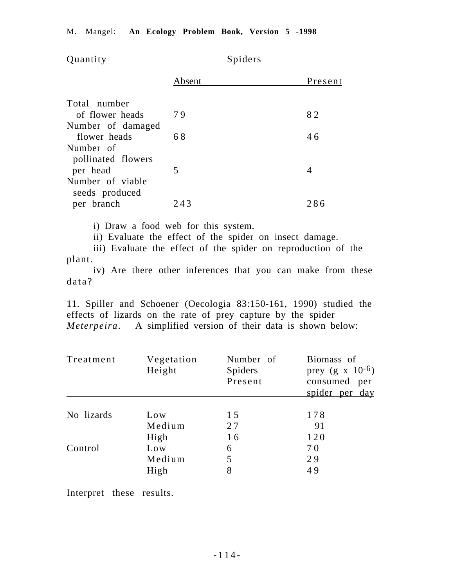| Quantity                          | Spiders |         |
|-----------------------------------|---------|---------|
|                                   | Absent  | Present |
| Total number<br>of flower heads   | 79      | 82      |
| Number of damaged<br>flower heads | 68      | 46      |
| Number of<br>pollinated flowers   |         |         |
| per head<br>Number of viable      | 5       | 4       |
| seeds produced<br>per branch      | 243     | 286     |

i) Draw a food web for this system.

ii) Evaluate the effect of the spider on insect damage.

iii) Evaluate the effect of the spider on reproduction of the plant.

iv) Are there other inferences that you can make from these data?

11. Spiller and Schoener (Oecologia 83:150-161, 1990) studied the effects of lizards on the rate of prey capture by the spider *Meterpeira*. A simplified version of their data is shown below:

| Treatment  | Vegetation<br>Height | Number of<br>Spiders<br>Present | Biomass of<br>prey $(g \times 10^{-6})$<br>consumed per<br>spider per day |
|------------|----------------------|---------------------------------|---------------------------------------------------------------------------|
|            |                      |                                 |                                                                           |
| No lizards | Low                  | 15                              | 178                                                                       |
|            | Medium               | 27                              | 91                                                                        |
|            | High                 | 16                              | 120                                                                       |
| Control    | Low                  | 6                               | 70                                                                        |
|            | Medium               | 5                               | 29                                                                        |
|            | High                 | 8                               | 49                                                                        |

Interpret these results.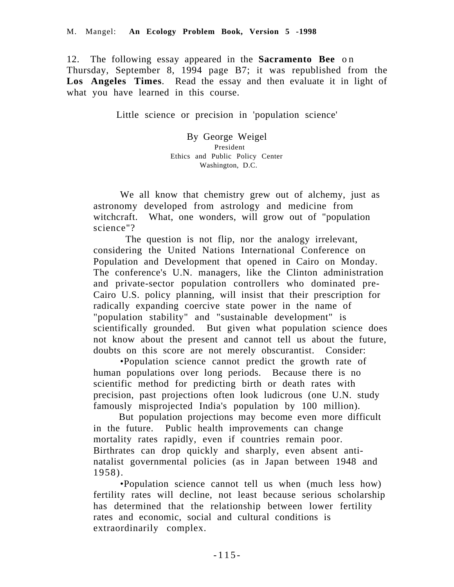12. The following essay appeared in the **Sacramento Bee** o n Thursday, September 8, 1994 page B7; it was republished from the **Los Angeles Times**. Read the essay and then evaluate it in light of what you have learned in this course.

Little science or precision in 'population science'

By George Weigel President Ethics and Public Policy Center Washington, D.C.

We all know that chemistry grew out of alchemy, just as astronomy developed from astrology and medicine from witchcraft. What, one wonders, will grow out of "population" science"?

 The question is not flip, nor the analogy irrelevant, considering the United Nations International Conference on Population and Development that opened in Cairo on Monday. The conference's U.N. managers, like the Clinton administration and private-sector population controllers who dominated pre-Cairo U.S. policy planning, will insist that their prescription for radically expanding coercive state power in the name of "population stability" and "sustainable development" is scientifically grounded. But given what population science does not know about the present and cannot tell us about the future, doubts on this score are not merely obscurantist. Consider:

 •Population science cannot predict the growth rate of human populations over long periods. Because there is no scientific method for predicting birth or death rates with precision, past projections often look ludicrous (one U.N. study famously misprojected India's population by 100 million).

 But population projections may become even more difficult in the future. Public health improvements can change mortality rates rapidly, even if countries remain poor. Birthrates can drop quickly and sharply, even absent antinatalist governmental policies (as in Japan between 1948 and 1958).

 •Population science cannot tell us when (much less how) fertility rates will decline, not least because serious scholarship has determined that the relationship between lower fertility rates and economic, social and cultural conditions is extraordinarily complex.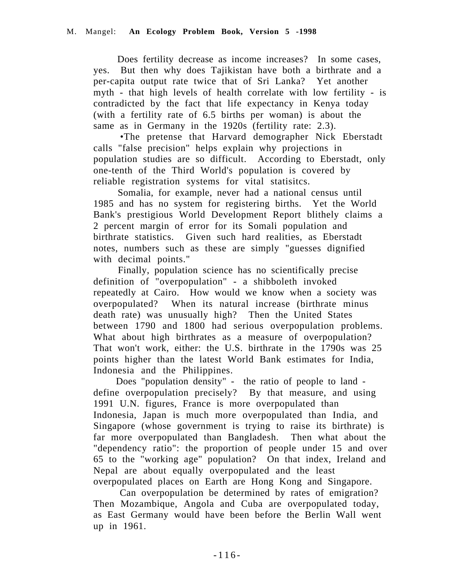Does fertility decrease as income increases? In some cases, yes. But then why does Tajikistan have both a birthrate and a per-capita output rate twice that of Sri Lanka? Yet another myth - that high levels of health correlate with low fertility - is contradicted by the fact that life expectancy in Kenya today (with a fertility rate of 6.5 births per woman) is about the same as in Germany in the 1920s (fertility rate: 2.3).

 •The pretense that Harvard demographer Nick Eberstadt calls "false precision" helps explain why projections in population studies are so difficult. According to Eberstadt, only one-tenth of the Third World's population is covered by reliable registration systems for vital statisitcs.

 Somalia, for example, never had a national census until 1985 and has no system for registering births. Yet the World Bank's prestigious World Development Report blithely claims a 2 percent margin of error for its Somali population and birthrate statistics. Given such hard realities, as Eberstadt notes, numbers such as these are simply "guesses dignified with decimal points."

 Finally, population science has no scientifically precise definition of "overpopulation" - a shibboleth invoked repeatedly at Cairo. How would we know when a society was overpopulated? When its natural increase (birthrate minus death rate) was unusually high? Then the United States between 1790 and 1800 had serious overpopulation problems. What about high birthrates as a measure of overpopulation? That won't work, either: the U.S. birthrate in the 1790s was 25 points higher than the latest World Bank estimates for India, Indonesia and the Philippines.

 Does "population density" - the ratio of people to land define overpopulation precisely? By that measure, and using 1991 U.N. figures, France is more overpopulated than Indonesia, Japan is much more overpopulated than India, and Singapore (whose government is trying to raise its birthrate) is far more overpopulated than Bangladesh. Then what about the "dependency ratio": the proportion of people under 15 and over 65 to the "working age" population? On that index, Ireland and Nepal are about equally overpopulated and the least overpopulated places on Earth are Hong Kong and Singapore.

 Can overpopulation be determined by rates of emigration? Then Mozambique, Angola and Cuba are overpopulated today, as East Germany would have been before the Berlin Wall went up in 1961.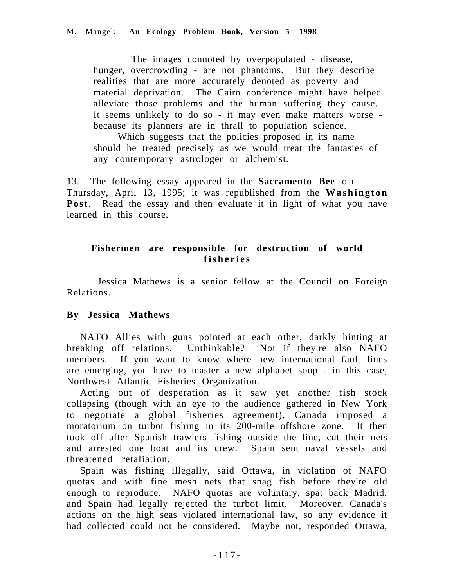The images connoted by overpopulated - disease, hunger, overcrowding - are not phantoms. But they describe realities that are more accurately denoted as poverty and material deprivation. The Cairo conference might have helped alleviate those problems and the human suffering they cause. It seems unlikely to do so - it may even make matters worse because its planners are in thrall to population science.

 Which suggests that the policies proposed in its name should be treated precisely as we would treat the fantasies of any contemporary astrologer or alchemist.

13. The following essay appeared in the **Sacramento Bee** o n Thursday, April 13, 1995; it was republished from the **Washington Post**. Read the essay and then evaluate it in light of what you have learned in this course.

## **Fishermen are responsible for destruction of world fisheries**

 Jessica Mathews is a senior fellow at the Council on Foreign Relations.

## **By Jessica Mathews**

NATO Allies with guns pointed at each other, darkly hinting at breaking off relations. Unthinkable? Not if they're also NAFO members. If you want to know where new international fault lines are emerging, you have to master a new alphabet soup - in this case, Northwest Atlantic Fisheries Organization.

Acting out of desperation as it saw yet another fish stock collapsing (though with an eye to the audience gathered in New York to negotiate a global fisheries agreement), Canada imposed a moratorium on turbot fishing in its 200-mile offshore zone. It then took off after Spanish trawlers fishing outside the line, cut their nets and arrested one boat and its crew. Spain sent naval vessels and threatened retaliation.

Spain was fishing illegally, said Ottawa, in violation of NAFO quotas and with fine mesh nets that snag fish before they're old enough to reproduce. NAFO quotas are voluntary, spat back Madrid, and Spain had legally rejected the turbot limit. Moreover, Canada's actions on the high seas violated international law, so any evidence it had collected could not be considered. Maybe not, responded Ottawa,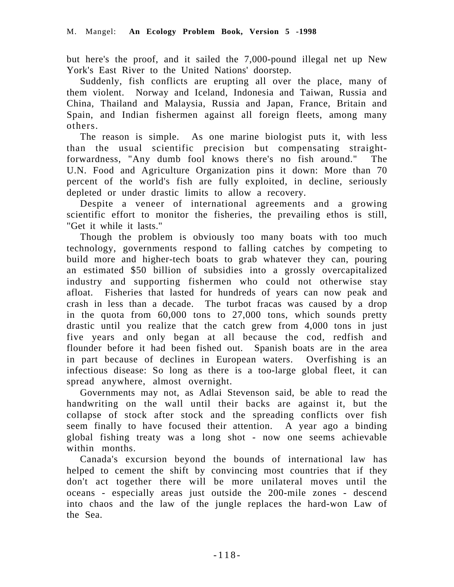but here's the proof, and it sailed the 7,000-pound illegal net up New York's East River to the United Nations' doorstep.

Suddenly, fish conflicts are erupting all over the place, many of them violent. Norway and Iceland, Indonesia and Taiwan, Russia and China, Thailand and Malaysia, Russia and Japan, France, Britain and Spain, and Indian fishermen against all foreign fleets, among many others.

The reason is simple. As one marine biologist puts it, with less than the usual scientific precision but compensating straightforwardness, "Any dumb fool knows there's no fish around." The U.N. Food and Agriculture Organization pins it down: More than 70 percent of the world's fish are fully exploited, in decline, seriously depleted or under drastic limits to allow a recovery.

Despite a veneer of international agreements and a growing scientific effort to monitor the fisheries, the prevailing ethos is still, "Get it while it lasts."

Though the problem is obviously too many boats with too much technology, governments respond to falling catches by competing to build more and higher-tech boats to grab whatever they can, pouring an estimated \$50 billion of subsidies into a grossly overcapitalized industry and supporting fishermen who could not otherwise stay afloat. Fisheries that lasted for hundreds of years can now peak and crash in less than a decade. The turbot fracas was caused by a drop in the quota from 60,000 tons to 27,000 tons, which sounds pretty drastic until you realize that the catch grew from 4,000 tons in just five years and only began at all because the cod, redfish and flounder before it had been fished out. Spanish boats are in the area in part because of declines in European waters. Overfishing is an infectious disease: So long as there is a too-large global fleet, it can spread anywhere, almost overnight.

Governments may not, as Adlai Stevenson said, be able to read the handwriting on the wall until their backs are against it, but the collapse of stock after stock and the spreading conflicts over fish seem finally to have focused their attention. A year ago a binding global fishing treaty was a long shot - now one seems achievable within months.

Canada's excursion beyond the bounds of international law has helped to cement the shift by convincing most countries that if they don't act together there will be more unilateral moves until the oceans - especially areas just outside the 200-mile zones - descend into chaos and the law of the jungle replaces the hard-won Law of the Sea.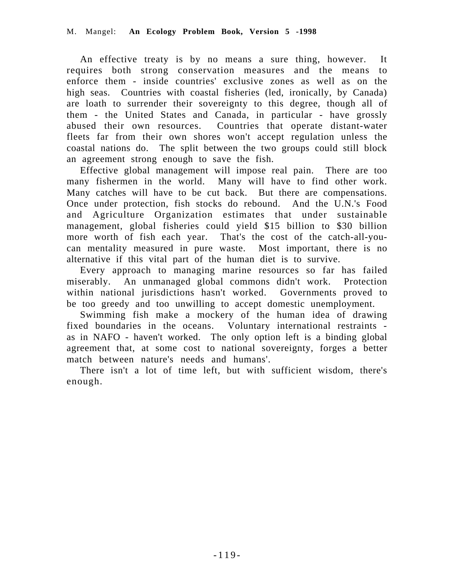An effective treaty is by no means a sure thing, however. It requires both strong conservation measures and the means to enforce them - inside countries' exclusive zones as well as on the high seas. Countries with coastal fisheries (led, ironically, by Canada) are loath to surrender their sovereignty to this degree, though all of them - the United States and Canada, in particular - have grossly abused their own resources. Countries that operate distant-water fleets far from their own shores won't accept regulation unless the coastal nations do. The split between the two groups could still block an agreement strong enough to save the fish.

Effective global management will impose real pain. There are too many fishermen in the world. Many will have to find other work. Many catches will have to be cut back. But there are compensations. Once under protection, fish stocks do rebound. And the U.N.'s Food and Agriculture Organization estimates that under sustainable management, global fisheries could yield \$15 billion to \$30 billion more worth of fish each year. That's the cost of the catch-all-youcan mentality measured in pure waste. Most important, there is no alternative if this vital part of the human diet is to survive.

Every approach to managing marine resources so far has failed miserably. An unmanaged global commons didn't work. Protection within national jurisdictions hasn't worked. Governments proved to be too greedy and too unwilling to accept domestic unemployment.

Swimming fish make a mockery of the human idea of drawing fixed boundaries in the oceans. Voluntary international restraints as in NAFO - haven't worked. The only option left is a binding global agreement that, at some cost to national sovereignty, forges a better match between nature's needs and humans'.

There isn't a lot of time left, but with sufficient wisdom, there's enough.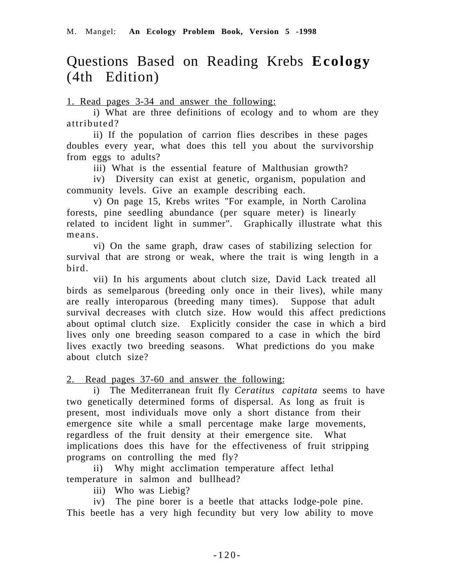# Questions Based on Reading Krebs **Ecology** (4th Edition)

1. Read pages 3-34 and answer the following:

i) What are three definitions of ecology and to whom are they attributed?

ii) If the population of carrion flies describes in these pages doubles every year, what does this tell you about the survivorship from eggs to adults?

iii) What is the essential feature of Malthusian growth?

iv) Diversity can exist at genetic, organism, population and community levels. Give an example describing each.

v) On page 15, Krebs writes "For example, in North Carolina forests, pine seedling abundance (per square meter) is linearly related to incident light in summer". Graphically illustrate what this means.

vi) On the same graph, draw cases of stabilizing selection for survival that are strong or weak, where the trait is wing length in a bird.

vii) In his arguments about clutch size, David Lack treated all birds as semelparous (breeding only once in their lives), while many are really interoparous (breeding many times). Suppose that adult survival decreases with clutch size. How would this affect predictions about optimal clutch size. Explicitly consider the case in which a bird lives only one breeding season compared to a case in which the bird lives exactly two breeding seasons. What predictions do you make about clutch size?

2. Read pages 37-60 and answer the following:

i) The Mediterranean fruit fly *Ceratitus capitata* seems to have two genetically determined forms of dispersal. As long as fruit is present, most individuals move only a short distance from their emergence site while a small percentage make large movements, regardless of the fruit density at their emergence site. What implications does this have for the effectiveness of fruit stripping programs on controlling the med fly?

ii) Why might acclimation temperature affect lethal temperature in salmon and bullhead?

iii) Who was Liebig?

iv) The pine borer is a beetle that attacks lodge-pole pine. This beetle has a very high fecundity but very low ability to move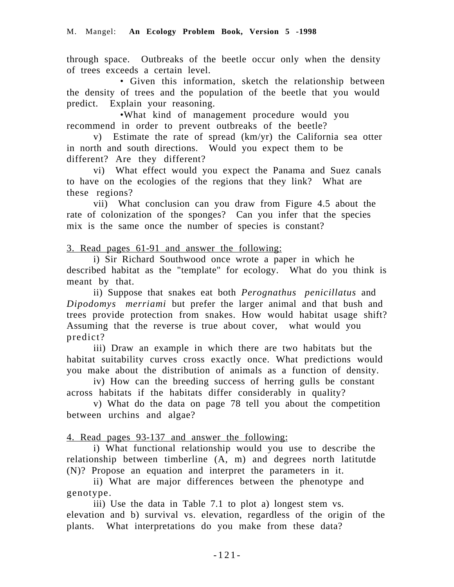through space. Outbreaks of the beetle occur only when the density of trees exceeds a certain level.

• Given this information, sketch the relationship between the density of trees and the population of the beetle that you would predict. Explain your reasoning.

•What kind of management procedure would you recommend in order to prevent outbreaks of the beetle?

v) Estimate the rate of spread (km/yr) the California sea otter in north and south directions. Would you expect them to be different? Are they different?

vi) What effect would you expect the Panama and Suez canals to have on the ecologies of the regions that they link? What are these regions?

vii) What conclusion can you draw from Figure 4.5 about the rate of colonization of the sponges? Can you infer that the species mix is the same once the number of species is constant?

3. Read pages 61-91 and answer the following:

i) Sir Richard Southwood once wrote a paper in which he described habitat as the "template" for ecology. What do you think is meant by that.

ii) Suppose that snakes eat both *Perognathus penicillatus* and *Dipodomys merriami* but prefer the larger animal and that bush and trees provide protection from snakes. How would habitat usage shift? Assuming that the reverse is true about cover, what would you predict?

iii) Draw an example in which there are two habitats but the habitat suitability curves cross exactly once. What predictions would you make about the distribution of animals as a function of density.

iv) How can the breeding success of herring gulls be constant across habitats if the habitats differ considerably in quality?

v) What do the data on page 78 tell you about the competition between urchins and algae?

4. Read pages 93-137 and answer the following:

i) What functional relationship would you use to describe the relationship between timberline (A, m) and degrees north latitutde (N)? Propose an equation and interpret the parameters in it.

ii) What are major differences between the phenotype and genotype.

iii) Use the data in Table 7.1 to plot a) longest stem vs. elevation and b) survival vs. elevation, regardless of the origin of the plants. What interpretations do you make from these data?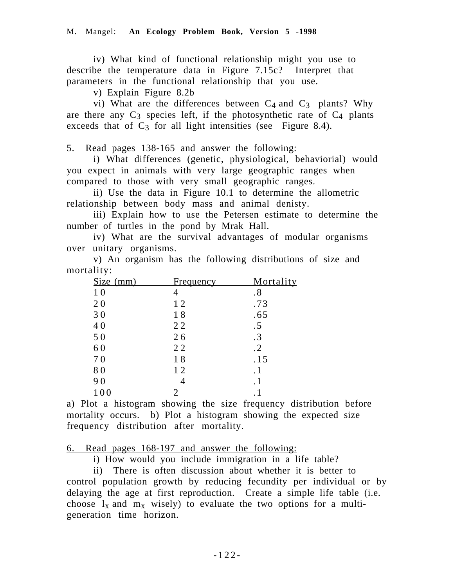iv) What kind of functional relationship might you use to describe the temperature data in Figure 7.15c? Interpret that parameters in the functional relationship that you use.

v) Explain Figure 8.2b

vi) What are the differences between  $C_4$  and  $C_3$  plants? Why are there any  $C_3$  species left, if the photosynthetic rate of  $C_4$  plants exceeds that of  $C_3$  for all light intensities (see Figure 8.4).

5. Read pages 138-165 and answer the following:

 i) What differences (genetic, physiological, behaviorial) would you expect in animals with very large geographic ranges when compared to those with very small geographic ranges.

ii) Use the data in Figure 10.1 to determine the allometric relationship between body mass and animal denisty.

iii) Explain how to use the Petersen estimate to determine the number of turtles in the pond by Mrak Hall.

iv) What are the survival advantages of modular organisms over unitary organisms.

v) An organism has the following distributions of size and mortality:

| Size (mm)      | <u>Frequency</u> | Mortality |
|----------------|------------------|-----------|
| 1 <sub>0</sub> |                  | .8        |
| 20             | 12               | .73       |
| 30             | 18               | .65       |
| 40             | 22               | .5        |
| 50             | 26               | $\cdot$ 3 |
| 60             | 22               | $\cdot$ 2 |
| 70             | 18               | .15       |
| 80             | 12               | . 1       |
| 90             |                  | . 1       |
| 100            |                  |           |

a) Plot a histogram showing the size frequency distribution before mortality occurs. b) Plot a histogram showing the expected size frequency distribution after mortality.

6. Read pages 168-197 and answer the following:

i) How would you include immigration in a life table?

ii) There is often discussion about whether it is better to control population growth by reducing fecundity per individual or by delaying the age at first reproduction. Create a simple life table (i.e. choose  $l_x$  and  $m_x$  wisely) to evaluate the two options for a multigeneration time horizon.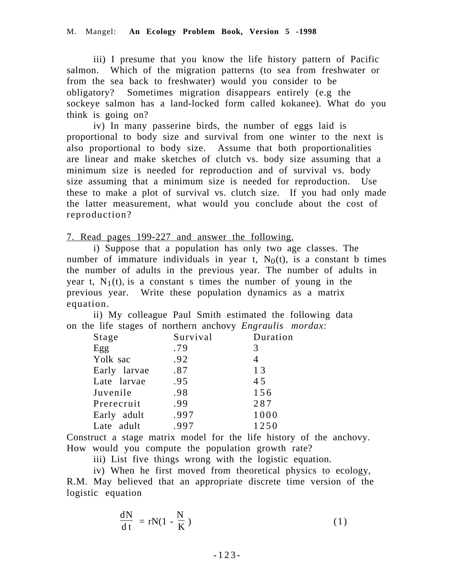iii) I presume that you know the life history pattern of Pacific salmon. Which of the migration patterns (to sea from freshwater or from the sea back to freshwater) would you consider to be obligatory? Sometimes migration disappears entirely (e.g the sockeye salmon has a land-locked form called kokanee). What do you think is going on?

iv) In many passerine birds, the number of eggs laid is proportional to body size and survival from one winter to the next is also proportional to body size. Assume that both proportionalities are linear and make sketches of clutch vs. body size assuming that a minimum size is needed for reproduction and of survival vs. body size assuming that a minimum size is needed for reproduction. Use these to make a plot of survival vs. clutch size. If you had only made the latter measurement, what would you conclude about the cost of reproduction?

7. Read pages 199-227 and answer the following.

i) Suppose that a population has only two age classes. The number of immature individuals in year t,  $N_0(t)$ , is a constant b times the number of adults in the previous year. The number of adults in year t,  $N_1(t)$ , is a constant s times the number of young in the previous year. Write these population dynamics as a matrix equation.

ii) My colleague Paul Smith estimated the following data on the life stages of northern anchovy *Engraulis mordax*:

| Stage        | Survival | Duration |
|--------------|----------|----------|
| Egg          | .79      | 3        |
| Yolk sac     | .92      | 4        |
| Early larvae | .87      | 13       |
| Late larvae  | .95      | 45       |
| Juvenile     | .98      | 156      |
| Prerecruit   | .99      | 287      |
| Early adult  | .997     | 1000     |
| Late adult   | .997     | 1250     |
|              |          |          |

Construct a stage matrix model for the life history of the anchovy. How would you compute the population growth rate?

iii) List five things wrong with the logistic equation.

iv) When he first moved from theoretical physics to ecology, R.M. May believed that an appropriate discrete time version of the logistic equation

$$
\frac{dN}{dt} = rN(1 - \frac{N}{K})
$$
\n(1)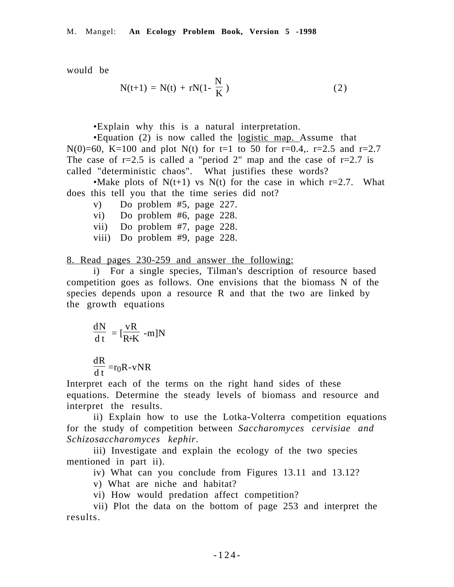would be

$$
N(t+1) = N(t) + rN(1 - \frac{N}{K})
$$
 (2)

•Explain why this is a natural interpretation.

•Equation (2) is now called the logistic map. Assume that N(0)=60, K=100 and plot N(t) for t=1 to 50 for r=0.4,. r=2.5 and r=2.7 The case of  $r=2.5$  is called a "period 2" map and the case of  $r=2.7$  is called "deterministic chaos". What justifies these words?

•Make plots of  $N(t+1)$  vs  $N(t)$  for the case in which r=2.7. What does this tell you that the time series did not?

- v) Do problem #5, page 227.
- vi) Do problem #6, page 228.
- vii) Do problem #7, page 228.
- viii) Do problem #9, page 228.

8. Read pages 230-259 and answer the following:

i) For a single species, Tilman's description of resource based competition goes as follows. One envisions that the biomass N of the species depends upon a resource R and that the two are linked by the growth equations

$$
\frac{dN}{dt} = [\frac{vR}{R+K} - m]N
$$

dR  $\frac{d\mathbf{r}}{dt}$  =r<sub>0</sub>R-vNR

Interpret each of the terms on the right hand sides of these equations. Determine the steady levels of biomass and resource and interpret the results.

ii) Explain how to use the Lotka-Volterra competition equations for the study of competition between *Saccharomyces cervisiae and Schizosaccharomyces kephir*.

iii) Investigate and explain the ecology of the two species mentioned in part ii).

iv) What can you conclude from Figures 13.11 and 13.12?

v) What are niche and habitat?

vi) How would predation affect competition?

vii) Plot the data on the bottom of page 253 and interpret the results.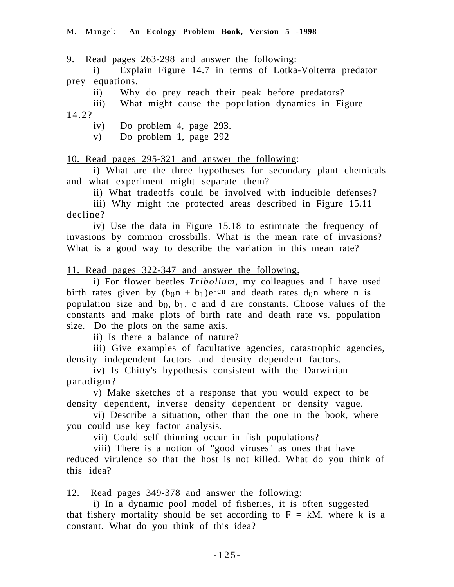9. Read pages 263-298 and answer the following:

i) Explain Figure 14.7 in terms of Lotka-Volterra predator prey equations.

ii) Why do prey reach their peak before predators?

iii) What might cause the population dynamics in Figure 14.2?

iv) Do problem 4, page 293.

v) Do problem 1, page 292

10. Read pages 295-321 and answer the following:

i) What are the three hypotheses for secondary plant chemicals and what experiment might separate them?

ii) What tradeoffs could be involved with inducible defenses?

iii) Why might the protected areas described in Figure 15.11 decline?

iv) Use the data in Figure 15.18 to estimnate the frequency of invasions by common crossbills. What is the mean rate of invasions? What is a good way to describe the variation in this mean rate?

11. Read pages 322-347 and answer the following.

i) For flower beetles *Tribolium*, my colleagues and I have used birth rates given by  $(b_{0}n + b_{1})e^{-cn}$  and death rates d<sub>0</sub>n where n is population size and  $b_0$ ,  $b_1$ , c and d are constants. Choose values of the constants and make plots of birth rate and death rate vs. population size. Do the plots on the same axis.

ii) Is there a balance of nature?

iii) Give examples of facultative agencies, catastrophic agencies, density independent factors and density dependent factors.

iv) Is Chitty's hypothesis consistent with the Darwinian paradigm?

v) Make sketches of a response that you would expect to be density dependent, inverse density dependent or density vague.

vi) Describe a situation, other than the one in the book, where you could use key factor analysis.

vii) Could self thinning occur in fish populations?

viii) There is a notion of "good viruses" as ones that have reduced virulence so that the host is not killed. What do you think of this idea?

12. Read pages 349-378 and answer the following:

i) In a dynamic pool model of fisheries, it is often suggested that fishery mortality should be set according to  $F = kM$ , where k is a constant. What do you think of this idea?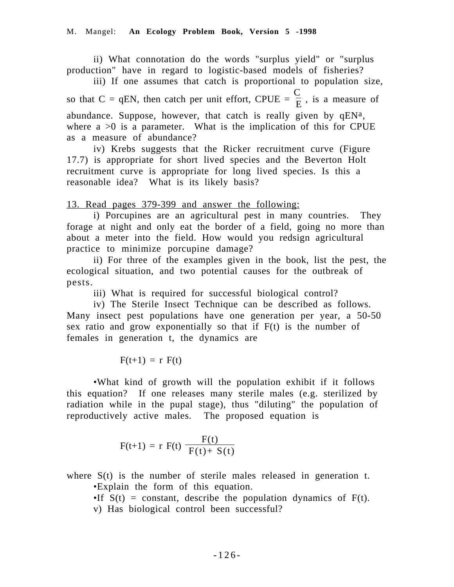ii) What connotation do the words "surplus yield" or "surplus production" have in regard to logistic-based models of fisheries?

iii) If one assumes that catch is proportional to population size, so that C = qEN, then catch per unit effort, CPUE =  $\frac{C}{E}$ , is a measure of abundance. Suppose, however, that catch is really given by  $qEN^a$ , where  $a > 0$  is a parameter. What is the implication of this for CPUE as a measure of abundance?

iv) Krebs suggests that the Ricker recruitment curve (Figure 17.7) is appropriate for short lived species and the Beverton Holt recruitment curve is appropriate for long lived species. Is this a reasonable idea? What is its likely basis?

13. Read pages 379-399 and answer the following:

i) Porcupines are an agricultural pest in many countries. They forage at night and only eat the border of a field, going no more than about a meter into the field. How would you redsign agricultural practice to minimize porcupine damage?

ii) For three of the examples given in the book, list the pest, the ecological situation, and two potential causes for the outbreak of pests.

iii) What is required for successful biological control?

iv) The Sterile Insect Technique can be described as follows. Many insect pest populations have one generation per year, a 50-50 sex ratio and grow exponentially so that if F(t) is the number of females in generation t, the dynamics are

$$
F(t+1) = r F(t)
$$

•What kind of growth will the population exhibit if it follows this equation? If one releases many sterile males (e.g. sterilized by radiation while in the pupal stage), thus "diluting" the population of reproductively active males. The proposed equation is

$$
F(t+1) = r F(t) \left( \frac{F(t)}{F(t) + S(t)} \right)
$$

where  $S(t)$  is the number of sterile males released in generation t. •Explain the form of this equation.

•If  $S(t)$  = constant, describe the population dynamics of  $F(t)$ .

v) Has biological control been successful?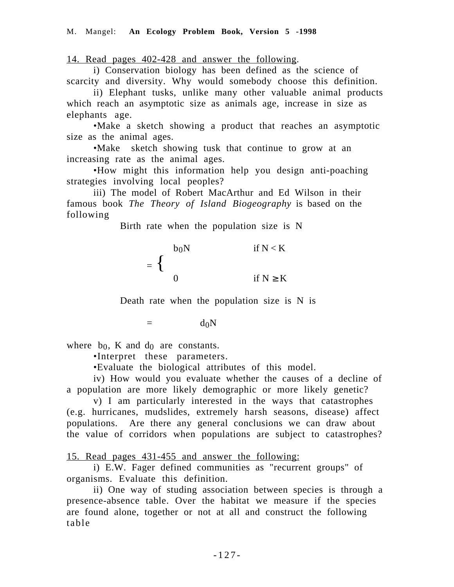14. Read pages 402-428 and answer the following.

i) Conservation biology has been defined as the science of scarcity and diversity. Why would somebody choose this definition.

ii) Elephant tusks, unlike many other valuable animal products which reach an asymptotic size as animals age, increase in size as elephants age.

•Make a sketch showing a product that reaches an asymptotic size as the animal ages.

•Make sketch showing tusk that continue to grow at an increasing rate as the animal ages.

•How might this information help you design anti-poaching strategies involving local peoples?

iii) The model of Robert MacArthur and Ed Wilson in their famous book *The Theory of Island Biogeography* is based on the following

Birth rate when the population size is N

$$
= \begin{cases} b_0N & \text{if } N < K \\ 0 & \text{if } N \ge K \end{cases}
$$

Death rate when the population size is N is

 $=$  d<sub>0</sub>N

where  $b_0$ , K and  $d_0$  are constants.

•Interpret these parameters.

•Evaluate the biological attributes of this model.

iv) How would you evaluate whether the causes of a decline of a population are more likely demographic or more likely genetic?

v) I am particularly interested in the ways that catastrophes (e.g. hurricanes, mudslides, extremely harsh seasons, disease) affect populations. Are there any general conclusions we can draw about the value of corridors when populations are subject to catastrophes?

15. Read pages 431-455 and answer the following:

i) E.W. Fager defined communities as "recurrent groups" of organisms. Evaluate this definition.

ii) One way of studing association between species is through a presence-absence table. Over the habitat we measure if the species are found alone, together or not at all and construct the following table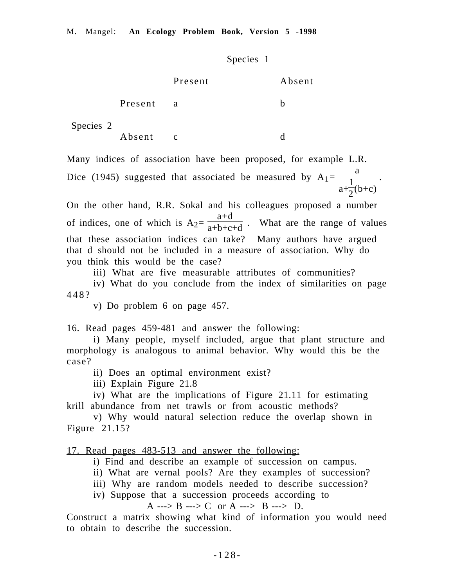Species 1

|           |         | Present      | Absent |
|-----------|---------|--------------|--------|
|           | Present | a            | n      |
| Species 2 |         |              |        |
|           | Absent  | $\mathbf{c}$ |        |

Many indices of association have been proposed, for example L.R.

Dice (1945) suggested that associated be measured by  $A_1=$ a  $a+$ 1  $\frac{1}{2}(b+c)$ .

On the other hand, R.R. Sokal and his colleagues proposed a number of indices, one of which is  $A_2=$ a+d  $\frac{a+2}{a+b+c+d}$ . What are the range of values that these association indices can take? Many authors have argued that d should not be included in a measure of association. Why do you think this would be the case?

iii) What are five measurable attributes of communities?

iv) What do you conclude from the index of similarities on page 448?

v) Do problem 6 on page 457.

16. Read pages 459-481 and answer the following:

i) Many people, myself included, argue that plant structure and morphology is analogous to animal behavior. Why would this be the case?

ii) Does an optimal environment exist?

iii) Explain Figure 21.8

iv) What are the implications of Figure 21.11 for estimating krill abundance from net trawls or from acoustic methods?

v) Why would natural selection reduce the overlap shown in Figure 21.15?

17. Read pages 483-513 and answer the following:

- i) Find and describe an example of succession on campus.
- ii) What are vernal pools? Are they examples of succession?
- iii) Why are random models needed to describe succession?
- iv) Suppose that a succession proceeds according to

A ---> B ---> C or A ---> B ---> D.

Construct a matrix showing what kind of information you would need to obtain to describe the succession.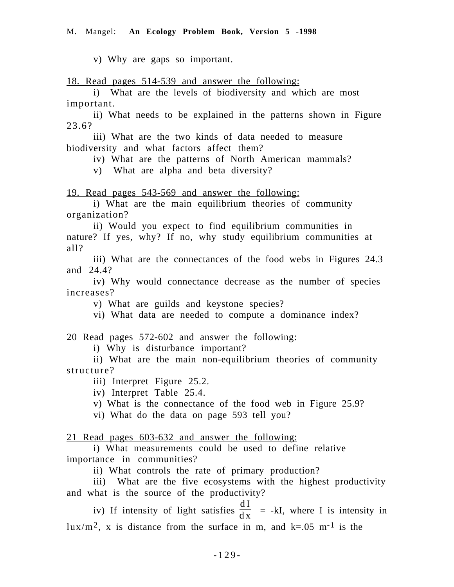v) Why are gaps so important.

18. Read pages 514-539 and answer the following:

i) What are the levels of biodiversity and which are most important.

ii) What needs to be explained in the patterns shown in Figure 23.6?

iii) What are the two kinds of data needed to measure biodiversity and what factors affect them?

iv) What are the patterns of North American mammals?

v) What are alpha and beta diversity?

19. Read pages 543-569 and answer the following:

i) What are the main equilibrium theories of community organization?

ii) Would you expect to find equilibrium communities in nature? If yes, why? If no, why study equilibrium communities at all?

iii) What are the connectances of the food webs in Figures 24.3 and 24.4?

iv) Why would connectance decrease as the number of species increases?

v) What are guilds and keystone species?

vi) What data are needed to compute a dominance index?

#### 20 Read pages 572-602 and answer the following:

i) Why is disturbance important?

ii) What are the main non-equilibrium theories of community structure?

iii) Interpret Figure 25.2.

iv) Interpret Table 25.4.

v) What is the connectance of the food web in Figure 25.9?

vi) What do the data on page 593 tell you?

21 Read pages 603-632 and answer the following:

i) What measurements could be used to define relative importance in communities?

ii) What controls the rate of primary production?

iii) What are the five ecosystems with the highest productivity and what is the source of the productivity?

iv) If intensity of light satisfies  $\frac{dI}{dx}$  = -kI, where I is intensity in lux/m<sup>2</sup>, x is distance from the surface in m, and  $k=0.05$  m<sup>-1</sup> is the